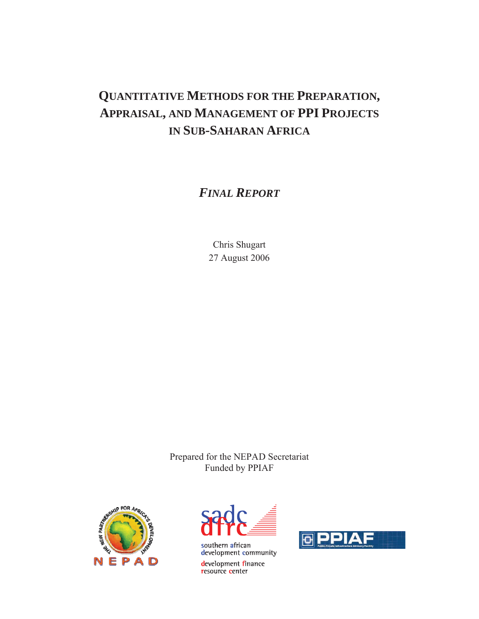# **QUANTITATIVE METHODS FOR THE PREPARATION, APPRAISAL, AND MANAGEMENT OF PPI PROJECTS IN SUB-SAHARAN AFRICA**

*FINAL REPORT*

Chris Shugart 27 August 2006

Prepared for the NEPAD Secretariat Funded by PPIAF





development finance resource center

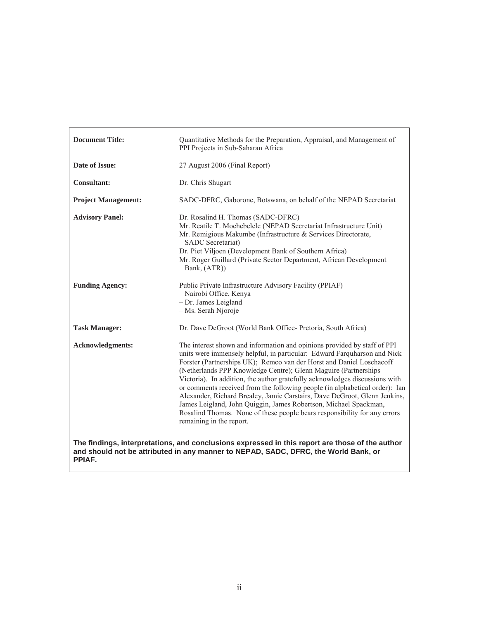| <b>Document Title:</b>     | Quantitative Methods for the Preparation, Appraisal, and Management of<br>PPI Projects in Sub-Saharan Africa                                                                                                                                                                                                                                                                                                                                                                                                                                                                                                                                                                                                            |  |  |  |
|----------------------------|-------------------------------------------------------------------------------------------------------------------------------------------------------------------------------------------------------------------------------------------------------------------------------------------------------------------------------------------------------------------------------------------------------------------------------------------------------------------------------------------------------------------------------------------------------------------------------------------------------------------------------------------------------------------------------------------------------------------------|--|--|--|
| Date of Issue:             | 27 August 2006 (Final Report)                                                                                                                                                                                                                                                                                                                                                                                                                                                                                                                                                                                                                                                                                           |  |  |  |
| <b>Consultant:</b>         | Dr. Chris Shugart                                                                                                                                                                                                                                                                                                                                                                                                                                                                                                                                                                                                                                                                                                       |  |  |  |
| <b>Project Management:</b> | SADC-DFRC, Gaborone, Botswana, on behalf of the NEPAD Secretariat                                                                                                                                                                                                                                                                                                                                                                                                                                                                                                                                                                                                                                                       |  |  |  |
| <b>Advisory Panel:</b>     | Dr. Rosalind H. Thomas (SADC-DFRC)<br>Mr. Reatile T. Mochebelele (NEPAD Secretariat Infrastructure Unit)<br>Mr. Remigious Makumbe (Infrastructure & Services Directorate,<br>SADC Secretariat)<br>Dr. Piet Viljoen (Development Bank of Southern Africa)<br>Mr. Roger Guillard (Private Sector Department, African Development<br>Bank, (ATR))                                                                                                                                                                                                                                                                                                                                                                          |  |  |  |
| <b>Funding Agency:</b>     | Public Private Infrastructure Advisory Facility (PPIAF)<br>Nairobi Office, Kenya<br>- Dr. James Leigland<br>- Ms. Serah Njoroje                                                                                                                                                                                                                                                                                                                                                                                                                                                                                                                                                                                         |  |  |  |
| <b>Task Manager:</b>       | Dr. Dave DeGroot (World Bank Office- Pretoria, South Africa)                                                                                                                                                                                                                                                                                                                                                                                                                                                                                                                                                                                                                                                            |  |  |  |
| <b>Acknowledgments:</b>    | The interest shown and information and opinions provided by staff of PPI<br>units were immensely helpful, in particular: Edward Farquharson and Nick<br>Forster (Partnerships UK); Remco van der Horst and Daniel Loschacoff<br>(Netherlands PPP Knowledge Centre); Glenn Maguire (Partnerships<br>Victoria). In addition, the author gratefully acknowledges discussions with<br>or comments received from the following people (in alphabetical order): Ian<br>Alexander, Richard Brealey, Jamie Carstairs, Dave DeGroot, Glenn Jenkins,<br>James Leigland, John Quiggin, James Robertson, Michael Spackman,<br>Rosalind Thomas. None of these people bears responsibility for any errors<br>remaining in the report. |  |  |  |
| PPIAF.                     | The findings, interpretations, and conclusions expressed in this report are those of the author<br>and should not be attributed in any manner to NEPAD, SADC, DFRC, the World Bank, or                                                                                                                                                                                                                                                                                                                                                                                                                                                                                                                                  |  |  |  |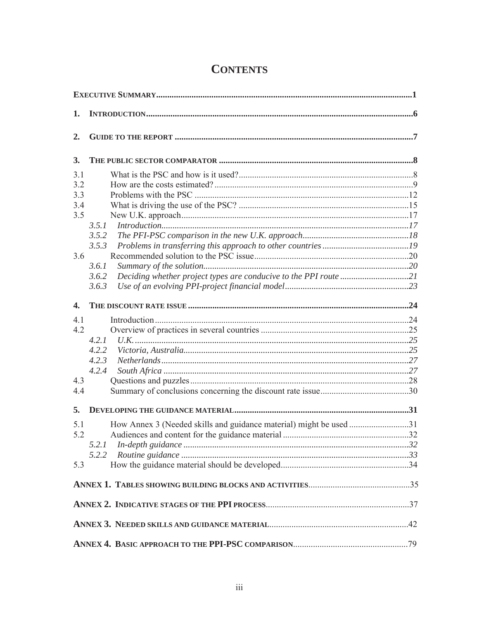| 1.           |                                                                    |  |
|--------------|--------------------------------------------------------------------|--|
| 2.           |                                                                    |  |
| 3.           |                                                                    |  |
| 3.1          |                                                                    |  |
| 3.2          |                                                                    |  |
| 3.3          |                                                                    |  |
| 3.4          |                                                                    |  |
| 3.5          |                                                                    |  |
|              | 3.5.1                                                              |  |
|              | 3.5.2                                                              |  |
|              | 3.5.3                                                              |  |
| 3.6          |                                                                    |  |
|              | 3.6.1                                                              |  |
|              | 3.6.2                                                              |  |
|              | 3.6.3                                                              |  |
| $\mathbf{4}$ |                                                                    |  |
| 4.1          |                                                                    |  |
| 4.2          |                                                                    |  |
|              | 4.2.1                                                              |  |
|              | 4.2.2                                                              |  |
|              | 4.2.3                                                              |  |
|              | 4.2.4                                                              |  |
| 4.3          |                                                                    |  |
| 4.4          |                                                                    |  |
| 5.           |                                                                    |  |
| 5.1          | How Annex 3 (Needed skills and guidance material) might be used 31 |  |
| 5.2          |                                                                    |  |
|              | 5.2.1                                                              |  |
|              | 5.2.2                                                              |  |
| 5.3          |                                                                    |  |
|              |                                                                    |  |
|              |                                                                    |  |
|              |                                                                    |  |
|              |                                                                    |  |

# **CONTENTS**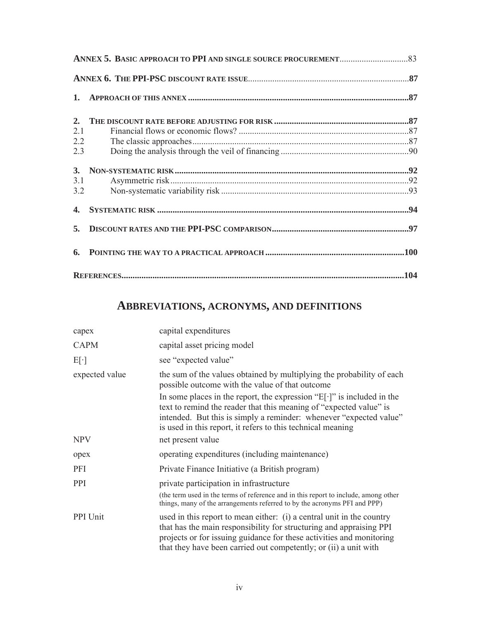| 2.  |  |
|-----|--|
| 2.1 |  |
| 2.2 |  |
| 2.3 |  |
|     |  |
| 3.1 |  |
| 3.2 |  |
|     |  |
|     |  |
|     |  |
|     |  |

# **ABBREVIATIONS, ACRONYMS, AND DEFINITIONS**

| capex          | capital expenditures                                                                                                                                                                                                                                                                      |
|----------------|-------------------------------------------------------------------------------------------------------------------------------------------------------------------------------------------------------------------------------------------------------------------------------------------|
| <b>CAPM</b>    | capital asset pricing model                                                                                                                                                                                                                                                               |
| $E[\cdot]$     | see "expected value"                                                                                                                                                                                                                                                                      |
| expected value | the sum of the values obtained by multiplying the probability of each<br>possible outcome with the value of that outcome                                                                                                                                                                  |
|                | In some places in the report, the expression " $E[\cdot]$ " is included in the<br>text to remind the reader that this meaning of "expected value" is<br>intended. But this is simply a reminder: whenever "expected value"<br>is used in this report, it refers to this technical meaning |
| <b>NPV</b>     | net present value                                                                                                                                                                                                                                                                         |
| opex           | operating expenditures (including maintenance)                                                                                                                                                                                                                                            |
| PFI            | Private Finance Initiative (a British program)                                                                                                                                                                                                                                            |
| PPI            | private participation in infrastructure<br>(the term used in the terms of reference and in this report to include, among other<br>things, many of the arrangements referred to by the acronyms PFI and PPP)                                                                               |
| PPI Unit       | used in this report to mean either: (i) a central unit in the country<br>that has the main responsibility for structuring and appraising PPI<br>projects or for issuing guidance for these activities and monitoring<br>that they have been carried out competently; or (ii) a unit with  |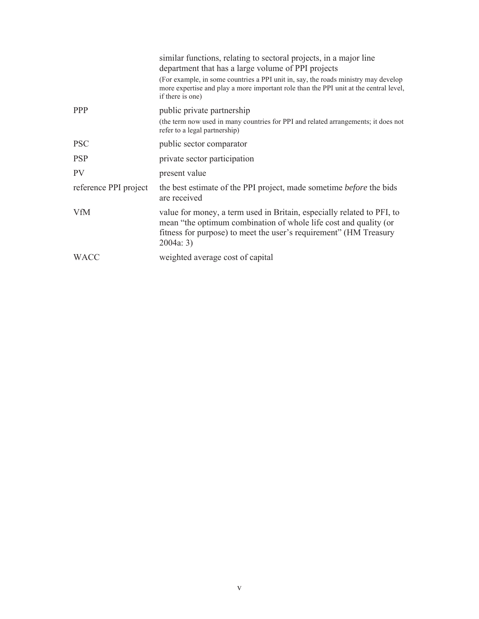|                       | similar functions, relating to sectoral projects, in a major line<br>department that has a large volume of PPI projects                                                                                                      |
|-----------------------|------------------------------------------------------------------------------------------------------------------------------------------------------------------------------------------------------------------------------|
|                       | (For example, in some countries a PPI unit in, say, the roads ministry may develop<br>more expertise and play a more important role than the PPI unit at the central level,<br>if there is one)                              |
| <b>PPP</b>            | public private partnership                                                                                                                                                                                                   |
|                       | (the term now used in many countries for PPI and related arrangements; it does not<br>refer to a legal partnership)                                                                                                          |
| <b>PSC</b>            | public sector comparator                                                                                                                                                                                                     |
| <b>PSP</b>            | private sector participation                                                                                                                                                                                                 |
| PV                    | present value                                                                                                                                                                                                                |
| reference PPI project | the best estimate of the PPI project, made sometime <i>before</i> the bids<br>are received                                                                                                                                   |
| <b>VfM</b>            | value for money, a term used in Britain, especially related to PFI, to<br>mean "the optimum combination of whole life cost and quality (or<br>fitness for purpose) to meet the user's requirement" (HM Treasury<br>2004a: 3) |
| <b>WACC</b>           | weighted average cost of capital                                                                                                                                                                                             |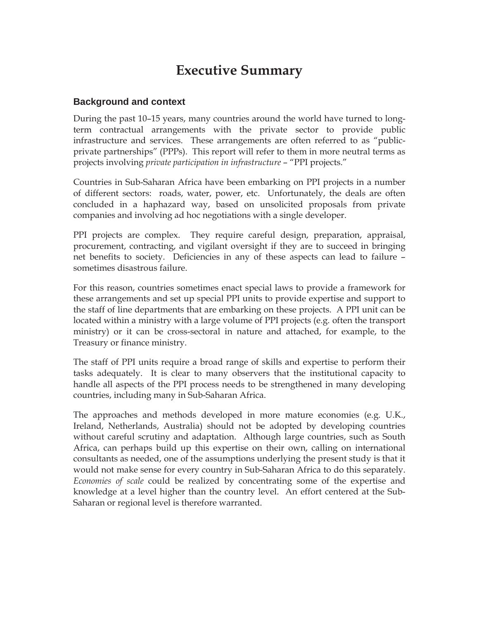# **Executive Summary**

## **Background and context**

During the past 10–15 years, many countries around the world have turned to longterm contractual arrangements with the private sector to provide public infrastructure and services. These arrangements are often referred to as "publicprivate partnerships" (PPPs). This report will refer to them in more neutral terms as projects involving *private participation in infrastructure* – "PPI projects."

Countries in Sub-Saharan Africa have been embarking on PPI projects in a number of different sectors: roads, water, power, etc. Unfortunately, the deals are often concluded in a haphazard way, based on unsolicited proposals from private companies and involving ad hoc negotiations with a single developer.

PPI projects are complex. They require careful design, preparation, appraisal, procurement, contracting, and vigilant oversight if they are to succeed in bringing net benefits to society. Deficiencies in any of these aspects can lead to failure – sometimes disastrous failure.

For this reason, countries sometimes enact special laws to provide a framework for these arrangements and set up special PPI units to provide expertise and support to the staff of line departments that are embarking on these projects. A PPI unit can be located within a ministry with a large volume of PPI projects (e.g. often the transport ministry) or it can be cross-sectoral in nature and attached, for example, to the Treasury or finance ministry.

The staff of PPI units require a broad range of skills and expertise to perform their tasks adequately. It is clear to many observers that the institutional capacity to handle all aspects of the PPI process needs to be strengthened in many developing countries, including many in Sub-Saharan Africa.

The approaches and methods developed in more mature economies (e.g. U.K., Ireland, Netherlands, Australia) should not be adopted by developing countries without careful scrutiny and adaptation. Although large countries, such as South Africa, can perhaps build up this expertise on their own, calling on international consultants as needed, one of the assumptions underlying the present study is that it would not make sense for every country in Sub-Saharan Africa to do this separately. *Economies of scale* could be realized by concentrating some of the expertise and knowledge at a level higher than the country level. An effort centered at the Sub-Saharan or regional level is therefore warranted.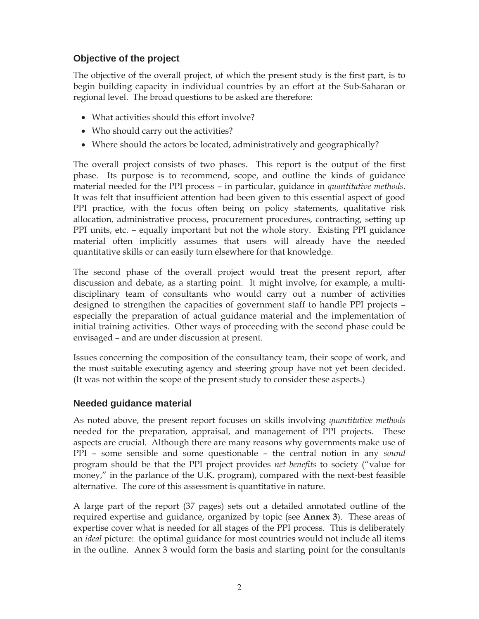# **Objective of the project**

The objective of the overall project, of which the present study is the first part, is to begin building capacity in individual countries by an effort at the Sub-Saharan or regional level. The broad questions to be asked are therefore:

- What activities should this effort involve?
- Who should carry out the activities?
- Where should the actors be located, administratively and geographically?

The overall project consists of two phases. This report is the output of the first phase. Its purpose is to recommend, scope, and outline the kinds of guidance material needed for the PPI process – in particular, guidance in *quantitative methods*. It was felt that insufficient attention had been given to this essential aspect of good PPI practice, with the focus often being on policy statements, qualitative risk allocation, administrative process, procurement procedures, contracting, setting up PPI units, etc. – equally important but not the whole story. Existing PPI guidance material often implicitly assumes that users will already have the needed quantitative skills or can easily turn elsewhere for that knowledge.

The second phase of the overall project would treat the present report, after discussion and debate, as a starting point. It might involve, for example, a multidisciplinary team of consultants who would carry out a number of activities designed to strengthen the capacities of government staff to handle PPI projects – especially the preparation of actual guidance material and the implementation of initial training activities. Other ways of proceeding with the second phase could be envisaged – and are under discussion at present.

Issues concerning the composition of the consultancy team, their scope of work, and the most suitable executing agency and steering group have not yet been decided. (It was not within the scope of the present study to consider these aspects.)

## **Needed guidance material**

As noted above, the present report focuses on skills involving *quantitative methods*  needed for the preparation, appraisal, and management of PPI projects. These aspects are crucial. Although there are many reasons why governments make use of PPI – some sensible and some questionable – the central notion in any *sound* program should be that the PPI project provides *net benefits* to society ("value for money," in the parlance of the U.K. program), compared with the next-best feasible alternative. The core of this assessment is quantitative in nature.

A large part of the report (37 pages) sets out a detailed annotated outline of the required expertise and guidance, organized by topic (see **Annex 3**). These areas of expertise cover what is needed for all stages of the PPI process. This is deliberately an *ideal* picture: the optimal guidance for most countries would not include all items in the outline. Annex 3 would form the basis and starting point for the consultants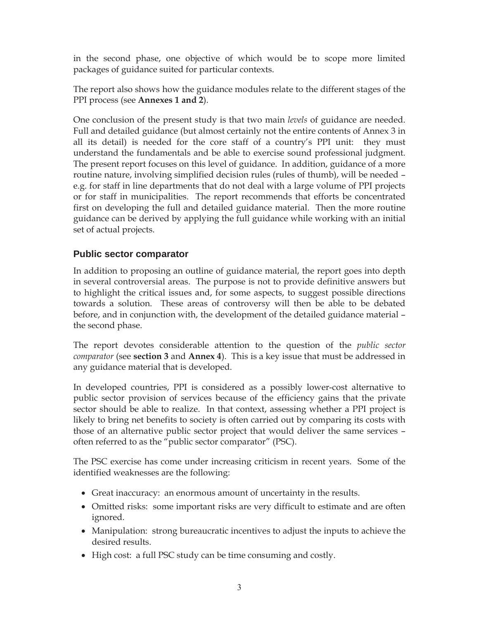in the second phase, one objective of which would be to scope more limited packages of guidance suited for particular contexts.

The report also shows how the guidance modules relate to the different stages of the PPI process (see **Annexes 1 and 2**).

One conclusion of the present study is that two main *levels* of guidance are needed. Full and detailed guidance (but almost certainly not the entire contents of Annex 3 in all its detail) is needed for the core staff of a country's PPI unit: they must understand the fundamentals and be able to exercise sound professional judgment. The present report focuses on this level of guidance. In addition, guidance of a more routine nature, involving simplified decision rules (rules of thumb), will be needed – e.g. for staff in line departments that do not deal with a large volume of PPI projects or for staff in municipalities. The report recommends that efforts be concentrated first on developing the full and detailed guidance material. Then the more routine guidance can be derived by applying the full guidance while working with an initial set of actual projects.

# **Public sector comparator**

In addition to proposing an outline of guidance material, the report goes into depth in several controversial areas. The purpose is not to provide definitive answers but to highlight the critical issues and, for some aspects, to suggest possible directions towards a solution. These areas of controversy will then be able to be debated before, and in conjunction with, the development of the detailed guidance material – the second phase.

The report devotes considerable attention to the question of the *public sector comparator* (see **section 3** and **Annex 4**). This is a key issue that must be addressed in any guidance material that is developed.

In developed countries, PPI is considered as a possibly lower-cost alternative to public sector provision of services because of the efficiency gains that the private sector should be able to realize. In that context, assessing whether a PPI project is likely to bring net benefits to society is often carried out by comparing its costs with those of an alternative public sector project that would deliver the same services – often referred to as the "public sector comparator" (PSC).

The PSC exercise has come under increasing criticism in recent years. Some of the identified weaknesses are the following:

- Great inaccuracy: an enormous amount of uncertainty in the results.
- Omitted risks: some important risks are very difficult to estimate and are often ignored.
- Manipulation: strong bureaucratic incentives to adjust the inputs to achieve the desired results.
- High cost: a full PSC study can be time consuming and costly.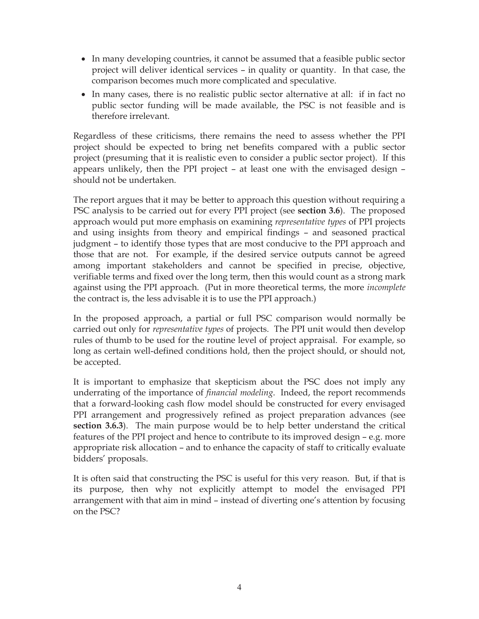- In many developing countries, it cannot be assumed that a feasible public sector project will deliver identical services – in quality or quantity. In that case, the comparison becomes much more complicated and speculative.
- In many cases, there is no realistic public sector alternative at all: if in fact no public sector funding will be made available, the PSC is not feasible and is therefore irrelevant.

Regardless of these criticisms, there remains the need to assess whether the PPI project should be expected to bring net benefits compared with a public sector project (presuming that it is realistic even to consider a public sector project). If this appears unlikely, then the PPI project – at least one with the envisaged design – should not be undertaken.

The report argues that it may be better to approach this question without requiring a PSC analysis to be carried out for every PPI project (see **section 3.6**). The proposed approach would put more emphasis on examining *representative types* of PPI projects and using insights from theory and empirical findings – and seasoned practical judgment – to identify those types that are most conducive to the PPI approach and those that are not. For example, if the desired service outputs cannot be agreed among important stakeholders and cannot be specified in precise, objective, verifiable terms and fixed over the long term, then this would count as a strong mark against using the PPI approach. (Put in more theoretical terms, the more *incomplete* the contract is, the less advisable it is to use the PPI approach.)

In the proposed approach, a partial or full PSC comparison would normally be carried out only for *representative types* of projects. The PPI unit would then develop rules of thumb to be used for the routine level of project appraisal. For example, so long as certain well-defined conditions hold, then the project should, or should not, be accepted.

It is important to emphasize that skepticism about the PSC does not imply any underrating of the importance of *financial modeling*. Indeed, the report recommends that a forward-looking cash flow model should be constructed for every envisaged PPI arrangement and progressively refined as project preparation advances (see **section 3.6.3**). The main purpose would be to help better understand the critical features of the PPI project and hence to contribute to its improved design – e.g. more appropriate risk allocation – and to enhance the capacity of staff to critically evaluate bidders' proposals.

It is often said that constructing the PSC is useful for this very reason. But, if that is its purpose, then why not explicitly attempt to model the envisaged PPI arrangement with that aim in mind – instead of diverting one's attention by focusing on the PSC?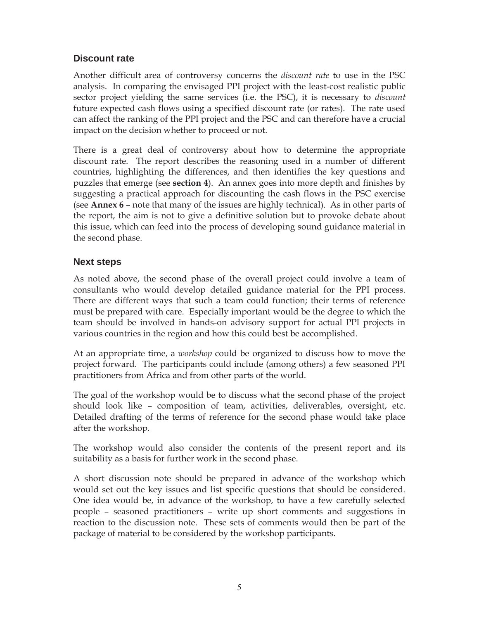# **Discount rate**

Another difficult area of controversy concerns the *discount rate* to use in the PSC analysis. In comparing the envisaged PPI project with the least-cost realistic public sector project yielding the same services (i.e. the PSC), it is necessary to *discount* future expected cash flows using a specified discount rate (or rates). The rate used can affect the ranking of the PPI project and the PSC and can therefore have a crucial impact on the decision whether to proceed or not.

There is a great deal of controversy about how to determine the appropriate discount rate. The report describes the reasoning used in a number of different countries, highlighting the differences, and then identifies the key questions and puzzles that emerge (see **section 4**). An annex goes into more depth and finishes by suggesting a practical approach for discounting the cash flows in the PSC exercise (see **Annex 6** – note that many of the issues are highly technical). As in other parts of the report, the aim is not to give a definitive solution but to provoke debate about this issue, which can feed into the process of developing sound guidance material in the second phase.

# **Next steps**

As noted above, the second phase of the overall project could involve a team of consultants who would develop detailed guidance material for the PPI process. There are different ways that such a team could function; their terms of reference must be prepared with care. Especially important would be the degree to which the team should be involved in hands-on advisory support for actual PPI projects in various countries in the region and how this could best be accomplished.

At an appropriate time, a *workshop* could be organized to discuss how to move the project forward. The participants could include (among others) a few seasoned PPI practitioners from Africa and from other parts of the world.

The goal of the workshop would be to discuss what the second phase of the project should look like – composition of team, activities, deliverables, oversight, etc. Detailed drafting of the terms of reference for the second phase would take place after the workshop.

The workshop would also consider the contents of the present report and its suitability as a basis for further work in the second phase.

A short discussion note should be prepared in advance of the workshop which would set out the key issues and list specific questions that should be considered. One idea would be, in advance of the workshop, to have a few carefully selected people – seasoned practitioners – write up short comments and suggestions in reaction to the discussion note. These sets of comments would then be part of the package of material to be considered by the workshop participants.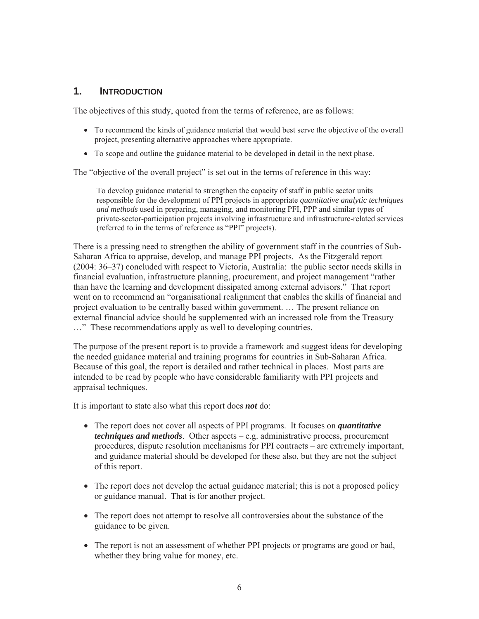# **1. INTRODUCTION**

The objectives of this study, quoted from the terms of reference, are as follows:

- To recommend the kinds of guidance material that would best serve the objective of the overall project, presenting alternative approaches where appropriate.
- To scope and outline the guidance material to be developed in detail in the next phase.

The "objective of the overall project" is set out in the terms of reference in this way:

To develop guidance material to strengthen the capacity of staff in public sector units responsible for the development of PPI projects in appropriate *quantitative analytic techniques and methods* used in preparing, managing, and monitoring PFI, PPP and similar types of private-sector-participation projects involving infrastructure and infrastructure-related services (referred to in the terms of reference as "PPI" projects).

There is a pressing need to strengthen the ability of government staff in the countries of Sub-Saharan Africa to appraise, develop, and manage PPI projects. As the Fitzgerald report (2004: 36–37) concluded with respect to Victoria, Australia: the public sector needs skills in financial evaluation, infrastructure planning, procurement, and project management "rather than have the learning and development dissipated among external advisors." That report went on to recommend an "organisational realignment that enables the skills of financial and project evaluation to be centrally based within government. … The present reliance on external financial advice should be supplemented with an increased role from the Treasury …" These recommendations apply as well to developing countries.

The purpose of the present report is to provide a framework and suggest ideas for developing the needed guidance material and training programs for countries in Sub-Saharan Africa. Because of this goal, the report is detailed and rather technical in places. Most parts are intended to be read by people who have considerable familiarity with PPI projects and appraisal techniques.

It is important to state also what this report does *not* do:

- The report does not cover all aspects of PPI programs. It focuses on *quantitative techniques and methods*. Other aspects – e.g. administrative process, procurement procedures, dispute resolution mechanisms for PPI contracts – are extremely important, and guidance material should be developed for these also, but they are not the subject of this report.
- The report does not develop the actual guidance material; this is not a proposed policy or guidance manual. That is for another project.
- The report does not attempt to resolve all controversies about the substance of the guidance to be given.
- The report is not an assessment of whether PPI projects or programs are good or bad, whether they bring value for money, etc.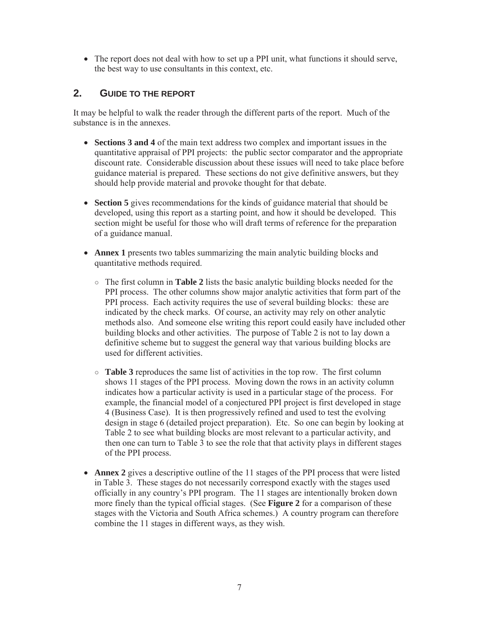• The report does not deal with how to set up a PPI unit, what functions it should serve, the best way to use consultants in this context, etc.

# **2. GUIDE TO THE REPORT**

It may be helpful to walk the reader through the different parts of the report. Much of the substance is in the annexes.

- **Sections 3 and 4** of the main text address two complex and important issues in the quantitative appraisal of PPI projects: the public sector comparator and the appropriate discount rate. Considerable discussion about these issues will need to take place before guidance material is prepared. These sections do not give definitive answers, but they should help provide material and provoke thought for that debate.
- **Section 5** gives recommendations for the kinds of guidance material that should be developed, using this report as a starting point, and how it should be developed. This section might be useful for those who will draft terms of reference for the preparation of a guidance manual.
- **Annex 1** presents two tables summarizing the main analytic building blocks and quantitative methods required.
	- $\circ$  The first column in **Table 2** lists the basic analytic building blocks needed for the PPI process. The other columns show major analytic activities that form part of the PPI process. Each activity requires the use of several building blocks: these are indicated by the check marks. Of course, an activity may rely on other analytic methods also. And someone else writing this report could easily have included other building blocks and other activities. The purpose of Table 2 is not to lay down a definitive scheme but to suggest the general way that various building blocks are used for different activities.
	- $\circ$  **Table 3** reproduces the same list of activities in the top row. The first column shows 11 stages of the PPI process. Moving down the rows in an activity column indicates how a particular activity is used in a particular stage of the process. For example, the financial model of a conjectured PPI project is first developed in stage 4 (Business Case). It is then progressively refined and used to test the evolving design in stage 6 (detailed project preparation). Etc. So one can begin by looking at Table 2 to see what building blocks are most relevant to a particular activity, and then one can turn to Table 3 to see the role that that activity plays in different stages of the PPI process.
- **Annex 2** gives a descriptive outline of the 11 stages of the PPI process that were listed in Table 3. These stages do not necessarily correspond exactly with the stages used officially in any country's PPI program. The 11 stages are intentionally broken down more finely than the typical official stages. (See **Figure 2** for a comparison of these stages with the Victoria and South Africa schemes.) A country program can therefore combine the 11 stages in different ways, as they wish.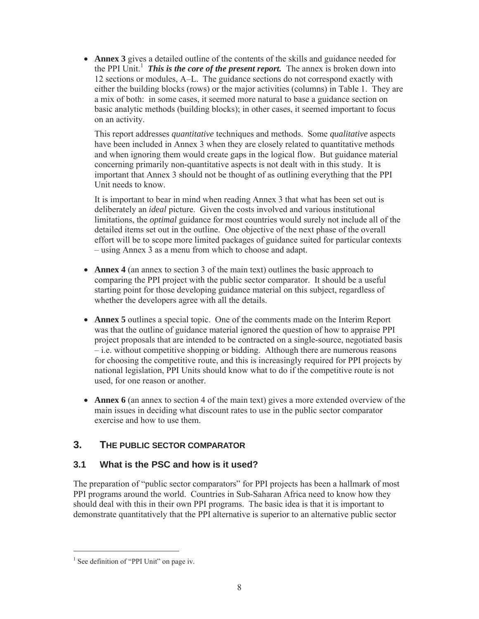• **Annex 3** gives a detailed outline of the contents of the skills and guidance needed for the PPI Unit.<sup>1</sup> This is the core of the present report. The annex is broken down into 12 sections or modules, A–L. The guidance sections do not correspond exactly with either the building blocks (rows) or the major activities (columns) in Table 1. They are a mix of both: in some cases, it seemed more natural to base a guidance section on basic analytic methods (building blocks); in other cases, it seemed important to focus on an activity.

This report addresses *quantitative* techniques and methods. Some *qualitative* aspects have been included in Annex 3 when they are closely related to quantitative methods and when ignoring them would create gaps in the logical flow. But guidance material concerning primarily non-quantitative aspects is not dealt with in this study. It is important that Annex 3 should not be thought of as outlining everything that the PPI Unit needs to know.

It is important to bear in mind when reading Annex 3 that what has been set out is deliberately an *ideal* picture. Given the costs involved and various institutional limitations, the *optimal* guidance for most countries would surely not include all of the detailed items set out in the outline. One objective of the next phase of the overall effort will be to scope more limited packages of guidance suited for particular contexts – using Annex 3 as a menu from which to choose and adapt.

- **Annex 4** (an annex to section 3 of the main text) outlines the basic approach to comparing the PPI project with the public sector comparator. It should be a useful starting point for those developing guidance material on this subject, regardless of whether the developers agree with all the details.
- x **Annex 5** outlines a special topic. One of the comments made on the Interim Report was that the outline of guidance material ignored the question of how to appraise PPI project proposals that are intended to be contracted on a single-source, negotiated basis – i.e. without competitive shopping or bidding. Although there are numerous reasons for choosing the competitive route, and this is increasingly required for PPI projects by national legislation, PPI Units should know what to do if the competitive route is not used, for one reason or another.
- **Annex 6** (an annex to section 4 of the main text) gives a more extended overview of the main issues in deciding what discount rates to use in the public sector comparator exercise and how to use them.

# **3. THE PUBLIC SECTOR COMPARATOR**

# **3.1 What is the PSC and how is it used?**

The preparation of "public sector comparators" for PPI projects has been a hallmark of most PPI programs around the world. Countries in Sub-Saharan Africa need to know how they should deal with this in their own PPI programs. The basic idea is that it is important to demonstrate quantitatively that the PPI alternative is superior to an alternative public sector

<sup>&</sup>lt;sup>1</sup> See definition of "PPI Unit" on page iv.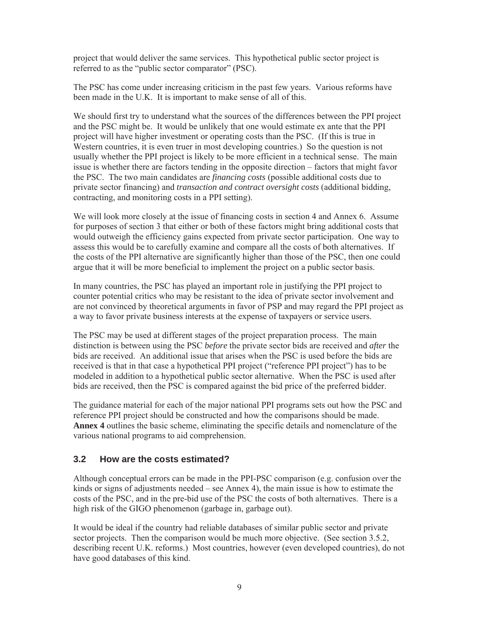project that would deliver the same services. This hypothetical public sector project is referred to as the "public sector comparator" (PSC).

The PSC has come under increasing criticism in the past few years. Various reforms have been made in the U.K. It is important to make sense of all of this.

We should first try to understand what the sources of the differences between the PPI project and the PSC might be. It would be unlikely that one would estimate ex ante that the PPI project will have higher investment or operating costs than the PSC. (If this is true in Western countries, it is even truer in most developing countries.) So the question is not usually whether the PPI project is likely to be more efficient in a technical sense. The main issue is whether there are factors tending in the opposite direction – factors that might favor the PSC. The two main candidates are *financing costs* (possible additional costs due to private sector financing) and *transaction and contract oversight costs* (additional bidding, contracting, and monitoring costs in a PPI setting).

We will look more closely at the issue of financing costs in section 4 and Annex 6. Assume for purposes of section 3 that either or both of these factors might bring additional costs that would outweigh the efficiency gains expected from private sector participation. One way to assess this would be to carefully examine and compare all the costs of both alternatives. If the costs of the PPI alternative are significantly higher than those of the PSC, then one could argue that it will be more beneficial to implement the project on a public sector basis.

In many countries, the PSC has played an important role in justifying the PPI project to counter potential critics who may be resistant to the idea of private sector involvement and are not convinced by theoretical arguments in favor of PSP and may regard the PPI project as a way to favor private business interests at the expense of taxpayers or service users.

The PSC may be used at different stages of the project preparation process. The main distinction is between using the PSC *before* the private sector bids are received and *after* the bids are received. An additional issue that arises when the PSC is used before the bids are received is that in that case a hypothetical PPI project ("reference PPI project") has to be modeled in addition to a hypothetical public sector alternative. When the PSC is used after bids are received, then the PSC is compared against the bid price of the preferred bidder.

The guidance material for each of the major national PPI programs sets out how the PSC and reference PPI project should be constructed and how the comparisons should be made. **Annex 4** outlines the basic scheme, eliminating the specific details and nomenclature of the various national programs to aid comprehension.

## **3.2 How are the costs estimated?**

Although conceptual errors can be made in the PPI-PSC comparison (e.g. confusion over the kinds or signs of adjustments needed – see Annex 4), the main issue is how to estimate the costs of the PSC, and in the pre-bid use of the PSC the costs of both alternatives. There is a high risk of the GIGO phenomenon (garbage in, garbage out).

It would be ideal if the country had reliable databases of similar public sector and private sector projects. Then the comparison would be much more objective. (See section 3.5.2, describing recent U.K. reforms.) Most countries, however (even developed countries), do not have good databases of this kind.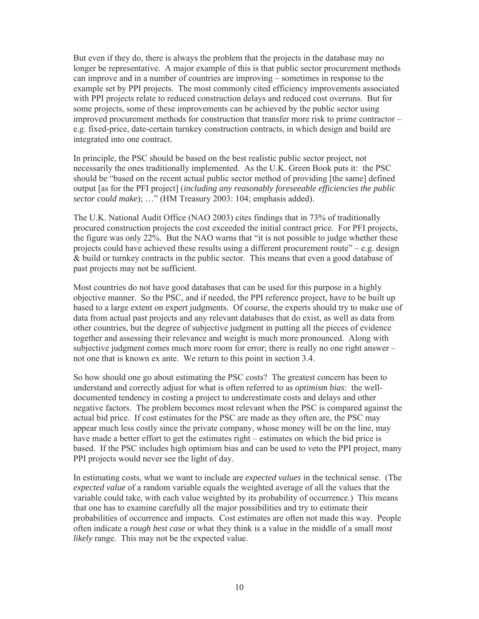But even if they do, there is always the problem that the projects in the database may no longer be representative. A major example of this is that public sector procurement methods can improve and in a number of countries are improving – sometimes in response to the example set by PPI projects. The most commonly cited efficiency improvements associated with PPI projects relate to reduced construction delays and reduced cost overruns. But for some projects, some of these improvements can be achieved by the public sector using improved procurement methods for construction that transfer more risk to prime contractor – e.g. fixed-price, date-certain turnkey construction contracts, in which design and build are integrated into one contract.

In principle, the PSC should be based on the best realistic public sector project, not necessarily the ones traditionally implemented. As the U.K. Green Book puts it: the PSC should be "based on the recent actual public sector method of providing [the same] defined output [as for the PFI project] (*including any reasonably foreseeable efficiencies the public sector could make*); …" (HM Treasury 2003: 104; emphasis added).

The U.K. National Audit Office (NAO 2003) cites findings that in 73% of traditionally procured construction projects the cost exceeded the initial contract price. For PFI projects, the figure was only 22%. But the NAO warns that "it is not possible to judge whether these projects could have achieved these results using a different procurement route" – e.g. design & build or turnkey contracts in the public sector. This means that even a good database of past projects may not be sufficient.

Most countries do not have good databases that can be used for this purpose in a highly objective manner. So the PSC, and if needed, the PPI reference project, have to be built up based to a large extent on expert judgments. Of course, the experts should try to make use of data from actual past projects and any relevant databases that do exist, as well as data from other countries, but the degree of subjective judgment in putting all the pieces of evidence together and assessing their relevance and weight is much more pronounced. Along with subjective judgment comes much more room for error; there is really no one right answer – not one that is known ex ante. We return to this point in section 3.4.

So how should one go about estimating the PSC costs? The greatest concern has been to understand and correctly adjust for what is often referred to as *optimism bias*: the welldocumented tendency in costing a project to underestimate costs and delays and other negative factors. The problem becomes most relevant when the PSC is compared against the actual bid price. If cost estimates for the PSC are made as they often are, the PSC may appear much less costly since the private company, whose money will be on the line, may have made a better effort to get the estimates right – estimates on which the bid price is based. If the PSC includes high optimism bias and can be used to veto the PPI project, many PPI projects would never see the light of day.

In estimating costs, what we want to include are *expected values* in the technical sense. (The *expected value* of a random variable equals the weighted average of all the values that the variable could take, with each value weighted by its probability of occurrence.) This means that one has to examine carefully all the major possibilities and try to estimate their probabilities of occurrence and impacts. Cost estimates are often not made this way. People often indicate a *rough best case* or what they think is a value in the middle of a small *most likely* range. This may not be the expected value.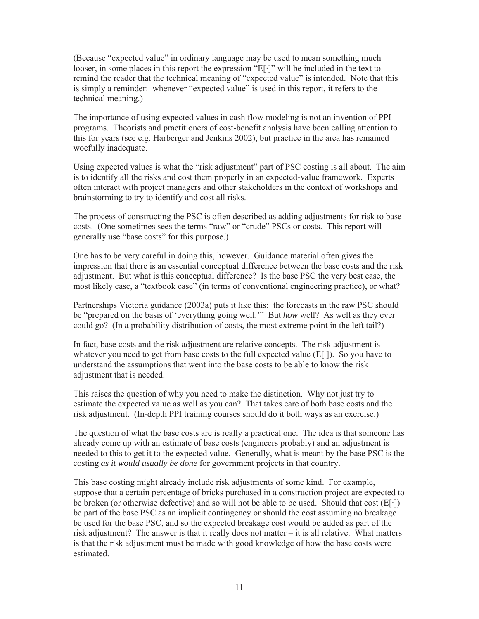(Because "expected value" in ordinary language may be used to mean something much looser, in some places in this report the expression " $E[\cdot]$ " will be included in the text to remind the reader that the technical meaning of "expected value" is intended. Note that this is simply a reminder: whenever "expected value" is used in this report, it refers to the technical meaning.)

The importance of using expected values in cash flow modeling is not an invention of PPI programs. Theorists and practitioners of cost-benefit analysis have been calling attention to this for years (see e.g. Harberger and Jenkins 2002), but practice in the area has remained woefully inadequate.

Using expected values is what the "risk adjustment" part of PSC costing is all about. The aim is to identify all the risks and cost them properly in an expected-value framework. Experts often interact with project managers and other stakeholders in the context of workshops and brainstorming to try to identify and cost all risks.

The process of constructing the PSC is often described as adding adjustments for risk to base costs. (One sometimes sees the terms "raw" or "crude" PSCs or costs. This report will generally use "base costs" for this purpose.)

One has to be very careful in doing this, however. Guidance material often gives the impression that there is an essential conceptual difference between the base costs and the risk adjustment. But what is this conceptual difference? Is the base PSC the very best case, the most likely case, a "textbook case" (in terms of conventional engineering practice), or what?

Partnerships Victoria guidance (2003a) puts it like this: the forecasts in the raw PSC should be "prepared on the basis of 'everything going well.'" But *how* well? As well as they ever could go? (In a probability distribution of costs, the most extreme point in the left tail?)

In fact, base costs and the risk adjustment are relative concepts. The risk adjustment is whatever you need to get from base costs to the full expected value  $(E[\cdot])$ . So you have to understand the assumptions that went into the base costs to be able to know the risk adjustment that is needed.

This raises the question of why you need to make the distinction. Why not just try to estimate the expected value as well as you can? That takes care of both base costs and the risk adjustment. (In-depth PPI training courses should do it both ways as an exercise.)

The question of what the base costs are is really a practical one. The idea is that someone has already come up with an estimate of base costs (engineers probably) and an adjustment is needed to this to get it to the expected value. Generally, what is meant by the base PSC is the costing *as it would usually be done* for government projects in that country.

This base costing might already include risk adjustments of some kind. For example, suppose that a certain percentage of bricks purchased in a construction project are expected to be broken (or otherwise defective) and so will not be able to be used. Should that cost  $(E[\cdot])$ be part of the base PSC as an implicit contingency or should the cost assuming no breakage be used for the base PSC, and so the expected breakage cost would be added as part of the risk adjustment? The answer is that it really does not matter – it is all relative. What matters is that the risk adjustment must be made with good knowledge of how the base costs were estimated.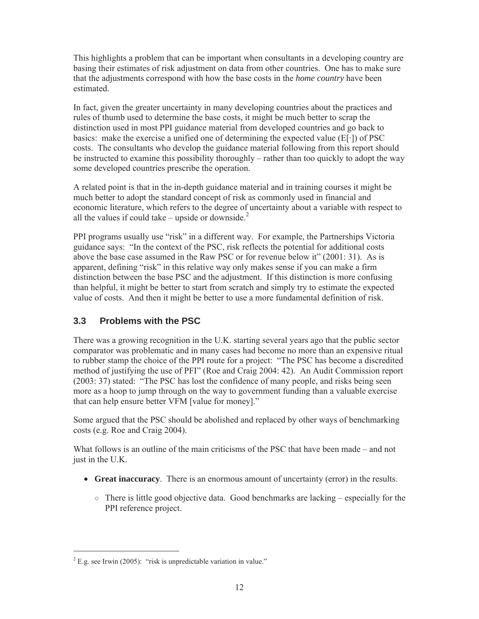This highlights a problem that can be important when consultants in a developing country are basing their estimates of risk adjustment on data from other countries. One has to make sure that the adjustments correspond with how the base costs in the *home country* have been estimated.

In fact, given the greater uncertainty in many developing countries about the practices and rules of thumb used to determine the base costs, it might be much better to scrap the distinction used in most PPI guidance material from developed countries and go back to basics: make the exercise a unified one of determining the expected value  $(E[\cdot])$  of PSC costs. The consultants who develop the guidance material following from this report should be instructed to examine this possibility thoroughly – rather than too quickly to adopt the way some developed countries prescribe the operation.

A related point is that in the in-depth guidance material and in training courses it might be much better to adopt the standard concept of risk as commonly used in financial and economic literature, which refers to the degree of uncertainty about a variable with respect to all the values if could take – upside or downside. $2$ 

PPI programs usually use "risk" in a different way. For example, the Partnerships Victoria guidance says: "In the context of the PSC, risk reflects the potential for additional costs above the base case assumed in the Raw PSC or for revenue below it" (2001: 31). As is apparent, defining "risk" in this relative way only makes sense if you can make a firm distinction between the base PSC and the adjustment. If this distinction is more confusing than helpful, it might be better to start from scratch and simply try to estimate the expected value of costs. And then it might be better to use a more fundamental definition of risk.

# **3.3 Problems with the PSC**

There was a growing recognition in the U.K. starting several years ago that the public sector comparator was problematic and in many cases had become no more than an expensive ritual to rubber stamp the choice of the PPI route for a project: "The PSC has become a discredited method of justifying the use of PFI" (Roe and Craig 2004: 42). An Audit Commission report (2003: 37) stated: "The PSC has lost the confidence of many people, and risks being seen more as a hoop to jump through on the way to government funding than a valuable exercise that can help ensure better VFM [value for money]."

Some argued that the PSC should be abolished and replaced by other ways of benchmarking costs (e.g. Roe and Craig 2004).

What follows is an outline of the main criticisms of the PSC that have been made – and not just in the U.K.

- x **Great inaccuracy**. There is an enormous amount of uncertainty (error) in the results.
	- $\circ$  There is little good objective data. Good benchmarks are lacking especially for the PPI reference project.

 $2^2$  E.g. see Irwin (2005): "risk is unpredictable variation in value."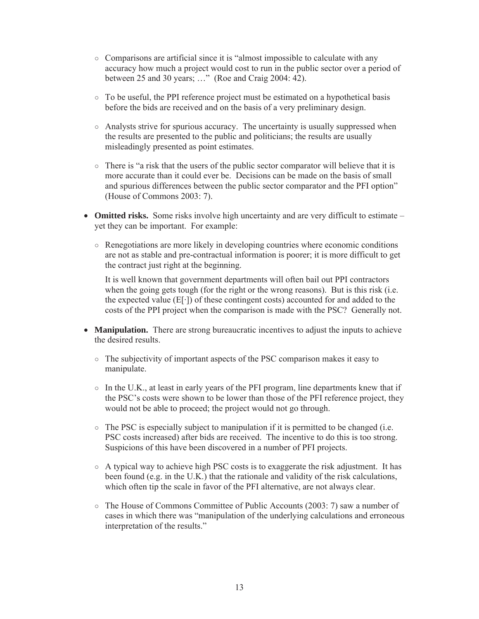- ż Comparisons are artificial since it is "almost impossible to calculate with any accuracy how much a project would cost to run in the public sector over a period of between 25 and 30 years; …" (Roe and Craig 2004: 42).
- $\circ$  To be useful, the PPI reference project must be estimated on a hypothetical basis before the bids are received and on the basis of a very preliminary design.
- $\circ$  Analysts strive for spurious accuracy. The uncertainty is usually suppressed when the results are presented to the public and politicians; the results are usually misleadingly presented as point estimates.
- $\circ$  There is "a risk that the users of the public sector comparator will believe that it is more accurate than it could ever be. Decisions can be made on the basis of small and spurious differences between the public sector comparator and the PFI option" (House of Commons 2003: 7).
- **Omitted risks.** Some risks involve high uncertainty and are very difficult to estimate yet they can be important. For example:
	- $\circ$  Renegotiations are more likely in developing countries where economic conditions are not as stable and pre-contractual information is poorer; it is more difficult to get the contract just right at the beginning.

It is well known that government departments will often bail out PPI contractors when the going gets tough (for the right or the wrong reasons). But is this risk (i.e. the expected value  $(E[\cdot])$  of these contingent costs) accounted for and added to the costs of the PPI project when the comparison is made with the PSC? Generally not.

- **Manipulation.** There are strong bureaucratic incentives to adjust the inputs to achieve the desired results.
	- $\circ$  The subjectivity of important aspects of the PSC comparison makes it easy to manipulate.
	- $\circ$  In the U.K., at least in early years of the PFI program, line departments knew that if the PSC's costs were shown to be lower than those of the PFI reference project, they would not be able to proceed; the project would not go through.
	- $\circ$  The PSC is especially subject to manipulation if it is permitted to be changed (i.e. PSC costs increased) after bids are received. The incentive to do this is too strong. Suspicions of this have been discovered in a number of PFI projects.
	- $\circ$  A typical way to achieve high PSC costs is to exaggerate the risk adjustment. It has been found (e.g. in the U.K.) that the rationale and validity of the risk calculations, which often tip the scale in favor of the PFI alternative, are not always clear.
	- $\circ$  The House of Commons Committee of Public Accounts (2003: 7) saw a number of cases in which there was "manipulation of the underlying calculations and erroneous interpretation of the results."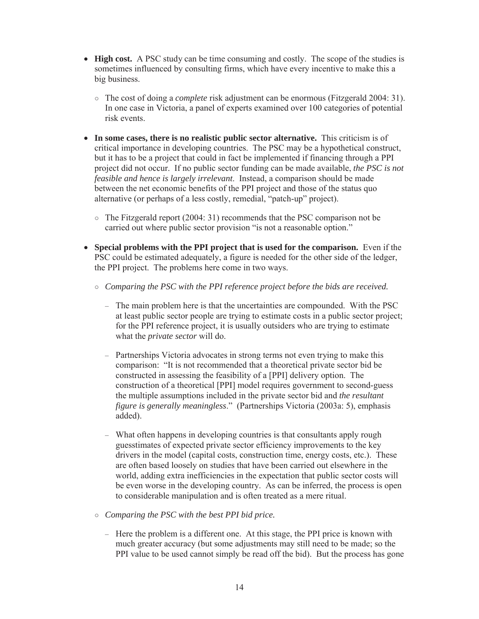- **High cost.** A PSC study can be time consuming and costly. The scope of the studies is sometimes influenced by consulting firms, which have every incentive to make this a big business.
	- ż The cost of doing a *complete* risk adjustment can be enormous (Fitzgerald 2004: 31). In one case in Victoria, a panel of experts examined over 100 categories of potential risk events.
- In some cases, there is no realistic public sector alternative. This criticism is of critical importance in developing countries. The PSC may be a hypothetical construct, but it has to be a project that could in fact be implemented if financing through a PPI project did not occur. If no public sector funding can be made available, *the PSC is not feasible and hence is largely irrelevant*. Instead, a comparison should be made between the net economic benefits of the PPI project and those of the status quo alternative (or perhaps of a less costly, remedial, "patch-up" project).
	- $\circ$  The Fitzgerald report (2004: 31) recommends that the PSC comparison not be carried out where public sector provision "is not a reasonable option."
- x **Special problems with the PPI project that is used for the comparison.** Even if the PSC could be estimated adequately, a figure is needed for the other side of the ledger, the PPI project. The problems here come in two ways.
	- ż *Comparing the PSC with the PPI reference project before the bids are received.*
		- The main problem here is that the uncertainties are compounded. With the PSC at least public sector people are trying to estimate costs in a public sector project; for the PPI reference project, it is usually outsiders who are trying to estimate what the *private sector* will do.
		- Partnerships Victoria advocates in strong terms not even trying to make this comparison: "It is not recommended that a theoretical private sector bid be constructed in assessing the feasibility of a [PPI] delivery option. The construction of a theoretical [PPI] model requires government to second-guess the multiple assumptions included in the private sector bid and *the resultant figure is generally meaningless*." (Partnerships Victoria (2003a: 5), emphasis added).
		- What often happens in developing countries is that consultants apply rough guesstimates of expected private sector efficiency improvements to the key drivers in the model (capital costs, construction time, energy costs, etc.). These are often based loosely on studies that have been carried out elsewhere in the world, adding extra inefficiencies in the expectation that public sector costs will be even worse in the developing country. As can be inferred, the process is open to considerable manipulation and is often treated as a mere ritual.
	- ż *Comparing the PSC with the best PPI bid price.*
		- Here the problem is a different one. At this stage, the PPI price is known with much greater accuracy (but some adjustments may still need to be made; so the PPI value to be used cannot simply be read off the bid). But the process has gone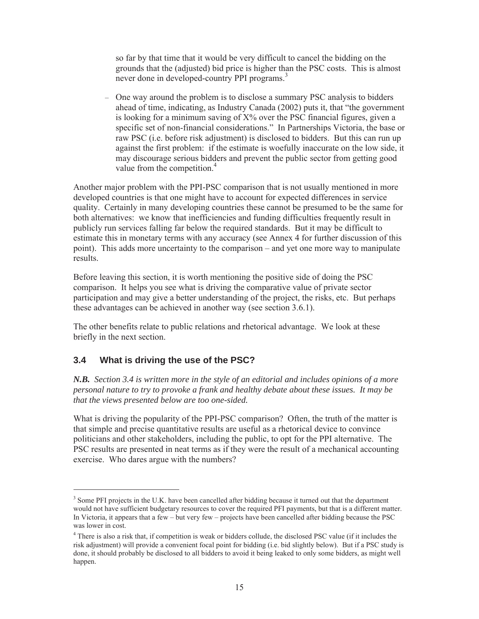so far by that time that it would be very difficult to cancel the bidding on the grounds that the (adjusted) bid price is higher than the PSC costs. This is almost never done in developed-country PPI programs.<sup>3</sup>

– One way around the problem is to disclose a summary PSC analysis to bidders ahead of time, indicating, as Industry Canada (2002) puts it, that "the government is looking for a minimum saving of X% over the PSC financial figures, given a specific set of non-financial considerations." In Partnerships Victoria, the base or raw PSC (i.e. before risk adjustment) is disclosed to bidders. But this can run up against the first problem: if the estimate is woefully inaccurate on the low side, it may discourage serious bidders and prevent the public sector from getting good value from the competition.<sup>4</sup>

Another major problem with the PPI-PSC comparison that is not usually mentioned in more developed countries is that one might have to account for expected differences in service quality. Certainly in many developing countries these cannot be presumed to be the same for both alternatives: we know that inefficiencies and funding difficulties frequently result in publicly run services falling far below the required standards. But it may be difficult to estimate this in monetary terms with any accuracy (see Annex 4 for further discussion of this point). This adds more uncertainty to the comparison – and yet one more way to manipulate results.

Before leaving this section, it is worth mentioning the positive side of doing the PSC comparison. It helps you see what is driving the comparative value of private sector participation and may give a better understanding of the project, the risks, etc. But perhaps these advantages can be achieved in another way (see section 3.6.1).

The other benefits relate to public relations and rhetorical advantage. We look at these briefly in the next section.

## **3.4 What is driving the use of the PSC?**

-

*N.B. Section 3.4 is written more in the style of an editorial and includes opinions of a more personal nature to try to provoke a frank and healthy debate about these issues. It may be that the views presented below are too one-sided.*

What is driving the popularity of the PPI-PSC comparison? Often, the truth of the matter is that simple and precise quantitative results are useful as a rhetorical device to convince politicians and other stakeholders, including the public, to opt for the PPI alternative. The PSC results are presented in neat terms as if they were the result of a mechanical accounting exercise. Who dares argue with the numbers?

<sup>&</sup>lt;sup>3</sup> Some PFI projects in the U.K. have been cancelled after bidding because it turned out that the department would not have sufficient budgetary resources to cover the required PFI payments, but that is a different matter. In Victoria, it appears that a few – but very few – projects have been cancelled after bidding because the PSC was lower in cost.

<sup>&</sup>lt;sup>4</sup> There is also a risk that, if competition is weak or bidders collude, the disclosed PSC value (if it includes the risk adjustment) will provide a convenient focal point for bidding (i.e. bid slightly below). But if a PSC study is done, it should probably be disclosed to all bidders to avoid it being leaked to only some bidders, as might well happen.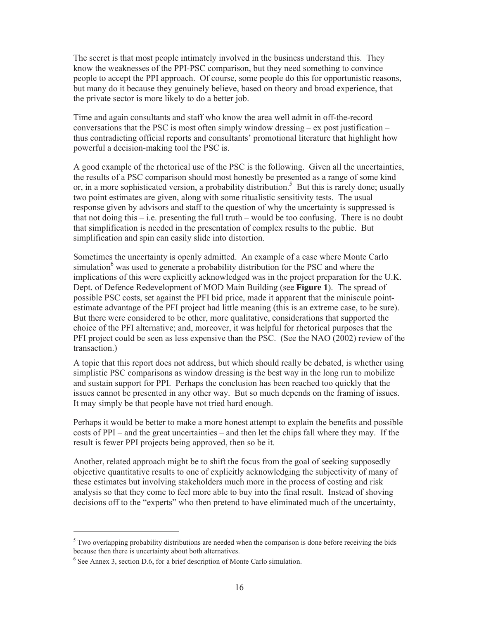The secret is that most people intimately involved in the business understand this. They know the weaknesses of the PPI-PSC comparison, but they need something to convince people to accept the PPI approach. Of course, some people do this for opportunistic reasons, but many do it because they genuinely believe, based on theory and broad experience, that the private sector is more likely to do a better job.

Time and again consultants and staff who know the area well admit in off-the-record conversations that the PSC is most often simply window dressing  $-$  ex post justification  $$ thus contradicting official reports and consultants' promotional literature that highlight how powerful a decision-making tool the PSC is.

A good example of the rhetorical use of the PSC is the following. Given all the uncertainties, the results of a PSC comparison should most honestly be presented as a range of some kind or, in a more sophisticated version, a probability distribution.<sup>5</sup> But this is rarely done; usually two point estimates are given, along with some ritualistic sensitivity tests. The usual response given by advisors and staff to the question of why the uncertainty is suppressed is that not doing this – i.e. presenting the full truth – would be too confusing. There is no doubt that simplification is needed in the presentation of complex results to the public. But simplification and spin can easily slide into distortion.

Sometimes the uncertainty is openly admitted. An example of a case where Monte Carlo simulation<sup>6</sup> was used to generate a probability distribution for the PSC and where the implications of this were explicitly acknowledged was in the project preparation for the U.K. Dept. of Defence Redevelopment of MOD Main Building (see **Figure 1**). The spread of possible PSC costs, set against the PFI bid price, made it apparent that the miniscule pointestimate advantage of the PFI project had little meaning (this is an extreme case, to be sure). But there were considered to be other, more qualitative, considerations that supported the choice of the PFI alternative; and, moreover, it was helpful for rhetorical purposes that the PFI project could be seen as less expensive than the PSC. (See the NAO (2002) review of the transaction.)

A topic that this report does not address, but which should really be debated, is whether using simplistic PSC comparisons as window dressing is the best way in the long run to mobilize and sustain support for PPI. Perhaps the conclusion has been reached too quickly that the issues cannot be presented in any other way. But so much depends on the framing of issues. It may simply be that people have not tried hard enough.

Perhaps it would be better to make a more honest attempt to explain the benefits and possible costs of PPI – and the great uncertainties – and then let the chips fall where they may. If the result is fewer PPI projects being approved, then so be it.

Another, related approach might be to shift the focus from the goal of seeking supposedly objective quantitative results to one of explicitly acknowledging the subjectivity of many of these estimates but involving stakeholders much more in the process of costing and risk analysis so that they come to feel more able to buy into the final result. Instead of shoving decisions off to the "experts" who then pretend to have eliminated much of the uncertainty,

 $<sup>5</sup>$  Two overlapping probability distributions are needed when the comparison is done before receiving the bids</sup> because then there is uncertainty about both alternatives.

<sup>&</sup>lt;sup>6</sup> See Annex 3, section D.6, for a brief description of Monte Carlo simulation.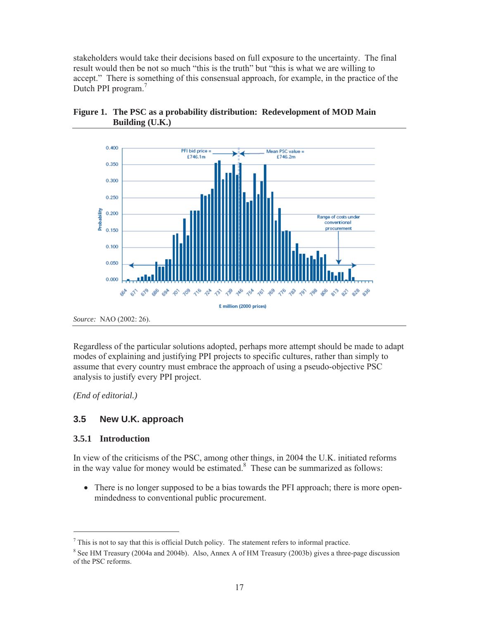stakeholders would take their decisions based on full exposure to the uncertainty. The final result would then be not so much "this is the truth" but "this is what we are willing to accept." There is something of this consensual approach, for example, in the practice of the Dutch PPI program.<sup>7</sup>



**Figure 1. The PSC as a probability distribution: Redevelopment of MOD Main Building (U.K.)**

Regardless of the particular solutions adopted, perhaps more attempt should be made to adapt modes of explaining and justifying PPI projects to specific cultures, rather than simply to assume that every country must embrace the approach of using a pseudo-objective PSC analysis to justify every PPI project.

*(End of editorial.)*

## **3.5 New U.K. approach**

#### **3.5.1 Introduction**

-

In view of the criticisms of the PSC, among other things, in 2004 the U.K. initiated reforms in the way value for money would be estimated. $8$  These can be summarized as follows:

• There is no longer supposed to be a bias towards the PFI approach; there is more openmindedness to conventional public procurement.

 $<sup>7</sup>$  This is not to say that this is official Dutch policy. The statement refers to informal practice.</sup>

 $8$  See HM Treasury (2004a and 2004b). Also, Annex A of HM Treasury (2003b) gives a three-page discussion of the PSC reforms.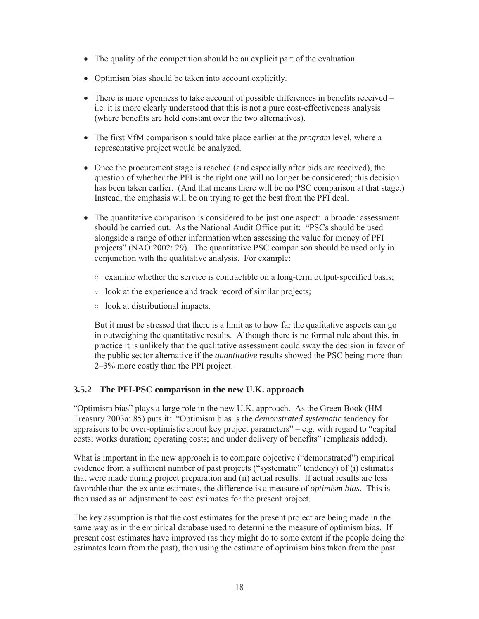- The quality of the competition should be an explicit part of the evaluation.
- Optimism bias should be taken into account explicitly.
- $\bullet$  There is more openness to take account of possible differences in benefits received i.e. it is more clearly understood that this is not a pure cost-effectiveness analysis (where benefits are held constant over the two alternatives).
- The first VfM comparison should take place earlier at the *program* level, where a representative project would be analyzed.
- Once the procurement stage is reached (and especially after bids are received), the question of whether the PFI is the right one will no longer be considered; this decision has been taken earlier. (And that means there will be no PSC comparison at that stage.) Instead, the emphasis will be on trying to get the best from the PFI deal.
- The quantitative comparison is considered to be just one aspect: a broader assessment should be carried out. As the National Audit Office put it: "PSCs should be used alongside a range of other information when assessing the value for money of PFI projects" (NAO 2002: 29). The quantitative PSC comparison should be used only in conjunction with the qualitative analysis. For example:
	- $\circ$  examine whether the service is contractible on a long-term output-specified basis;
	- $\circ$  look at the experience and track record of similar projects;
	- $\circ$  look at distributional impacts.

But it must be stressed that there is a limit as to how far the qualitative aspects can go in outweighing the quantitative results. Although there is no formal rule about this, in practice it is unlikely that the qualitative assessment could sway the decision in favor of the public sector alternative if the *quantitative* results showed the PSC being more than 2–3% more costly than the PPI project.

## **3.5.2 The PFI-PSC comparison in the new U.K. approach**

"Optimism bias" plays a large role in the new U.K. approach. As the Green Book (HM Treasury 2003a: 85) puts it: "Optimism bias is the *demonstrated systematic* tendency for appraisers to be over-optimistic about key project parameters"  $-e.g.$  with regard to "capital" costs; works duration; operating costs; and under delivery of benefits" (emphasis added).

What is important in the new approach is to compare objective ("demonstrated") empirical evidence from a sufficient number of past projects ("systematic" tendency) of (i) estimates that were made during project preparation and (ii) actual results. If actual results are less favorable than the ex ante estimates, the difference is a measure of *optimism bias*. This is then used as an adjustment to cost estimates for the present project.

The key assumption is that the cost estimates for the present project are being made in the same way as in the empirical database used to determine the measure of optimism bias. If present cost estimates have improved (as they might do to some extent if the people doing the estimates learn from the past), then using the estimate of optimism bias taken from the past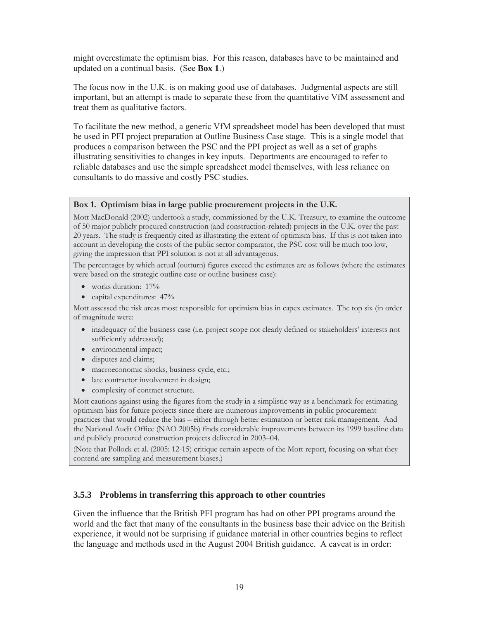might overestimate the optimism bias. For this reason, databases have to be maintained and updated on a continual basis. (See **Box 1**.)

The focus now in the U.K. is on making good use of databases. Judgmental aspects are still important, but an attempt is made to separate these from the quantitative VfM assessment and treat them as qualitative factors.

To facilitate the new method, a generic VfM spreadsheet model has been developed that must be used in PFI project preparation at Outline Business Case stage. This is a single model that produces a comparison between the PSC and the PPI project as well as a set of graphs illustrating sensitivities to changes in key inputs. Departments are encouraged to refer to reliable databases and use the simple spreadsheet model themselves, with less reliance on consultants to do massive and costly PSC studies.

#### **Box 1. Optimism bias in large public procurement projects in the U.K.**

Mott MacDonald (2002) undertook a study, commissioned by the U.K. Treasury, to examine the outcome of 50 major publicly procured construction (and construction-related) projects in the U.K. over the past 20 years. The study is frequently cited as illustrating the extent of optimism bias. If this is not taken into account in developing the costs of the public sector comparator, the PSC cost will be much too low, giving the impression that PPI solution is not at all advantageous.

The percentages by which actual (outturn) figures exceed the estimates are as follows (where the estimates were based on the strategic outline case or outline business case):

- $\bullet$  works duration: 17%
- capital expenditures:  $47\%$

Mott assessed the risk areas most responsible for optimism bias in capex estimates. The top six (in order of magnitude were:

- inadequacy of the business case (i.e. project scope not clearly defined or stakeholders' interests not sufficiently addressed);
- $\bullet$  environmental impact;
- disputes and claims;
- $\bullet$  macroeconomic shocks, business cycle, etc.;
- late contractor involvement in design;
- complexity of contract structure.

Mott cautions against using the figures from the study in a simplistic way as a benchmark for estimating optimism bias for future projects since there are numerous improvements in public procurement practices that would reduce the bias – either through better estimation or better risk management. And the National Audit Office (NAO 2005b) finds considerable improvements between its 1999 baseline data and publicly procured construction projects delivered in 2003–04.

(Note that Pollock et al. (2005: 12-15) critique certain aspects of the Mott report, focusing on what they contend are sampling and measurement biases.)

#### **3.5.3 Problems in transferring this approach to other countries**

Given the influence that the British PFI program has had on other PPI programs around the world and the fact that many of the consultants in the business base their advice on the British experience, it would not be surprising if guidance material in other countries begins to reflect the language and methods used in the August 2004 British guidance. A caveat is in order: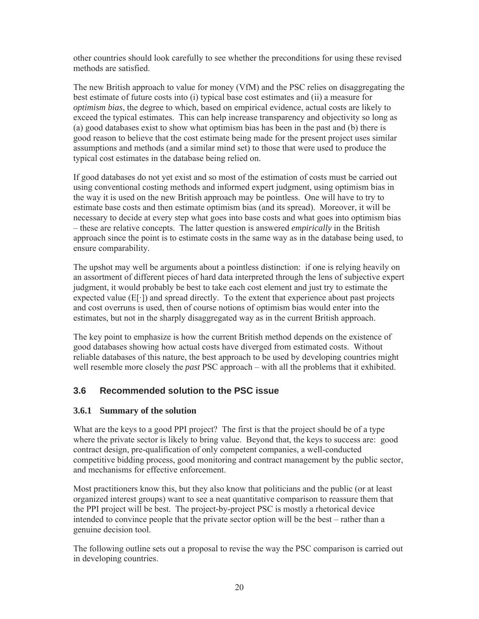other countries should look carefully to see whether the preconditions for using these revised methods are satisfied.

The new British approach to value for money (VfM) and the PSC relies on disaggregating the best estimate of future costs into (i) typical base cost estimates and (ii) a measure for *optimism bias*, the degree to which, based on empirical evidence, actual costs are likely to exceed the typical estimates. This can help increase transparency and objectivity so long as (a) good databases exist to show what optimism bias has been in the past and (b) there is good reason to believe that the cost estimate being made for the present project uses similar assumptions and methods (and a similar mind set) to those that were used to produce the typical cost estimates in the database being relied on.

If good databases do not yet exist and so most of the estimation of costs must be carried out using conventional costing methods and informed expert judgment, using optimism bias in the way it is used on the new British approach may be pointless. One will have to try to estimate base costs and then estimate optimism bias (and its spread). Moreover, it will be necessary to decide at every step what goes into base costs and what goes into optimism bias – these are relative concepts. The latter question is answered *empirically* in the British approach since the point is to estimate costs in the same way as in the database being used, to ensure comparability.

The upshot may well be arguments about a pointless distinction: if one is relying heavily on an assortment of different pieces of hard data interpreted through the lens of subjective expert judgment, it would probably be best to take each cost element and just try to estimate the expected value  $(E[\cdot])$  and spread directly. To the extent that experience about past projects and cost overruns is used, then of course notions of optimism bias would enter into the estimates, but not in the sharply disaggregated way as in the current British approach.

The key point to emphasize is how the current British method depends on the existence of good databases showing how actual costs have diverged from estimated costs. Without reliable databases of this nature, the best approach to be used by developing countries might well resemble more closely the *past* PSC approach – with all the problems that it exhibited.

## **3.6 Recommended solution to the PSC issue**

#### **3.6.1 Summary of the solution**

What are the keys to a good PPI project? The first is that the project should be of a type where the private sector is likely to bring value. Beyond that, the keys to success are: good contract design, pre-qualification of only competent companies, a well-conducted competitive bidding process, good monitoring and contract management by the public sector, and mechanisms for effective enforcement.

Most practitioners know this, but they also know that politicians and the public (or at least organized interest groups) want to see a neat quantitative comparison to reassure them that the PPI project will be best. The project-by-project PSC is mostly a rhetorical device intended to convince people that the private sector option will be the best – rather than a genuine decision tool.

The following outline sets out a proposal to revise the way the PSC comparison is carried out in developing countries.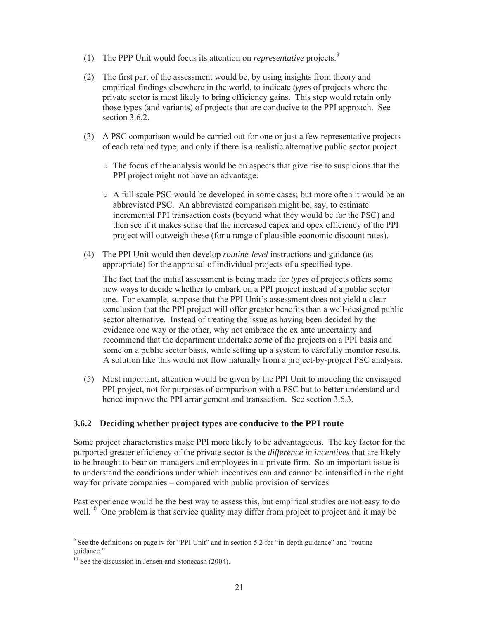- (1) The PPP Unit would focus its attention on *representative* projects.<sup>9</sup>
- (2) The first part of the assessment would be, by using insights from theory and empirical findings elsewhere in the world, to indicate *types* of projects where the private sector is most likely to bring efficiency gains. This step would retain only those types (and variants) of projects that are conducive to the PPI approach. See section 3.6.2.
- (3) A PSC comparison would be carried out for one or just a few representative projects of each retained type, and only if there is a realistic alternative public sector project.
	- $\circ$  The focus of the analysis would be on aspects that give rise to suspicions that the PPI project might not have an advantage.
	- $\circ$  A full scale PSC would be developed in some cases; but more often it would be an abbreviated PSC. An abbreviated comparison might be, say, to estimate incremental PPI transaction costs (beyond what they would be for the PSC) and then see if it makes sense that the increased capex and opex efficiency of the PPI project will outweigh these (for a range of plausible economic discount rates).
- (4) The PPI Unit would then develop *routine-level* instructions and guidance (as appropriate) for the appraisal of individual projects of a specified type.

The fact that the initial assessment is being made for *types* of projects offers some new ways to decide whether to embark on a PPI project instead of a public sector one. For example, suppose that the PPI Unit's assessment does not yield a clear conclusion that the PPI project will offer greater benefits than a well-designed public sector alternative. Instead of treating the issue as having been decided by the evidence one way or the other, why not embrace the ex ante uncertainty and recommend that the department undertake *some* of the projects on a PPI basis and some on a public sector basis, while setting up a system to carefully monitor results. A solution like this would not flow naturally from a project-by-project PSC analysis.

(5) Most important, attention would be given by the PPI Unit to modeling the envisaged PPI project, not for purposes of comparison with a PSC but to better understand and hence improve the PPI arrangement and transaction. See section 3.6.3.

#### **3.6.2 Deciding whether project types are conducive to the PPI route**

Some project characteristics make PPI more likely to be advantageous. The key factor for the purported greater efficiency of the private sector is the *difference in incentives* that are likely to be brought to bear on managers and employees in a private firm. So an important issue is to understand the conditions under which incentives can and cannot be intensified in the right way for private companies – compared with public provision of services.

Past experience would be the best way to assess this, but empirical studies are not easy to do well.<sup>10</sup> One problem is that service quality may differ from project to project and it may be

<sup>&</sup>lt;sup>9</sup> See the definitions on page iv for "PPI Unit" and in section 5.2 for "in-depth guidance" and "routine guidance."

 $10$  See the discussion in Jensen and Stonecash (2004).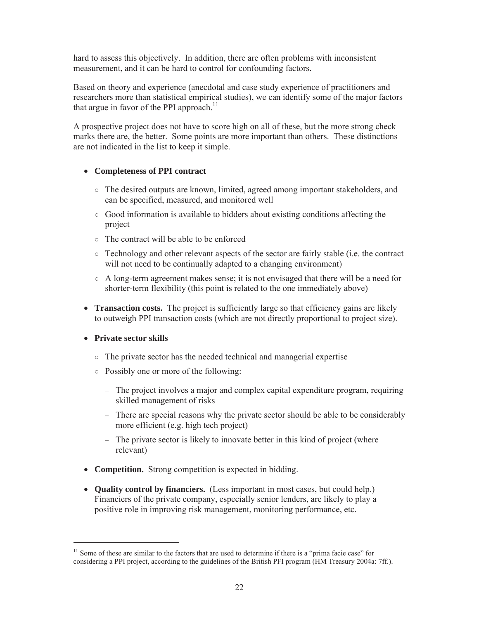hard to assess this objectively. In addition, there are often problems with inconsistent measurement, and it can be hard to control for confounding factors.

Based on theory and experience (anecdotal and case study experience of practitioners and researchers more than statistical empirical studies), we can identify some of the major factors that argue in favor of the PPI approach.<sup>11</sup>

A prospective project does not have to score high on all of these, but the more strong check marks there are, the better. Some points are more important than others. These distinctions are not indicated in the list to keep it simple.

#### x **Completeness of PPI contract**

- ż The desired outputs are known, limited, agreed among important stakeholders, and can be specified, measured, and monitored well
- $\circ$  Good information is available to bidders about existing conditions affecting the project
- $\circ$  The contract will be able to be enforced
- $\circ$  Technology and other relevant aspects of the sector are fairly stable (i.e. the contract will not need to be continually adapted to a changing environment)
- $\circ$  A long-term agreement makes sense; it is not envisaged that there will be a need for shorter-term flexibility (this point is related to the one immediately above)
- **Transaction costs.** The project is sufficiently large so that efficiency gains are likely to outweigh PPI transaction costs (which are not directly proportional to project size).

#### **•** Private sector skills

- $\circ$  The private sector has the needed technical and managerial expertise
- $\circ$  Possibly one or more of the following:
	- The project involves a major and complex capital expenditure program, requiring skilled management of risks
	- There are special reasons why the private sector should be able to be considerably more efficient (e.g. high tech project)
	- The private sector is likely to innovate better in this kind of project (where relevant)
- **Competition.** Strong competition is expected in bidding.
- **Quality control by financiers.** (Less important in most cases, but could help.) Financiers of the private company, especially senior lenders, are likely to play a positive role in improving risk management, monitoring performance, etc.

 $11$  Some of these are similar to the factors that are used to determine if there is a "prima facie case" for considering a PPI project, according to the guidelines of the British PFI program (HM Treasury 2004a: 7ff.).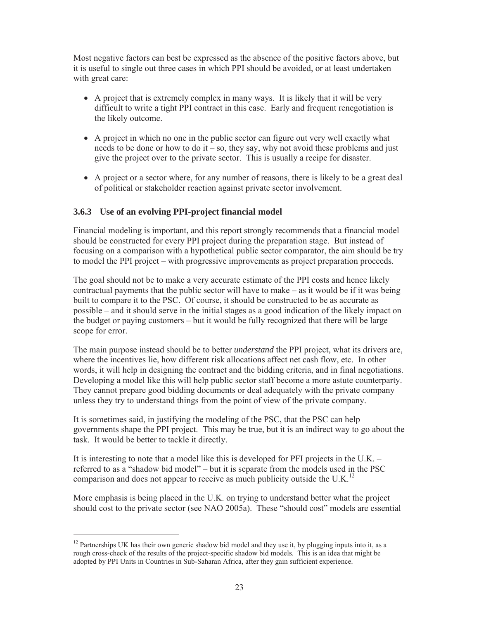Most negative factors can best be expressed as the absence of the positive factors above, but it is useful to single out three cases in which PPI should be avoided, or at least undertaken with great care:

- $\bullet$  A project that is extremely complex in many ways. It is likely that it will be very difficult to write a tight PPI contract in this case. Early and frequent renegotiation is the likely outcome.
- A project in which no one in the public sector can figure out very well exactly what needs to be done or how to do it – so, they say, why not avoid these problems and just give the project over to the private sector. This is usually a recipe for disaster.
- A project or a sector where, for any number of reasons, there is likely to be a great deal of political or stakeholder reaction against private sector involvement.

#### **3.6.3 Use of an evolving PPI-project financial model**

Financial modeling is important, and this report strongly recommends that a financial model should be constructed for every PPI project during the preparation stage. But instead of focusing on a comparison with a hypothetical public sector comparator, the aim should be try to model the PPI project – with progressive improvements as project preparation proceeds.

The goal should not be to make a very accurate estimate of the PPI costs and hence likely contractual payments that the public sector will have to make – as it would be if it was being built to compare it to the PSC. Of course, it should be constructed to be as accurate as possible – and it should serve in the initial stages as a good indication of the likely impact on the budget or paying customers – but it would be fully recognized that there will be large scope for error.

The main purpose instead should be to better *understand* the PPI project, what its drivers are, where the incentives lie, how different risk allocations affect net cash flow, etc. In other words, it will help in designing the contract and the bidding criteria, and in final negotiations. Developing a model like this will help public sector staff become a more astute counterparty. They cannot prepare good bidding documents or deal adequately with the private company unless they try to understand things from the point of view of the private company.

It is sometimes said, in justifying the modeling of the PSC, that the PSC can help governments shape the PPI project. This may be true, but it is an indirect way to go about the task. It would be better to tackle it directly.

It is interesting to note that a model like this is developed for PFI projects in the U.K. – referred to as a "shadow bid model" – but it is separate from the models used in the PSC comparison and does not appear to receive as much publicity outside the U.K.<sup>12</sup>

More emphasis is being placed in the U.K. on trying to understand better what the project should cost to the private sector (see NAO 2005a). These "should cost" models are essential

<sup>&</sup>lt;sup>12</sup> Partnerships UK has their own generic shadow bid model and they use it, by plugging inputs into it, as a rough cross-check of the results of the project-specific shadow bid models. This is an idea that might be adopted by PPI Units in Countries in Sub-Saharan Africa, after they gain sufficient experience.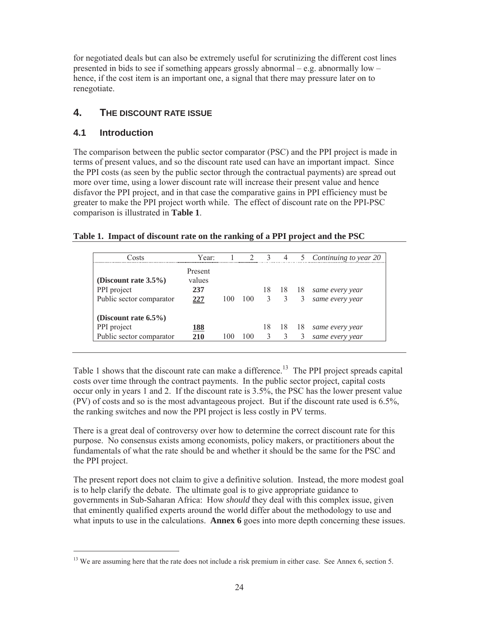for negotiated deals but can also be extremely useful for scrutinizing the different cost lines presented in bids to see if something appears grossly abnormal – e.g. abnormally low – hence, if the cost item is an important one, a signal that there may pressure later on to renegotiate.

# **4. THE DISCOUNT RATE ISSUE**

# **4.1 Introduction**

-

The comparison between the public sector comparator (PSC) and the PPI project is made in terms of present values, and so the discount rate used can have an important impact. Since the PPI costs (as seen by the public sector through the contractual payments) are spread out more over time, using a lower discount rate will increase their present value and hence disfavor the PPI project, and in that case the comparative gains in PPI efficiency must be greater to make the PPI project worth while. The effect of discount rate on the PPI-PSC comparison is illustrated in **Table 1**.

#### **Table 1. Impact of discount rate on the ranking of a PPI project and the PSC**

| Costs                    | Year:             |     | $\mathcal{D}$ | $\mathcal{R}$           | $\overline{4}$ | $\overline{\phantom{1}}$ | Continuing to year 20 |
|--------------------------|-------------------|-----|---------------|-------------------------|----------------|--------------------------|-----------------------|
| (Discount rate $3.5\%$ ) | Present<br>values |     |               |                         |                |                          |                       |
| PPI project              | 237               |     |               | 18                      | -18            | 18                       | same every year       |
| Public sector comparator | 227               | 100 | 100           | $\overline{\mathbf{3}}$ |                | 3                        | same every year       |
| (Discount rate $6.5\%$ ) |                   |     |               |                         |                |                          |                       |
| PPI project              | 188               |     |               | 18                      | 18             | 18                       | same every year       |
| Public sector comparator | 210               |     | 100           |                         |                |                          | same every year       |

Table 1 shows that the discount rate can make a difference.<sup>13</sup> The PPI project spreads capital costs over time through the contract payments. In the public sector project, capital costs occur only in years 1 and 2. If the discount rate is 3.5%, the PSC has the lower present value (PV) of costs and so is the most advantageous project. But if the discount rate used is 6.5%, the ranking switches and now the PPI project is less costly in PV terms.

There is a great deal of controversy over how to determine the correct discount rate for this purpose. No consensus exists among economists, policy makers, or practitioners about the fundamentals of what the rate should be and whether it should be the same for the PSC and the PPI project.

The present report does not claim to give a definitive solution. Instead, the more modest goal is to help clarify the debate. The ultimate goal is to give appropriate guidance to governments in Sub-Saharan Africa: How *should* they deal with this complex issue, given that eminently qualified experts around the world differ about the methodology to use and what inputs to use in the calculations. **Annex 6** goes into more depth concerning these issues.

<sup>&</sup>lt;sup>13</sup> We are assuming here that the rate does not include a risk premium in either case. See Annex 6, section 5.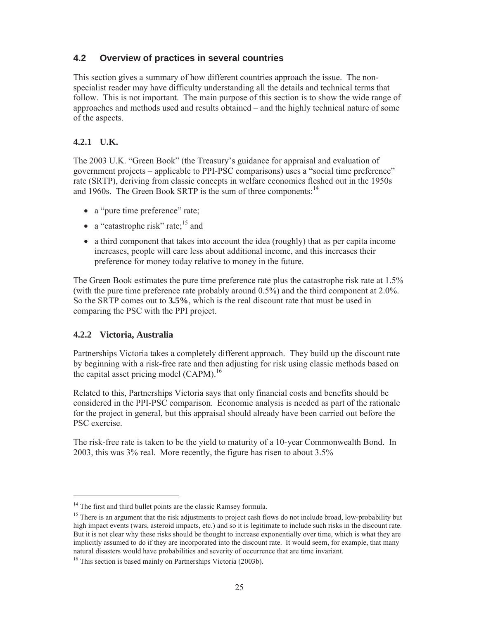# **4.2 Overview of practices in several countries**

This section gives a summary of how different countries approach the issue. The nonspecialist reader may have difficulty understanding all the details and technical terms that follow. This is not important. The main purpose of this section is to show the wide range of approaches and methods used and results obtained – and the highly technical nature of some of the aspects.

# **4.2.1 U.K.**

The 2003 U.K. "Green Book" (the Treasury's guidance for appraisal and evaluation of government projects – applicable to PPI-PSC comparisons) uses a "social time preference" rate (SRTP), deriving from classic concepts in welfare economics fleshed out in the 1950s and 1960s. The Green Book SRTP is the sum of three components:  $14$ 

- a "pure time preference" rate;
- a "catastrophe risk" rate; $15$  and
- $\bullet$  a third component that takes into account the idea (roughly) that as per capita income increases, people will care less about additional income, and this increases their preference for money today relative to money in the future.

The Green Book estimates the pure time preference rate plus the catastrophe risk rate at 1.5% (with the pure time preference rate probably around 0.5%) and the third component at 2.0%. So the SRTP comes out to **3.5%**, which is the real discount rate that must be used in comparing the PSC with the PPI project.

## **4.2.2 Victoria, Australia**

-

Partnerships Victoria takes a completely different approach. They build up the discount rate by beginning with a risk-free rate and then adjusting for risk using classic methods based on the capital asset pricing model (CAPM).<sup>16</sup>

Related to this, Partnerships Victoria says that only financial costs and benefits should be considered in the PPI-PSC comparison. Economic analysis is needed as part of the rationale for the project in general, but this appraisal should already have been carried out before the PSC exercise.

The risk-free rate is taken to be the yield to maturity of a 10-year Commonwealth Bond. In 2003, this was 3% real. More recently, the figure has risen to about 3.5%

<sup>&</sup>lt;sup>14</sup> The first and third bullet points are the classic Ramsey formula.

 $15$  There is an argument that the risk adjustments to project cash flows do not include broad, low-probability but high impact events (wars, asteroid impacts, etc.) and so it is legitimate to include such risks in the discount rate. But it is not clear why these risks should be thought to increase exponentially over time, which is what they are implicitly assumed to do if they are incorporated into the discount rate. It would seem, for example, that many natural disasters would have probabilities and severity of occurrence that are time invariant.

<sup>&</sup>lt;sup>16</sup> This section is based mainly on Partnerships Victoria (2003b).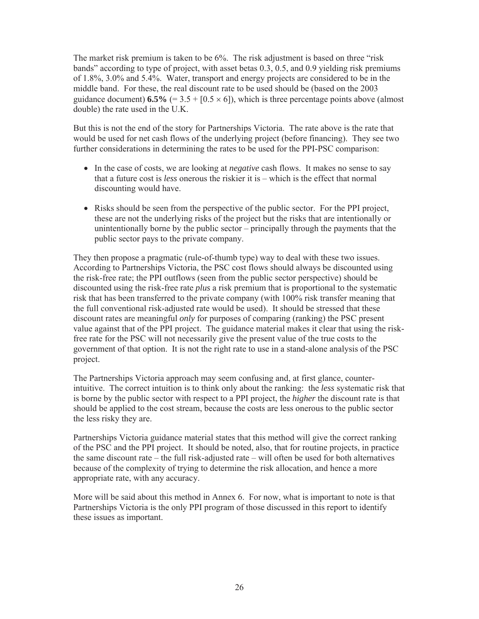The market risk premium is taken to be 6%. The risk adjustment is based on three "risk bands" according to type of project, with asset betas 0.3, 0.5, and 0.9 yielding risk premiums of 1.8%, 3.0% and 5.4%. Water, transport and energy projects are considered to be in the middle band. For these, the real discount rate to be used should be (based on the 2003 guidance document)  $6.5\%$  (= 3.5 + [0.5  $\times$  6]), which is three percentage points above (almost double) the rate used in the U.K.

But this is not the end of the story for Partnerships Victoria. The rate above is the rate that would be used for net cash flows of the underlying project (before financing). They see two further considerations in determining the rates to be used for the PPI-PSC comparison:

- In the case of costs, we are looking at *negative* cash flows. It makes no sense to say that a future cost is *less* onerous the riskier it is – which is the effect that normal discounting would have.
- $\bullet$  Risks should be seen from the perspective of the public sector. For the PPI project, these are not the underlying risks of the project but the risks that are intentionally or unintentionally borne by the public sector – principally through the payments that the public sector pays to the private company.

They then propose a pragmatic (rule-of-thumb type) way to deal with these two issues. According to Partnerships Victoria, the PSC cost flows should always be discounted using the risk-free rate; the PPI outflows (seen from the public sector perspective) should be discounted using the risk-free rate *plus* a risk premium that is proportional to the systematic risk that has been transferred to the private company (with 100% risk transfer meaning that the full conventional risk-adjusted rate would be used). It should be stressed that these discount rates are meaningful *only* for purposes of comparing (ranking) the PSC present value against that of the PPI project. The guidance material makes it clear that using the riskfree rate for the PSC will not necessarily give the present value of the true costs to the government of that option. It is not the right rate to use in a stand-alone analysis of the PSC project.

The Partnerships Victoria approach may seem confusing and, at first glance, counterintuitive. The correct intuition is to think only about the ranking: the *less* systematic risk that is borne by the public sector with respect to a PPI project, the *higher* the discount rate is that should be applied to the cost stream, because the costs are less onerous to the public sector the less risky they are.

Partnerships Victoria guidance material states that this method will give the correct ranking of the PSC and the PPI project. It should be noted, also, that for routine projects, in practice the same discount rate – the full risk-adjusted rate – will often be used for both alternatives because of the complexity of trying to determine the risk allocation, and hence a more appropriate rate, with any accuracy.

More will be said about this method in Annex 6. For now, what is important to note is that Partnerships Victoria is the only PPI program of those discussed in this report to identify these issues as important.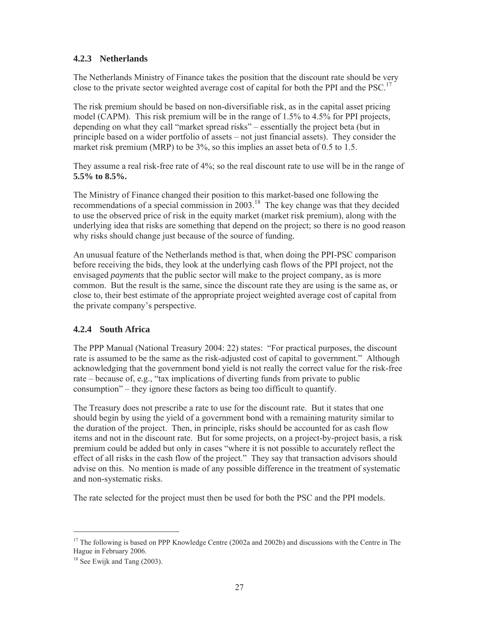## **4.2.3 Netherlands**

The Netherlands Ministry of Finance takes the position that the discount rate should be very close to the private sector weighted average cost of capital for both the PPI and the PSC.<sup>17</sup>

The risk premium should be based on non-diversifiable risk, as in the capital asset pricing model (CAPM). This risk premium will be in the range of 1.5% to 4.5% for PPI projects, depending on what they call "market spread risks" – essentially the project beta (but in principle based on a wider portfolio of assets – not just financial assets). They consider the market risk premium (MRP) to be 3%, so this implies an asset beta of 0.5 to 1.5.

They assume a real risk-free rate of 4%; so the real discount rate to use will be in the range of **5.5% to 8.5%.**

The Ministry of Finance changed their position to this market-based one following the recommendations of a special commission in 2003.<sup>18</sup> The key change was that they decided to use the observed price of risk in the equity market (market risk premium), along with the underlying idea that risks are something that depend on the project; so there is no good reason why risks should change just because of the source of funding.

An unusual feature of the Netherlands method is that, when doing the PPI-PSC comparison before receiving the bids, they look at the underlying cash flows of the PPI project, not the envisaged *payments* that the public sector will make to the project company, as is more common. But the result is the same, since the discount rate they are using is the same as, or close to, their best estimate of the appropriate project weighted average cost of capital from the private company's perspective.

## **4.2.4 South Africa**

The PPP Manual (National Treasury 2004: 22) states: "For practical purposes, the discount rate is assumed to be the same as the risk-adjusted cost of capital to government." Although acknowledging that the government bond yield is not really the correct value for the risk-free rate – because of, e.g., "tax implications of diverting funds from private to public consumption" – they ignore these factors as being too difficult to quantify.

The Treasury does not prescribe a rate to use for the discount rate. But it states that one should begin by using the yield of a government bond with a remaining maturity similar to the duration of the project. Then, in principle, risks should be accounted for as cash flow items and not in the discount rate. But for some projects, on a project-by-project basis, a risk premium could be added but only in cases "where it is not possible to accurately reflect the effect of all risks in the cash flow of the project." They say that transaction advisors should advise on this. No mention is made of any possible difference in the treatment of systematic and non-systematic risks.

The rate selected for the project must then be used for both the PSC and the PPI models.

<sup>&</sup>lt;sup>17</sup> The following is based on PPP Knowledge Centre (2002a and 2002b) and discussions with the Centre in The Hague in February 2006.

 $18$  See Ewijk and Tang (2003).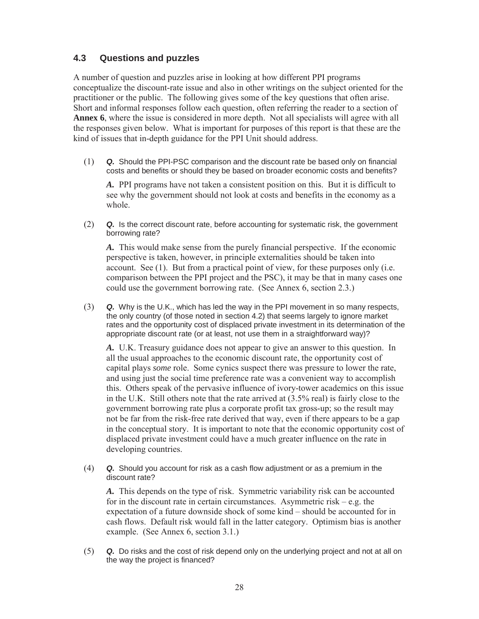## **4.3 Questions and puzzles**

A number of question and puzzles arise in looking at how different PPI programs conceptualize the discount-rate issue and also in other writings on the subject oriented for the practitioner or the public. The following gives some of the key questions that often arise. Short and informal responses follow each question, often referring the reader to a section of **Annex 6**, where the issue is considered in more depth. Not all specialists will agree with all the responses given below. What is important for purposes of this report is that these are the kind of issues that in-depth guidance for the PPI Unit should address.

(1) *Q.* Should the PPI-PSC comparison and the discount rate be based only on financial costs and benefits or should they be based on broader economic costs and benefits?

*A.* PPI programs have not taken a consistent position on this. But it is difficult to see why the government should not look at costs and benefits in the economy as a whole.

(2) *Q.* Is the correct discount rate, before accounting for systematic risk, the government borrowing rate?

*A.* This would make sense from the purely financial perspective. If the economic perspective is taken, however, in principle externalities should be taken into account. See (1). But from a practical point of view, for these purposes only (i.e. comparison between the PPI project and the PSC), it may be that in many cases one could use the government borrowing rate. (See Annex 6, section 2.3.)

(3) *Q.* Why is the U.K., which has led the way in the PPI movement in so many respects, the only country (of those noted in section 4.2) that seems largely to ignore market rates and the opportunity cost of displaced private investment in its determination of the appropriate discount rate (or at least, not use them in a straightforward way)?

*A.* U.K. Treasury guidance does not appear to give an answer to this question. In all the usual approaches to the economic discount rate, the opportunity cost of capital plays *some* role. Some cynics suspect there was pressure to lower the rate, and using just the social time preference rate was a convenient way to accomplish this. Others speak of the pervasive influence of ivory-tower academics on this issue in the U.K. Still others note that the rate arrived at (3.5% real) is fairly close to the government borrowing rate plus a corporate profit tax gross-up; so the result may not be far from the risk-free rate derived that way, even if there appears to be a gap in the conceptual story. It is important to note that the economic opportunity cost of displaced private investment could have a much greater influence on the rate in developing countries.

(4) *Q.* Should you account for risk as a cash flow adjustment or as a premium in the discount rate?

*A.* This depends on the type of risk. Symmetric variability risk can be accounted for in the discount rate in certain circumstances. Asymmetric risk – e.g. the expectation of a future downside shock of some kind – should be accounted for in cash flows. Default risk would fall in the latter category. Optimism bias is another example. (See Annex 6, section 3.1.)

(5) *Q.* Do risks and the cost of risk depend only on the underlying project and not at all on the way the project is financed?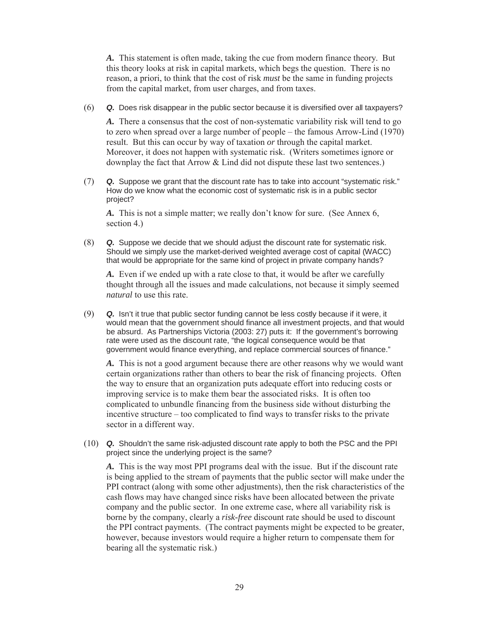*A.* This statement is often made, taking the cue from modern finance theory. But this theory looks at risk in capital markets, which begs the question. There is no reason, a priori, to think that the cost of risk *must* be the same in funding projects from the capital market, from user charges, and from taxes.

(6) *Q.* Does risk disappear in the public sector because it is diversified over all taxpayers?

*A.* There a consensus that the cost of non-systematic variability risk will tend to go to zero when spread over a large number of people – the famous Arrow-Lind (1970) result. But this can occur by way of taxation *or* through the capital market. Moreover, it does not happen with systematic risk. (Writers sometimes ignore or downplay the fact that Arrow & Lind did not dispute these last two sentences.)

(7) *Q.* Suppose we grant that the discount rate has to take into account "systematic risk." How do we know what the economic cost of systematic risk is in a public sector project?

*A.* This is not a simple matter; we really don't know for sure. (See Annex 6, section 4.)

(8) *Q.* Suppose we decide that we should adjust the discount rate for systematic risk. Should we simply use the market-derived weighted average cost of capital (WACC) that would be appropriate for the same kind of project in private company hands?

*A.* Even if we ended up with a rate close to that, it would be after we carefully thought through all the issues and made calculations, not because it simply seemed *natural* to use this rate.

(9) *Q.* Isn't it true that public sector funding cannot be less costly because if it were, it would mean that the government should finance all investment projects, and that would be absurd. As Partnerships Victoria (2003: 27) puts it: If the government's borrowing rate were used as the discount rate, "the logical consequence would be that government would finance everything, and replace commercial sources of finance."

*A.* This is not a good argument because there are other reasons why we would want certain organizations rather than others to bear the risk of financing projects. Often the way to ensure that an organization puts adequate effort into reducing costs or improving service is to make them bear the associated risks. It is often too complicated to unbundle financing from the business side without disturbing the incentive structure – too complicated to find ways to transfer risks to the private sector in a different way.

(10) *Q.* Shouldn't the same risk-adjusted discount rate apply to both the PSC and the PPI project since the underlying project is the same?

*A.* This is the way most PPI programs deal with the issue. But if the discount rate is being applied to the stream of payments that the public sector will make under the PPI contract (along with some other adjustments), then the risk characteristics of the cash flows may have changed since risks have been allocated between the private company and the public sector. In one extreme case, where all variability risk is borne by the company, clearly a *risk-free* discount rate should be used to discount the PPI contract payments. (The contract payments might be expected to be greater, however, because investors would require a higher return to compensate them for bearing all the systematic risk.)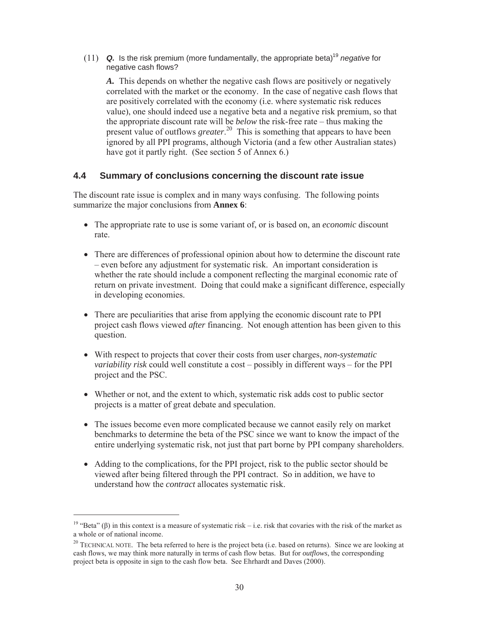(11) **Q.** Is the risk premium (more fundamentally, the appropriate beta)<sup>19</sup> *negative* for negative cash flows?

*A.* This depends on whether the negative cash flows are positively or negatively correlated with the market or the economy. In the case of negative cash flows that are positively correlated with the economy (i.e. where systematic risk reduces value), one should indeed use a negative beta and a negative risk premium, so that the appropriate discount rate will be *below* the risk-free rate – thus making the present value of outflows *greater*. 20 This is something that appears to have been ignored by all PPI programs, although Victoria (and a few other Australian states) have got it partly right. (See section 5 of Annex 6.)

#### **4.4 Summary of conclusions concerning the discount rate issue**

The discount rate issue is complex and in many ways confusing. The following points summarize the major conclusions from **Annex 6**:

- The appropriate rate to use is some variant of, or is based on, an *economic* discount rate.
- There are differences of professional opinion about how to determine the discount rate – even before any adjustment for systematic risk. An important consideration is whether the rate should include a component reflecting the marginal economic rate of return on private investment. Doing that could make a significant difference, especially in developing economies.
- There are peculiarities that arise from applying the economic discount rate to PPI project cash flows viewed *after* financing. Not enough attention has been given to this question.
- With respect to projects that cover their costs from user charges, *non-systematic variability risk* could well constitute a cost – possibly in different ways – for the PPI project and the PSC.
- Whether or not, and the extent to which, systematic risk adds cost to public sector projects is a matter of great debate and speculation.
- The issues become even more complicated because we cannot easily rely on market benchmarks to determine the beta of the PSC since we want to know the impact of the entire underlying systematic risk, not just that part borne by PPI company shareholders.
- Adding to the complications, for the PPI project, risk to the public sector should be viewed after being filtered through the PPI contract. So in addition, we have to understand how the *contract* allocates systematic risk.

<sup>&</sup>lt;sup>19</sup> "Beta" ( $\beta$ ) in this context is a measure of systematic risk – i.e. risk that covaries with the risk of the market as a whole or of national income.

<sup>&</sup>lt;sup>20</sup> TECHNICAL NOTE. The beta referred to here is the project beta (i.e. based on returns). Since we are looking at cash flows, we may think more naturally in terms of cash flow betas. But for *outflows*, the corresponding project beta is opposite in sign to the cash flow beta. See Ehrhardt and Daves (2000).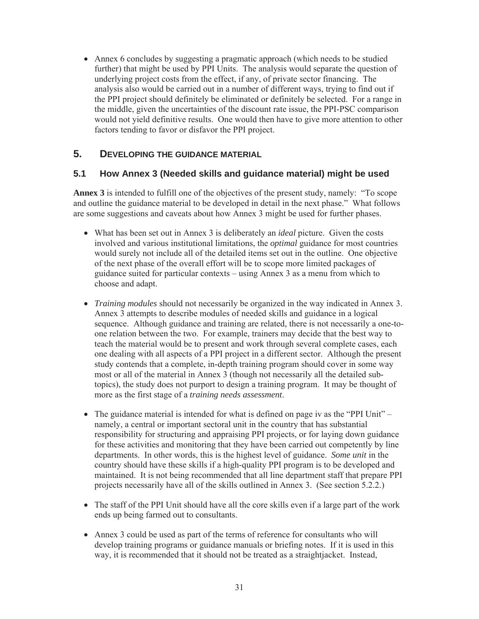• Annex 6 concludes by suggesting a pragmatic approach (which needs to be studied further) that might be used by PPI Units. The analysis would separate the question of underlying project costs from the effect, if any, of private sector financing. The analysis also would be carried out in a number of different ways, trying to find out if the PPI project should definitely be eliminated or definitely be selected. For a range in the middle, given the uncertainties of the discount rate issue, the PPI-PSC comparison would not yield definitive results. One would then have to give more attention to other factors tending to favor or disfavor the PPI project.

# **5. DEVELOPING THE GUIDANCE MATERIAL**

#### **5.1 How Annex 3 (Needed skills and guidance material) might be used**

**Annex 3** is intended to fulfill one of the objectives of the present study, namely: "To scope and outline the guidance material to be developed in detail in the next phase." What follows are some suggestions and caveats about how Annex 3 might be used for further phases.

- What has been set out in Annex 3 is deliberately an *ideal* picture. Given the costs involved and various institutional limitations, the *optimal* guidance for most countries would surely not include all of the detailed items set out in the outline. One objective of the next phase of the overall effort will be to scope more limited packages of guidance suited for particular contexts – using Annex 3 as a menu from which to choose and adapt.
- x *Training modules* should not necessarily be organized in the way indicated in Annex 3. Annex 3 attempts to describe modules of needed skills and guidance in a logical sequence. Although guidance and training are related, there is not necessarily a one-toone relation between the two. For example, trainers may decide that the best way to teach the material would be to present and work through several complete cases, each one dealing with all aspects of a PPI project in a different sector. Although the present study contends that a complete, in-depth training program should cover in some way most or all of the material in Annex 3 (though not necessarily all the detailed subtopics), the study does not purport to design a training program. It may be thought of more as the first stage of a *training needs assessment*.
- The guidance material is intended for what is defined on page iv as the "PPI Unit" namely, a central or important sectoral unit in the country that has substantial responsibility for structuring and appraising PPI projects, or for laying down guidance for these activities and monitoring that they have been carried out competently by line departments. In other words, this is the highest level of guidance. *Some unit* in the country should have these skills if a high-quality PPI program is to be developed and maintained. It is not being recommended that all line department staff that prepare PPI projects necessarily have all of the skills outlined in Annex 3. (See section 5.2.2.)
- The staff of the PPI Unit should have all the core skills even if a large part of the work ends up being farmed out to consultants.
- Annex 3 could be used as part of the terms of reference for consultants who will develop training programs or guidance manuals or briefing notes. If it is used in this way, it is recommended that it should not be treated as a straightjacket. Instead,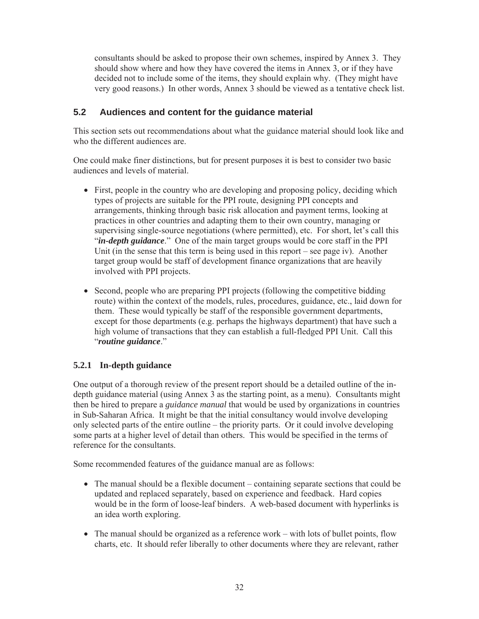consultants should be asked to propose their own schemes, inspired by Annex 3. They should show where and how they have covered the items in Annex 3, or if they have decided not to include some of the items, they should explain why. (They might have very good reasons.) In other words, Annex 3 should be viewed as a tentative check list.

#### **5.2 Audiences and content for the guidance material**

This section sets out recommendations about what the guidance material should look like and who the different audiences are.

One could make finer distinctions, but for present purposes it is best to consider two basic audiences and levels of material.

- $\bullet$  First, people in the country who are developing and proposing policy, deciding which types of projects are suitable for the PPI route, designing PPI concepts and arrangements, thinking through basic risk allocation and payment terms, looking at practices in other countries and adapting them to their own country, managing or supervising single-source negotiations (where permitted), etc. For short, let's call this "*in-depth guidance*." One of the main target groups would be core staff in the PPI Unit (in the sense that this term is being used in this report – see page iv). Another target group would be staff of development finance organizations that are heavily involved with PPI projects.
- Second, people who are preparing PPI projects (following the competitive bidding route) within the context of the models, rules, procedures, guidance, etc., laid down for them. These would typically be staff of the responsible government departments, except for those departments (e.g. perhaps the highways department) that have such a high volume of transactions that they can establish a full-fledged PPI Unit. Call this "*routine guidance*."

#### **5.2.1 In-depth guidance**

One output of a thorough review of the present report should be a detailed outline of the indepth guidance material (using Annex 3 as the starting point, as a menu). Consultants might then be hired to prepare a *guidance manual* that would be used by organizations in countries in Sub-Saharan Africa. It might be that the initial consultancy would involve developing only selected parts of the entire outline – the priority parts. Or it could involve developing some parts at a higher level of detail than others. This would be specified in the terms of reference for the consultants.

Some recommended features of the guidance manual are as follows:

- The manual should be a flexible document containing separate sections that could be updated and replaced separately, based on experience and feedback. Hard copies would be in the form of loose-leaf binders. A web-based document with hyperlinks is an idea worth exploring.
- $\bullet$  The manual should be organized as a reference work with lots of bullet points, flow charts, etc. It should refer liberally to other documents where they are relevant, rather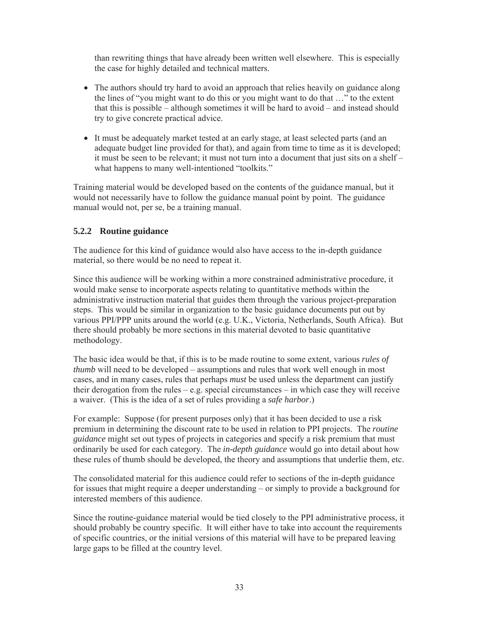than rewriting things that have already been written well elsewhere. This is especially the case for highly detailed and technical matters.

- The authors should try hard to avoid an approach that relies heavily on guidance along the lines of "you might want to do this or you might want to do that …" to the extent that this is possible – although sometimes it will be hard to avoid – and instead should try to give concrete practical advice.
- It must be adequately market tested at an early stage, at least selected parts (and an adequate budget line provided for that), and again from time to time as it is developed; it must be seen to be relevant; it must not turn into a document that just sits on a shelf – what happens to many well-intentioned "toolkits."

Training material would be developed based on the contents of the guidance manual, but it would not necessarily have to follow the guidance manual point by point. The guidance manual would not, per se, be a training manual.

#### **5.2.2 Routine guidance**

The audience for this kind of guidance would also have access to the in-depth guidance material, so there would be no need to repeat it.

Since this audience will be working within a more constrained administrative procedure, it would make sense to incorporate aspects relating to quantitative methods within the administrative instruction material that guides them through the various project-preparation steps. This would be similar in organization to the basic guidance documents put out by various PPI/PPP units around the world (e.g. U.K., Victoria, Netherlands, South Africa). But there should probably be more sections in this material devoted to basic quantitative methodology.

The basic idea would be that, if this is to be made routine to some extent, various *rules of thumb* will need to be developed – assumptions and rules that work well enough in most cases, and in many cases, rules that perhaps *must* be used unless the department can justify their derogation from the rules – e.g. special circumstances – in which case they will receive a waiver. (This is the idea of a set of rules providing a *safe harbor*.)

For example: Suppose (for present purposes only) that it has been decided to use a risk premium in determining the discount rate to be used in relation to PPI projects. The *routine guidance* might set out types of projects in categories and specify a risk premium that must ordinarily be used for each category. The *in-depth guidance* would go into detail about how these rules of thumb should be developed, the theory and assumptions that underlie them, etc.

The consolidated material for this audience could refer to sections of the in-depth guidance for issues that might require a deeper understanding – or simply to provide a background for interested members of this audience.

Since the routine-guidance material would be tied closely to the PPI administrative process, it should probably be country specific. It will either have to take into account the requirements of specific countries, or the initial versions of this material will have to be prepared leaving large gaps to be filled at the country level.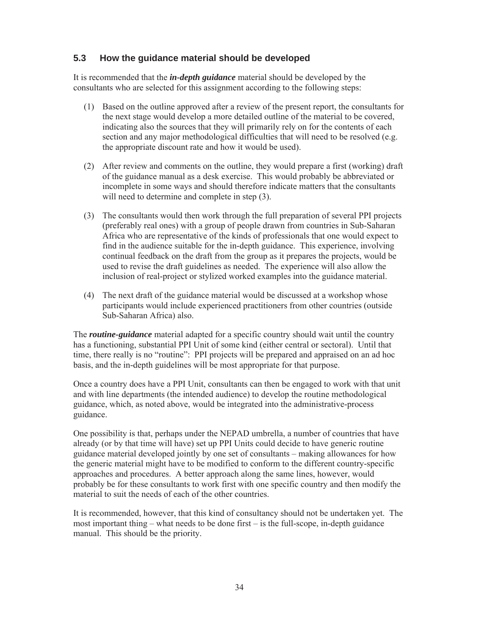#### **5.3 How the guidance material should be developed**

It is recommended that the *in-depth guidance* material should be developed by the consultants who are selected for this assignment according to the following steps:

- (1) Based on the outline approved after a review of the present report, the consultants for the next stage would develop a more detailed outline of the material to be covered, indicating also the sources that they will primarily rely on for the contents of each section and any major methodological difficulties that will need to be resolved (e.g. the appropriate discount rate and how it would be used).
- (2) After review and comments on the outline, they would prepare a first (working) draft of the guidance manual as a desk exercise. This would probably be abbreviated or incomplete in some ways and should therefore indicate matters that the consultants will need to determine and complete in step  $(3)$ .
- (3) The consultants would then work through the full preparation of several PPI projects (preferably real ones) with a group of people drawn from countries in Sub-Saharan Africa who are representative of the kinds of professionals that one would expect to find in the audience suitable for the in-depth guidance. This experience, involving continual feedback on the draft from the group as it prepares the projects, would be used to revise the draft guidelines as needed. The experience will also allow the inclusion of real-project or stylized worked examples into the guidance material.
- (4) The next draft of the guidance material would be discussed at a workshop whose participants would include experienced practitioners from other countries (outside Sub-Saharan Africa) also.

The *routine-guidance* material adapted for a specific country should wait until the country has a functioning, substantial PPI Unit of some kind (either central or sectoral). Until that time, there really is no "routine": PPI projects will be prepared and appraised on an ad hoc basis, and the in-depth guidelines will be most appropriate for that purpose.

Once a country does have a PPI Unit, consultants can then be engaged to work with that unit and with line departments (the intended audience) to develop the routine methodological guidance, which, as noted above, would be integrated into the administrative-process guidance.

One possibility is that, perhaps under the NEPAD umbrella, a number of countries that have already (or by that time will have) set up PPI Units could decide to have generic routine guidance material developed jointly by one set of consultants – making allowances for how the generic material might have to be modified to conform to the different country-specific approaches and procedures. A better approach along the same lines, however, would probably be for these consultants to work first with one specific country and then modify the material to suit the needs of each of the other countries.

It is recommended, however, that this kind of consultancy should not be undertaken yet. The most important thing – what needs to be done first – is the full-scope, in-depth guidance manual. This should be the priority.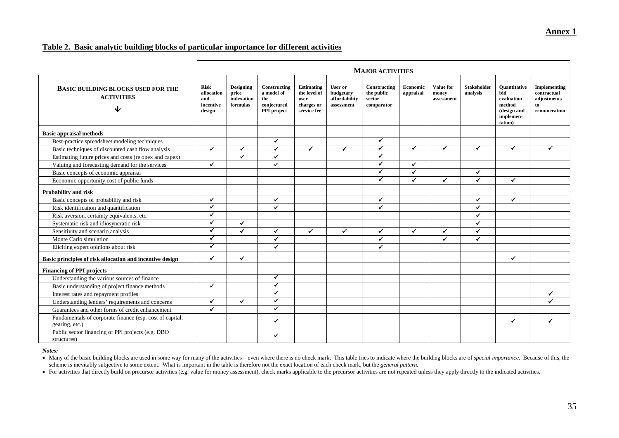#### **Annex 1**

#### **Table 2. Basic analytic building blocks of particular importance for different activities**

|                                                                            | <b>MAJOR ACTIVITIES</b>                                 |                                                     |                                                                 |                                                                        |                                                     |                                                    |                       |                                  |                                |                                                                                           |                                                                  |
|----------------------------------------------------------------------------|---------------------------------------------------------|-----------------------------------------------------|-----------------------------------------------------------------|------------------------------------------------------------------------|-----------------------------------------------------|----------------------------------------------------|-----------------------|----------------------------------|--------------------------------|-------------------------------------------------------------------------------------------|------------------------------------------------------------------|
| <b>BASIC BUILDING BLOCKS USED FOR THE</b><br><b>ACTIVITIES</b><br>J        | <b>Risk</b><br>allocation<br>and<br>incentive<br>design | <b>Designing</b><br>price<br>indexation<br>formulas | Constructing<br>a model of<br>the<br>conjectured<br>PPI project | <b>Estimating</b><br>the level of<br>user<br>charges or<br>service fee | User or<br>budgetary<br>affordability<br>assessment | Constructing<br>the public<br>sector<br>comparator | Economic<br>appraisal | Value for<br>money<br>assessment | <b>Stakeholder</b><br>analysis | <b>Ouantitative</b><br>bid<br>evaluation<br>method<br>(design and<br>implemen-<br>tation) | Implementing<br>contractual<br>adjustments<br>to<br>remuneration |
| <b>Basic appraisal methods</b>                                             |                                                         |                                                     |                                                                 |                                                                        |                                                     |                                                    |                       |                                  |                                |                                                                                           |                                                                  |
| Best-practice spreadsheet modeling techniques                              |                                                         |                                                     | ✓                                                               |                                                                        |                                                     | ✔                                                  |                       |                                  |                                |                                                                                           |                                                                  |
| Basic techniques of discounted cash flow analysis                          | $\checkmark$                                            | $\checkmark$                                        | $\checkmark$                                                    | $\checkmark$                                                           | ✔                                                   | ✔                                                  | $\epsilon$            | ✓                                | ✓                              | ✓                                                                                         | ✓                                                                |
| Estimating future prices and costs (re opex and capex)                     |                                                         | $\checkmark$                                        | $\checkmark$                                                    |                                                                        |                                                     | ✔                                                  |                       |                                  |                                |                                                                                           |                                                                  |
| Valuing and forecasting demand for the services                            | $\checkmark$                                            |                                                     | $\checkmark$                                                    |                                                                        |                                                     | ✓                                                  | ✓                     |                                  |                                |                                                                                           |                                                                  |
| Basic concepts of economic appraisal                                       |                                                         |                                                     |                                                                 |                                                                        |                                                     | ✓                                                  | $\checkmark$          |                                  | ✓                              |                                                                                           |                                                                  |
| Economic opportunity cost of public funds                                  |                                                         |                                                     |                                                                 |                                                                        |                                                     | ✓                                                  | $\checkmark$          | $\checkmark$                     | ✓                              | $\checkmark$                                                                              |                                                                  |
| <b>Probability and risk</b>                                                |                                                         |                                                     |                                                                 |                                                                        |                                                     |                                                    |                       |                                  |                                |                                                                                           |                                                                  |
| Basic concepts of probability and risk                                     | $\checkmark$                                            |                                                     | $\checkmark$                                                    |                                                                        |                                                     | ✓                                                  |                       |                                  | $\checkmark$                   | $\checkmark$                                                                              |                                                                  |
| Risk identification and quantification                                     | ✓                                                       |                                                     | $\checkmark$                                                    |                                                                        |                                                     | ✓                                                  |                       |                                  | $\checkmark$                   |                                                                                           |                                                                  |
| Risk aversion, certainty equivalents, etc.                                 | $\checkmark$                                            |                                                     |                                                                 |                                                                        |                                                     |                                                    |                       |                                  | ✔                              |                                                                                           |                                                                  |
| Systematic risk and idiosyncratic risk                                     | $\checkmark$                                            | $\checkmark$                                        |                                                                 |                                                                        |                                                     |                                                    |                       |                                  |                                |                                                                                           |                                                                  |
| Sensitivity and scenario analysis                                          | $\checkmark$                                            | ✔                                                   | $\checkmark$                                                    | $\checkmark$                                                           | $\checkmark$                                        | ✓                                                  | $\checkmark$          | $\checkmark$                     | ✔                              |                                                                                           |                                                                  |
| Monte Carlo simulation                                                     | $\checkmark$                                            |                                                     | $\checkmark$                                                    |                                                                        |                                                     | ✓                                                  |                       | ✓                                | ✔                              |                                                                                           |                                                                  |
| Eliciting expert opinions about risk                                       | ✓                                                       |                                                     | ✓                                                               |                                                                        |                                                     | ✓                                                  |                       |                                  |                                |                                                                                           |                                                                  |
| Basic principles of risk allocation and incentive design                   | ✓                                                       | ✓                                                   |                                                                 |                                                                        |                                                     |                                                    |                       |                                  |                                | ✓                                                                                         |                                                                  |
| <b>Financing of PPI projects</b>                                           |                                                         |                                                     |                                                                 |                                                                        |                                                     |                                                    |                       |                                  |                                |                                                                                           |                                                                  |
| Understanding the various sources of finance                               |                                                         |                                                     | ✓                                                               |                                                                        |                                                     |                                                    |                       |                                  |                                |                                                                                           |                                                                  |
| Basic understanding of project finance methods                             | $\checkmark$                                            |                                                     | $\checkmark$                                                    |                                                                        |                                                     |                                                    |                       |                                  |                                |                                                                                           |                                                                  |
| Interest rates and repayment profiles                                      |                                                         |                                                     | $\blacktriangledown$                                            |                                                                        |                                                     |                                                    |                       |                                  |                                |                                                                                           | ✓                                                                |
| Understanding lenders' requirements and concerns                           | $\checkmark$                                            | $\checkmark$                                        | $\checkmark$                                                    |                                                                        |                                                     |                                                    |                       |                                  |                                |                                                                                           | ✔                                                                |
| Guarantees and other forms of credit enhancement                           | $\checkmark$                                            |                                                     | ✓                                                               |                                                                        |                                                     |                                                    |                       |                                  |                                |                                                                                           |                                                                  |
| Fundamentals of corporate finance (esp. cost of capital,<br>gearing, etc.) |                                                         |                                                     | $\checkmark$                                                    |                                                                        |                                                     |                                                    |                       |                                  |                                | $\checkmark$                                                                              | ✔                                                                |
| Public sector financing of PPI projects (e.g. DBO<br>structures)           |                                                         |                                                     | ✔                                                               |                                                                        |                                                     |                                                    |                       |                                  |                                |                                                                                           |                                                                  |

#### *Notes:*

• Many of the basic building blocks are used in some way for many of the activities - even where there is no check mark. This table tries to indicate where the building blocks are of special importance. Because of this, th scheme is inevitably subjective to some extent. What is important in the table is therefore not the exact location of each check mark, but the *general pattern*.

• For activities that directly build on precursor activities (e.g. value for money assessment), check marks applicable to the precursor activities are not repeated unless they apply directly to the indicated activities.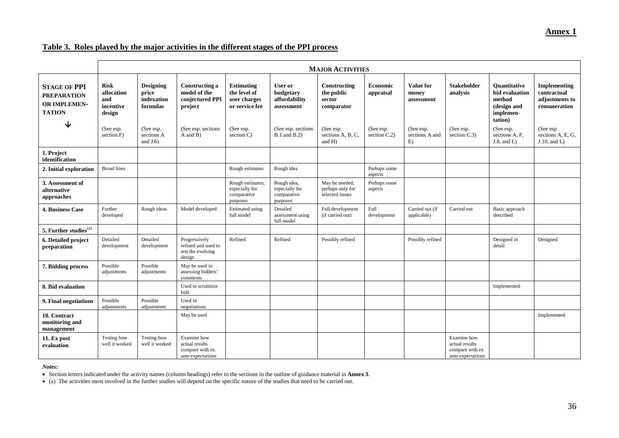#### **Annex 1**

#### **Table 3. Roles played by the major activities in the different stages of the PPI process**

|                                                                                   | <b>MAJOR ACTIVITIES</b>                                 |                                                     |                                                                       |                                                                     |                                                          |                                                       |                           |                                         |                                                                       |                                                                                        |                                                               |
|-----------------------------------------------------------------------------------|---------------------------------------------------------|-----------------------------------------------------|-----------------------------------------------------------------------|---------------------------------------------------------------------|----------------------------------------------------------|-------------------------------------------------------|---------------------------|-----------------------------------------|-----------------------------------------------------------------------|----------------------------------------------------------------------------------------|---------------------------------------------------------------|
| <b>STAGE OF PPI</b><br><b>PREPARATION</b><br><b>OR IMPLEMEN-</b><br><b>TATION</b> | <b>Risk</b><br>allocation<br>and<br>incentive<br>design | <b>Designing</b><br>price<br>indexation<br>formulas | <b>Constructing a</b><br>model of the<br>conjectured PPI<br>project   | <b>Estimating</b><br>the level of<br>user charges<br>or service fee | User or<br>budgetary<br>affordability<br>assessment      | Constructing<br>the public<br>sector<br>comparator    | Economic<br>appraisal     | <b>Value for</b><br>money<br>assessment | <b>Stakeholder</b><br>analysis                                        | <b>Ouantitative</b><br>bid evaluation<br>method<br>(design and<br>implemen-<br>tation) | Implementing<br>contractual<br>adjustments to<br>remuneration |
| ↓                                                                                 | (See esp.<br>section F)                                 | (See esp.<br>sections A<br>and $J(6)$               | (See esp. sections<br>A and B)                                        | (See esp.<br>section C)                                             | (See esp. sections)<br><b>B.1</b> and <b>B.2</b> )       | (See esp.<br>sections A, B, C,<br>and $H$ )           | (See esp.<br>section C.2) | (See esp.<br>sections A and<br>E)       | (See esp.<br>section C.3)                                             | (See esp.<br>sections A, F,<br>$J.8$ , and $L$ )                                       | (See esp.<br>sections A, E, G,<br>$J.10$ , and $L$ )          |
| 1. Project<br>identification                                                      |                                                         |                                                     |                                                                       |                                                                     |                                                          |                                                       |                           |                                         |                                                                       |                                                                                        |                                                               |
| 2. Initial exploration                                                            | <b>Broad lines</b>                                      |                                                     |                                                                       | Rough estimates                                                     | Rough idea                                               |                                                       | Perhaps some<br>aspects   |                                         |                                                                       |                                                                                        |                                                               |
| 3. Assessment of<br>alternative<br>approaches                                     |                                                         |                                                     |                                                                       | Rough estimates.<br>especially for<br>comparative<br>purposes       | Rough idea,<br>especially for<br>comparative<br>purposes | May be needed,<br>perhaps only for<br>selected issues | Perhaps some<br>aspects   |                                         |                                                                       |                                                                                        |                                                               |
| <b>4. Business Case</b>                                                           | Further<br>developed                                    | Rough ideas                                         | Model developed                                                       | <b>Estimated</b> using<br>full model                                | Detailed<br>assessment using<br>full model               | Full development<br>(if carried out)                  | Full<br>development       | Carried out (if<br>applicable)          | Carried out                                                           | Basic approach<br>described                                                            |                                                               |
| 5. Further studies <sup>(a)</sup>                                                 |                                                         |                                                     |                                                                       |                                                                     |                                                          |                                                       |                           |                                         |                                                                       |                                                                                        |                                                               |
| 6. Detailed project<br>preparation                                                | Detailed<br>development                                 | Detailed<br>development                             | Progressively<br>refined and used to<br>test the evolving<br>design   | Refined                                                             | Refined                                                  | Possibly refined                                      |                           | Possibly refined                        |                                                                       | Designed in<br>detail                                                                  | Designed                                                      |
| 7. Bidding process                                                                | Possible<br>adjustments                                 | Possible<br>adjustments                             | May be used in<br>assessing bidders'<br>comments                      |                                                                     |                                                          |                                                       |                           |                                         |                                                                       |                                                                                        |                                                               |
| 8. Bid evaluation                                                                 |                                                         |                                                     | Used to scrutinize<br>bids                                            |                                                                     |                                                          |                                                       |                           |                                         |                                                                       | Implemented                                                                            |                                                               |
| 9. Final negotiations                                                             | Possible<br>adjustments                                 | Possible<br>adjustments                             | Used in<br>negotiations                                               |                                                                     |                                                          |                                                       |                           |                                         |                                                                       |                                                                                        |                                                               |
| 10. Contract<br>monitoring and<br>management                                      |                                                         |                                                     | May be used                                                           |                                                                     |                                                          |                                                       |                           |                                         |                                                                       |                                                                                        | Implemented                                                   |
| 11. Ex post<br>evaluation                                                         | Testing how<br>well it worked                           | Testing how<br>well it worked                       | Examine how<br>actual results<br>compare with ex<br>ante expectations |                                                                     |                                                          |                                                       |                           |                                         | Examine how<br>actual results<br>compare with ex<br>ante expectations |                                                                                        |                                                               |

*Notes:*

Section letters indicated under the activity names (column headings) refer to the sections in the outline of guidance material in **Annex 3**.

• (a) The activities most involved in the further studies will depend on the specific nature of the studies that need to be carried out.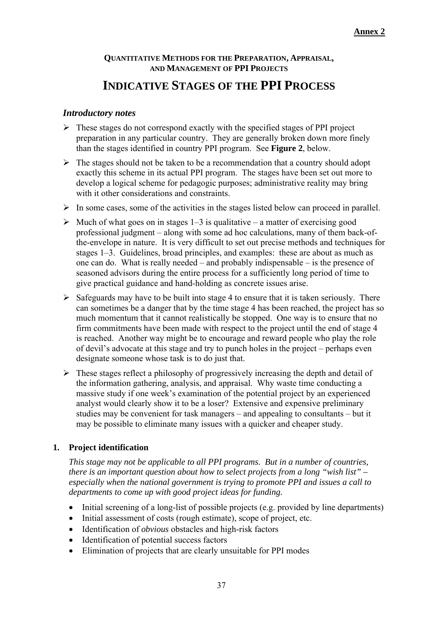# **QUANTITATIVE METHODS FOR THE PREPARATION, APPRAISAL, AND MANAGEMENT OF PPI PROJECTS**

# **INDICATIVE STAGES OF THE PPI PROCESS**

#### *Introductory notes*

- $\triangleright$  These stages do not correspond exactly with the specified stages of PPI project preparation in any particular country. They are generally broken down more finely than the stages identified in country PPI program. See **Figure 2**, below.
- $\triangleright$  The stages should not be taken to be a recommendation that a country should adopt exactly this scheme in its actual PPI program. The stages have been set out more to develop a logical scheme for pedagogic purposes; administrative reality may bring with it other considerations and constraints.
- $\triangleright$  In some cases, some of the activities in the stages listed below can proceed in parallel.
- $\triangleright$  Much of what goes on in stages 1–3 is qualitative a matter of exercising good professional judgment – along with some ad hoc calculations, many of them back-ofthe-envelope in nature. It is very difficult to set out precise methods and techniques for stages 1–3. Guidelines, broad principles, and examples: these are about as much as one can do. What is really needed – and probably indispensable – is the presence of seasoned advisors during the entire process for a sufficiently long period of time to give practical guidance and hand-holding as concrete issues arise.
- $\triangleright$  Safeguards may have to be built into stage 4 to ensure that it is taken seriously. There can sometimes be a danger that by the time stage 4 has been reached, the project has so much momentum that it cannot realistically be stopped. One way is to ensure that no firm commitments have been made with respect to the project until the end of stage 4 is reached. Another way might be to encourage and reward people who play the role of devil's advocate at this stage and try to punch holes in the project – perhaps even designate someone whose task is to do just that.
- $\triangleright$  These stages reflect a philosophy of progressively increasing the depth and detail of the information gathering, analysis, and appraisal. Why waste time conducting a massive study if one week's examination of the potential project by an experienced analyst would clearly show it to be a loser? Extensive and expensive preliminary studies may be convenient for task managers – and appealing to consultants – but it may be possible to eliminate many issues with a quicker and cheaper study.

# **1. Project identification**

*This stage may not be applicable to all PPI programs. But in a number of countries, there is an important question about how to select projects from a long "wish list" – especially when the national government is trying to promote PPI and issues a call to departments to come up with good project ideas for funding.* 

- Initial screening of a long-list of possible projects (e.g. provided by line departments)
- Initial assessment of costs (rough estimate), scope of project, etc.
- Identification of *obvious* obstacles and high-risk factors
- Identification of potential success factors
- Elimination of projects that are clearly unsuitable for PPI modes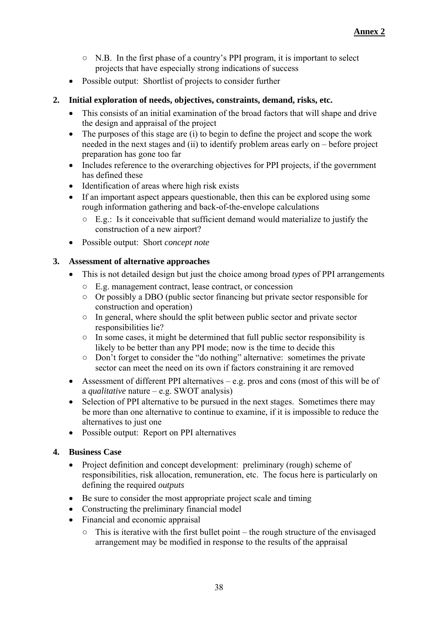- N.B. In the first phase of a country's PPI program, it is important to select projects that have especially strong indications of success
- Possible output: Shortlist of projects to consider further

#### **2. Initial exploration of needs, objectives, constraints, demand, risks, etc.**

- This consists of an initial examination of the broad factors that will shape and drive the design and appraisal of the project
- $\bullet$  The purposes of this stage are (i) to begin to define the project and scope the work needed in the next stages and (ii) to identify problem areas early on – before project preparation has gone too far
- Includes reference to the overarching objectives for PPI projects, if the government has defined these
- Identification of areas where high risk exists
- If an important aspect appears questionable, then this can be explored using some rough information gathering and back-of-the-envelope calculations
	- E.g.: Is it conceivable that sufficient demand would materialize to justify the construction of a new airport?
- Possible output: Short *concept note*

## **3. Assessment of alternative approaches**

- This is not detailed design but just the choice among broad *types* of PPI arrangements
	- E.g. management contract, lease contract, or concession
	- Or possibly a DBO (public sector financing but private sector responsible for construction and operation)
	- In general, where should the split between public sector and private sector responsibilities lie?
	- In some cases, it might be determined that full public sector responsibility is likely to be better than any PPI mode; now is the time to decide this
	- Don't forget to consider the "do nothing" alternative: sometimes the private sector can meet the need on its own if factors constraining it are removed
- Assessment of different PPI alternatives e.g. pros and cons (most of this will be of a *qualitative* nature – e.g. SWOT analysis)
- Selection of PPI alternative to be pursued in the next stages. Sometimes there may be more than one alternative to continue to examine, if it is impossible to reduce the alternatives to just one
- Possible output: Report on PPI alternatives

#### **4. Business Case**

- Project definition and concept development: preliminary (rough) scheme of responsibilities, risk allocation, remuneration, etc. The focus here is particularly on defining the required *outputs*
- Be sure to consider the most appropriate project scale and timing
- Constructing the preliminary financial model
- Financial and economic appraisal
	- $\circ$  This is iterative with the first bullet point the rough structure of the envisaged arrangement may be modified in response to the results of the appraisal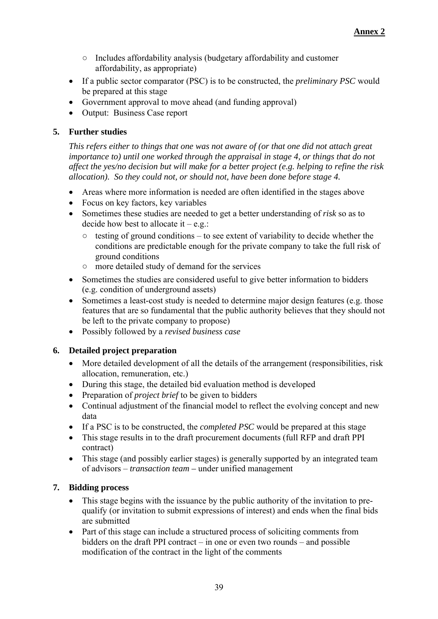- Includes affordability analysis (budgetary affordability and customer affordability, as appropriate)
- If a public sector comparator (PSC) is to be constructed, the *preliminary PSC* would be prepared at this stage
- Government approval to move ahead (and funding approval)
- Output: Business Case report

#### **5. Further studies**

*This refers either to things that one was not aware of (or that one did not attach great importance to) until one worked through the appraisal in stage 4, or things that do not affect the yes/no decision but will make for a better project (e.g. helping to refine the risk allocation). So they could not, or should not, have been done before stage 4.*

- Areas where more information is needed are often identified in the stages above
- Focus on key factors, key variables
- Sometimes these studies are needed to get a better understanding of *risk* so as to decide how best to allocate it  $-e.g.$ :
	- $\circ$  testing of ground conditions to see extent of variability to decide whether the conditions are predictable enough for the private company to take the full risk of ground conditions
	- more detailed study of demand for the services
- Sometimes the studies are considered useful to give better information to bidders (e.g. condition of underground assets)
- Sometimes a least-cost study is needed to determine major design features (e.g. those features that are so fundamental that the public authority believes that they should not be left to the private company to propose)
- Possibly followed by a *revised business case*

# **6. Detailed project preparation**

- More detailed development of all the details of the arrangement (responsibilities, risk allocation, remuneration, etc.)
- During this stage, the detailed bid evaluation method is developed
- Preparation of *project brief* to be given to bidders
- Continual adjustment of the financial model to reflect the evolving concept and new data
- If a PSC is to be constructed, the *completed PSC* would be prepared at this stage
- This stage results in to the draft procurement documents (full RFP and draft PPI contract)
- This stage (and possibly earlier stages) is generally supported by an integrated team of advisors – *transaction team –* under unified management

# **7. Bidding process**

- This stage begins with the issuance by the public authority of the invitation to prequalify (or invitation to submit expressions of interest) and ends when the final bids are submitted
- Part of this stage can include a structured process of soliciting comments from bidders on the draft PPI contract – in one or even two rounds – and possible modification of the contract in the light of the comments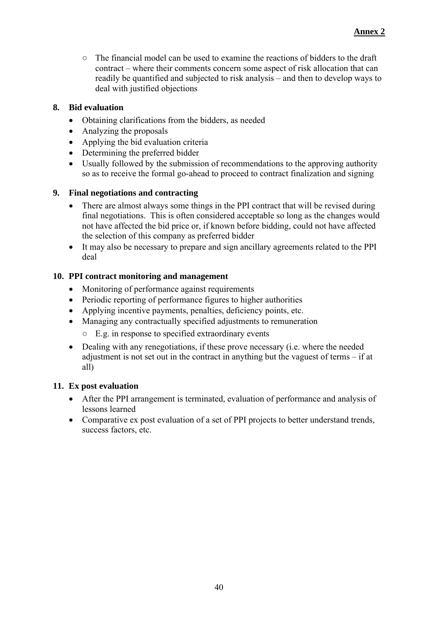○ The financial model can be used to examine the reactions of bidders to the draft contract – where their comments concern some aspect of risk allocation that can readily be quantified and subjected to risk analysis – and then to develop ways to deal with justified objections

#### **8. Bid evaluation**

- Obtaining clarifications from the bidders, as needed
- Analyzing the proposals
- Applying the bid evaluation criteria
- Determining the preferred bidder
- Usually followed by the submission of recommendations to the approving authority so as to receive the formal go-ahead to proceed to contract finalization and signing

#### **9. Final negotiations and contracting**

- There are almost always some things in the PPI contract that will be revised during final negotiations. This is often considered acceptable so long as the changes would not have affected the bid price or, if known before bidding, could not have affected the selection of this company as preferred bidder
- It may also be necessary to prepare and sign ancillary agreements related to the PPI deal

#### **10. PPI contract monitoring and management**

- Monitoring of performance against requirements
- Periodic reporting of performance figures to higher authorities
- Applying incentive payments, penalties, deficiency points, etc.
- Managing any contractually specified adjustments to remuneration
	- E.g. in response to specified extraordinary events
- Dealing with any renegotiations, if these prove necessary (i.e. where the needed adjustment is not set out in the contract in anything but the vaguest of terms – if at all)

#### **11. Ex post evaluation**

- After the PPI arrangement is terminated, evaluation of performance and analysis of lessons learned
- Comparative ex post evaluation of a set of PPI projects to better understand trends, success factors, etc.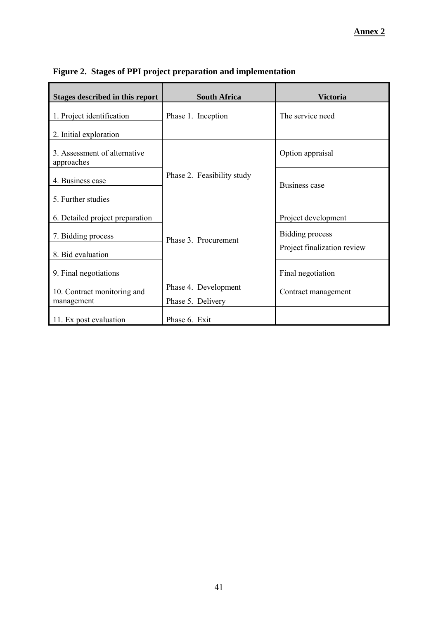| Stages described in this report            | <b>South Africa</b>        | <b>Victoria</b>             |  |  |  |
|--------------------------------------------|----------------------------|-----------------------------|--|--|--|
| 1. Project identification                  | Phase 1. Inception         | The service need            |  |  |  |
| 2. Initial exploration                     |                            |                             |  |  |  |
| 3. Assessment of alternative<br>approaches |                            | Option appraisal            |  |  |  |
| 4. Business case                           | Phase 2. Feasibility study | Business case               |  |  |  |
| 5. Further studies                         |                            |                             |  |  |  |
| 6. Detailed project preparation            |                            | Project development         |  |  |  |
| 7. Bidding process                         | Phase 3. Procurement       | Bidding process             |  |  |  |
| 8. Bid evaluation                          |                            | Project finalization review |  |  |  |
| 9. Final negotiations                      |                            | Final negotiation           |  |  |  |
| 10. Contract monitoring and                | Phase 4. Development       | Contract management         |  |  |  |
| management                                 | Phase 5. Delivery          |                             |  |  |  |
| 11. Ex post evaluation                     | Phase 6. Exit              |                             |  |  |  |

**Figure 2. Stages of PPI project preparation and implementation**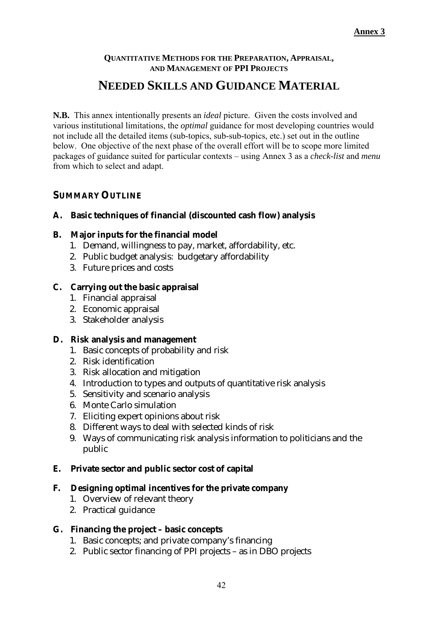# **QUANTITATIVE METHODS FOR THE PREPARATION, APPRAISAL, AND MANAGEMENT OF PPI PROJECTS NEEDED SKILLS AND GUIDANCE MATERIAL**

**N.B.** This annex intentionally presents an *ideal* picture. Given the costs involved and various institutional limitations, the *optimal* guidance for most developing countries would not include all the detailed items (sub-topics, sub-sub-topics, etc.) set out in the outline below. One objective of the next phase of the overall effort will be to scope more limited packages of guidance suited for particular contexts – using Annex 3 as a *check-list* and *menu* from which to select and adapt.

## **SUMMARY OUTLINE**

- **A. Basic techniques of financial (discounted cash flow) analysis**
- **B. Major inputs for the financial model**
	- 1. Demand, willingness to pay, market, affordability, etc.
	- 2. Public budget analysis: budgetary affordability
	- 3. Future prices and costs
- **C. Carrying out the basic appraisal**
	- 1. Financial appraisal
	- 2. Economic appraisal
	- 3. Stakeholder analysis
- **D. Risk analysis and management**
	- 1. Basic concepts of probability and risk
	- 2. Risk identification
	- 3. Risk allocation and mitigation
	- 4. Introduction to types and outputs of quantitative risk analysis
	- 5. Sensitivity and scenario analysis
	- 6. Monte Carlo simulation
	- 7. Eliciting expert opinions about risk
	- 8. Different ways to deal with selected kinds of risk
	- 9. Ways of communicating risk analysis information to politicians and the public
- **E. Private sector and public sector cost of capital**
- **F. Designing optimal incentives for the private company**
	- 1. Overview of relevant theory
	- 2. Practical guidance
- **G. Financing the project basic concepts**
	- 1. Basic concepts; and private company's financing
	- 2. Public sector financing of PPI projects as in DBO projects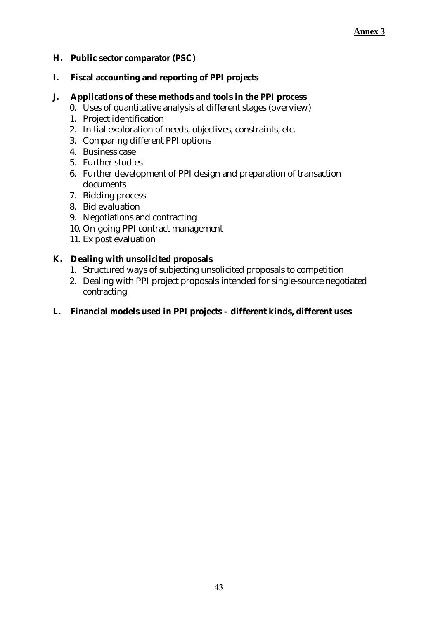- **H. Public sector comparator (PSC)**
- **I. Fiscal accounting and reporting of PPI projects**
- **J. Applications of these methods and tools in the PPI process**
	- 0. Uses of quantitative analysis at different stages (overview)
	- 1. Project identification
	- 2. Initial exploration of needs, objectives, constraints, etc.
	- 3. Comparing different PPI options
	- 4. Business case
	- 5. Further studies
	- 6. Further development of PPI design and preparation of transaction documents
	- 7. Bidding process
	- 8. Bid evaluation
	- 9. Negotiations and contracting
	- 10. On-going PPI contract management
	- 11. Ex post evaluation
- **K. Dealing with unsolicited proposals**
	- 1. Structured ways of subjecting unsolicited proposals to competition
	- 2. Dealing with PPI project proposals intended for single-source negotiated contracting
- **L. Financial models used in PPI projects different kinds, different uses**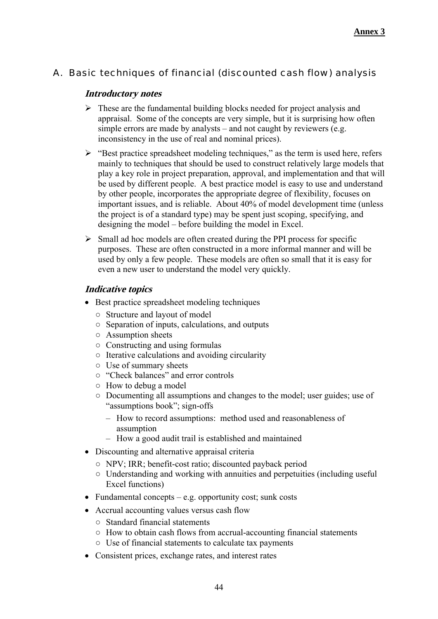# A. Basic techniques of financial (discounted cash flow) analysis

## **Introductory notes**

- $\triangleright$  These are the fundamental building blocks needed for project analysis and appraisal. Some of the concepts are very simple, but it is surprising how often simple errors are made by analysts – and not caught by reviewers (e.g. inconsistency in the use of real and nominal prices).
- $\triangleright$  "Best practice spreadsheet modeling techniques," as the term is used here, refers mainly to techniques that should be used to construct relatively large models that play a key role in project preparation, approval, and implementation and that will be used by different people. A best practice model is easy to use and understand by other people, incorporates the appropriate degree of flexibility, focuses on important issues, and is reliable. About 40% of model development time (unless the project is of a standard type) may be spent just scoping, specifying, and designing the model – before building the model in Excel.
- $\triangleright$  Small ad hoc models are often created during the PPI process for specific purposes. These are often constructed in a more informal manner and will be used by only a few people. These models are often so small that it is easy for even a new user to understand the model very quickly.

- Best practice spreadsheet modeling techniques
	- Structure and layout of model
	- Separation of inputs, calculations, and outputs
	- Assumption sheets
	- Constructing and using formulas
	- Iterative calculations and avoiding circularity
	- Use of summary sheets
	- "Check balances" and error controls
	- How to debug a model
	- Documenting all assumptions and changes to the model; user guides; use of "assumptions book"; sign-offs
		- How to record assumptions: method used and reasonableness of assumption
		- How a good audit trail is established and maintained
- Discounting and alternative appraisal criteria
	- NPV; IRR; benefit-cost ratio; discounted payback period
	- Understanding and working with annuities and perpetuities (including useful Excel functions)
- Fundamental concepts  $-e.g.$  opportunity cost; sunk costs
- Accrual accounting values versus cash flow
	- Standard financial statements
	- How to obtain cash flows from accrual-accounting financial statements
	- Use of financial statements to calculate tax payments
- Consistent prices, exchange rates, and interest rates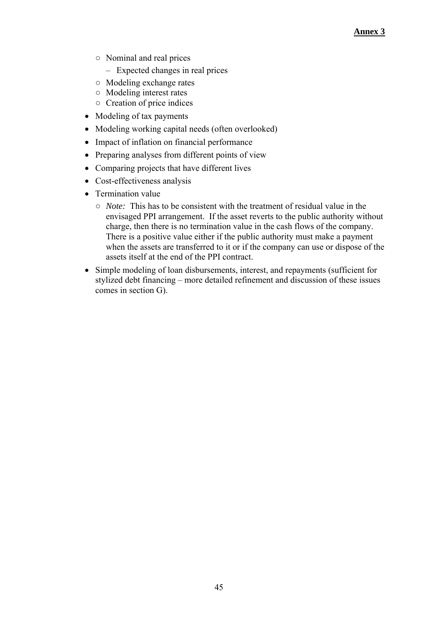- Nominal and real prices
	- Expected changes in real prices
- Modeling exchange rates
- Modeling interest rates
- Creation of price indices
- Modeling of tax payments
- Modeling working capital needs (often overlooked)
- Impact of inflation on financial performance
- Preparing analyses from different points of view
- Comparing projects that have different lives
- Cost-effectiveness analysis
- Termination value
	- *Note:* This has to be consistent with the treatment of residual value in the envisaged PPI arrangement. If the asset reverts to the public authority without charge, then there is no termination value in the cash flows of the company. There is a positive value either if the public authority must make a payment when the assets are transferred to it or if the company can use or dispose of the assets itself at the end of the PPI contract.
- Simple modeling of loan disbursements, interest, and repayments (sufficient for stylized debt financing – more detailed refinement and discussion of these issues comes in section G).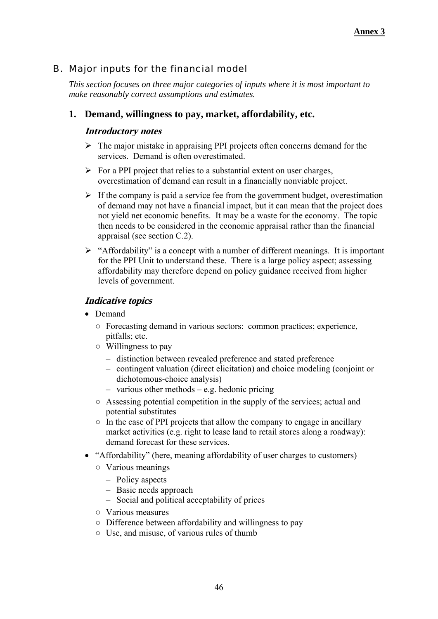# B. Major inputs for the financial model

*This section focuses on three major categories of inputs where it is most important to make reasonably correct assumptions and estimates.*

#### **1. Demand, willingness to pay, market, affordability, etc.**

#### **Introductory notes**

- $\triangleright$  The major mistake in appraising PPI projects often concerns demand for the services. Demand is often overestimated.
- $\triangleright$  For a PPI project that relies to a substantial extent on user charges, overestimation of demand can result in a financially nonviable project.
- $\triangleright$  If the company is paid a service fee from the government budget, overestimation of demand may not have a financial impact, but it can mean that the project does not yield net economic benefits. It may be a waste for the economy. The topic then needs to be considered in the economic appraisal rather than the financial appraisal (see section C.2).
- $\triangleright$  "Affordability" is a concept with a number of different meanings. It is important for the PPI Unit to understand these. There is a large policy aspect; assessing affordability may therefore depend on policy guidance received from higher levels of government.

- Demand
	- Forecasting demand in various sectors: common practices; experience, pitfalls; etc.
	- Willingness to pay
		- distinction between revealed preference and stated preference
		- contingent valuation (direct elicitation) and choice modeling (conjoint or dichotomous-choice analysis)
		- various other methods e.g. hedonic pricing
	- Assessing potential competition in the supply of the services; actual and potential substitutes
	- $\circ$  In the case of PPI projects that allow the company to engage in ancillary market activities (e.g. right to lease land to retail stores along a roadway): demand forecast for these services.
- "Affordability" (here, meaning affordability of user charges to customers)
	- Various meanings
		- Policy aspects
		- Basic needs approach
		- Social and political acceptability of prices
	- Various measures
	- Difference between affordability and willingness to pay
	- Use, and misuse, of various rules of thumb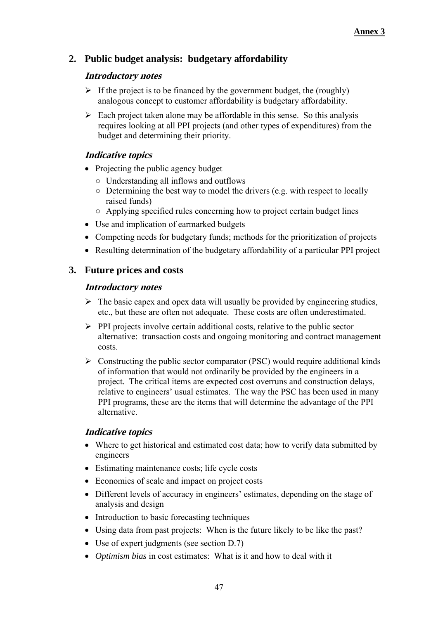# **2. Public budget analysis: budgetary affordability**

#### **Introductory notes**

- $\triangleright$  If the project is to be financed by the government budget, the (roughly) analogous concept to customer affordability is budgetary affordability.
- $\triangleright$  Each project taken alone may be affordable in this sense. So this analysis requires looking at all PPI projects (and other types of expenditures) from the budget and determining their priority.

# **Indicative topics**

- Projecting the public agency budget
	- Understanding all inflows and outflows
	- Determining the best way to model the drivers (e.g. with respect to locally raised funds)
	- Applying specified rules concerning how to project certain budget lines
- Use and implication of earmarked budgets
- Competing needs for budgetary funds; methods for the prioritization of projects
- Resulting determination of the budgetary affordability of a particular PPI project

## **3. Future prices and costs**

#### **Introductory notes**

- $\triangleright$  The basic capex and opex data will usually be provided by engineering studies, etc., but these are often not adequate. These costs are often underestimated.
- $\triangleright$  PPI projects involve certain additional costs, relative to the public sector alternative: transaction costs and ongoing monitoring and contract management costs.
- $\triangleright$  Constructing the public sector comparator (PSC) would require additional kinds of information that would not ordinarily be provided by the engineers in a project. The critical items are expected cost overruns and construction delays, relative to engineers' usual estimates. The way the PSC has been used in many PPI programs, these are the items that will determine the advantage of the PPI alternative.

- Where to get historical and estimated cost data; how to verify data submitted by engineers
- Estimating maintenance costs; life cycle costs
- Economies of scale and impact on project costs
- Different levels of accuracy in engineers' estimates, depending on the stage of analysis and design
- Introduction to basic forecasting techniques
- Using data from past projects: When is the future likely to be like the past?
- Use of expert judgments (see section D.7)
- *Optimism bias* in cost estimates: What is it and how to deal with it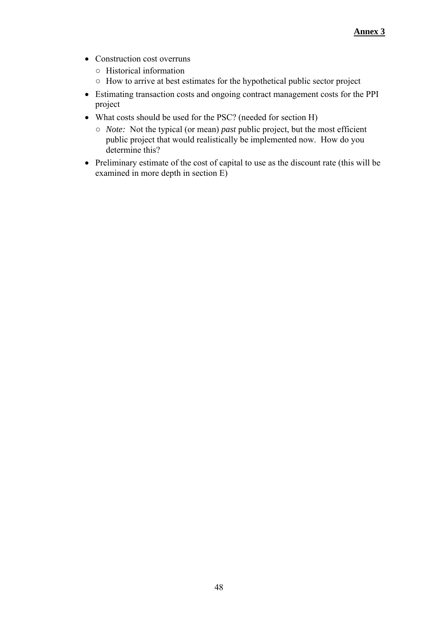- Construction cost overruns
	- Historical information
	- How to arrive at best estimates for the hypothetical public sector project
- Estimating transaction costs and ongoing contract management costs for the PPI project
- What costs should be used for the PSC? (needed for section H)
	- *Note:* Not the typical (or mean) *past* public project, but the most efficient public project that would realistically be implemented now. How do you determine this?
- Preliminary estimate of the cost of capital to use as the discount rate (this will be examined in more depth in section E)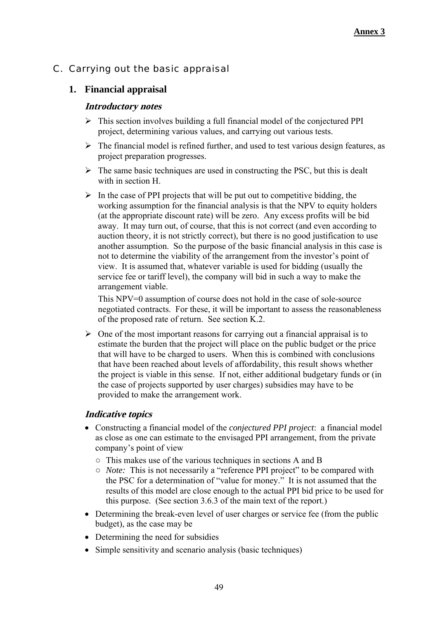# C. Carrying out the basic appraisal

# **1. Financial appraisal**

#### **Introductory notes**

- $\triangleright$  This section involves building a full financial model of the conjectured PPI project, determining various values, and carrying out various tests.
- $\triangleright$  The financial model is refined further, and used to test various design features, as project preparation progresses.
- $\triangleright$  The same basic techniques are used in constructing the PSC, but this is dealt with in section H.
- $\triangleright$  In the case of PPI projects that will be put out to competitive bidding, the working assumption for the financial analysis is that the NPV to equity holders (at the appropriate discount rate) will be zero. Any excess profits will be bid away. It may turn out, of course, that this is not correct (and even according to auction theory, it is not strictly correct), but there is no good justification to use another assumption. So the purpose of the basic financial analysis in this case is not to determine the viability of the arrangement from the investor's point of view. It is assumed that, whatever variable is used for bidding (usually the service fee or tariff level), the company will bid in such a way to make the arrangement viable.

This NPV=0 assumption of course does not hold in the case of sole-source negotiated contracts. For these, it will be important to assess the reasonableness of the proposed rate of return. See section K.2.

 $\triangleright$  One of the most important reasons for carrying out a financial appraisal is to estimate the burden that the project will place on the public budget or the price that will have to be charged to users. When this is combined with conclusions that have been reached about levels of affordability, this result shows whether the project is viable in this sense. If not, either additional budgetary funds or (in the case of projects supported by user charges) subsidies may have to be provided to make the arrangement work.

- Constructing a financial model of the *conjectured PPI project*: a financial model as close as one can estimate to the envisaged PPI arrangement, from the private company's point of view
	- This makes use of the various techniques in sections A and B
	- *Note:* This is not necessarily a "reference PPI project" to be compared with the PSC for a determination of "value for money." It is not assumed that the results of this model are close enough to the actual PPI bid price to be used for this purpose. (See section 3.6.3 of the main text of the report.)
- Determining the break-even level of user charges or service fee (from the public budget), as the case may be
- Determining the need for subsidies
- Simple sensitivity and scenario analysis (basic techniques)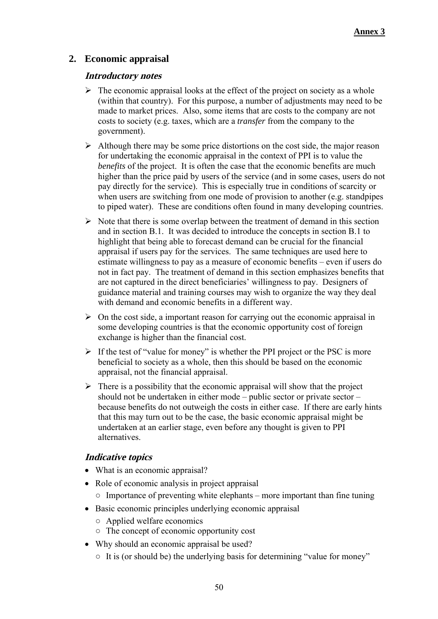# **2. Economic appraisal**

#### **Introductory notes**

- $\triangleright$  The economic appraisal looks at the effect of the project on society as a whole (within that country). For this purpose, a number of adjustments may need to be made to market prices. Also, some items that are costs to the company are not costs to society (e.g. taxes, which are a *transfer* from the company to the government).
- $\triangleright$  Although there may be some price distortions on the cost side, the major reason for undertaking the economic appraisal in the context of PPI is to value the *benefits* of the project. It is often the case that the economic benefits are much higher than the price paid by users of the service (and in some cases, users do not pay directly for the service). This is especially true in conditions of scarcity or when users are switching from one mode of provision to another (e.g. standpipes to piped water). These are conditions often found in many developing countries.
- $\triangleright$  Note that there is some overlap between the treatment of demand in this section and in section B.1. It was decided to introduce the concepts in section B.1 to highlight that being able to forecast demand can be crucial for the financial appraisal if users pay for the services. The same techniques are used here to estimate willingness to pay as a measure of economic benefits – even if users do not in fact pay. The treatment of demand in this section emphasizes benefits that are not captured in the direct beneficiaries' willingness to pay. Designers of guidance material and training courses may wish to organize the way they deal with demand and economic benefits in a different way.
- $\triangleright$  On the cost side, a important reason for carrying out the economic appraisal in some developing countries is that the economic opportunity cost of foreign exchange is higher than the financial cost.
- $\triangleright$  If the test of "value for money" is whether the PPI project or the PSC is more beneficial to society as a whole, then this should be based on the economic appraisal, not the financial appraisal.
- $\triangleright$  There is a possibility that the economic appraisal will show that the project should not be undertaken in either mode – public sector or private sector – because benefits do not outweigh the costs in either case. If there are early hints that this may turn out to be the case, the basic economic appraisal might be undertaken at an earlier stage, even before any thought is given to PPI alternatives.

- What is an economic appraisal?
- Role of economic analysis in project appraisal
	- $\circ$  Importance of preventing white elephants more important than fine tuning
- Basic economic principles underlying economic appraisal
	- Applied welfare economics
	- The concept of economic opportunity cost
- Why should an economic appraisal be used?
	- It is (or should be) the underlying basis for determining "value for money"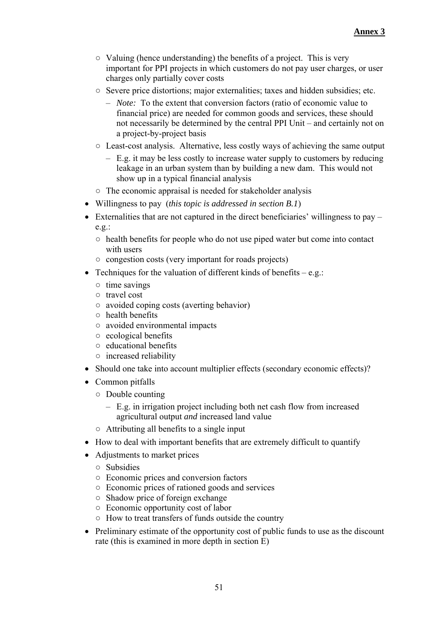- Valuing (hence understanding) the benefits of a project. This is very important for PPI projects in which customers do not pay user charges, or user charges only partially cover costs
- Severe price distortions; major externalities; taxes and hidden subsidies; etc.
	- *Note:* To the extent that conversion factors (ratio of economic value to financial price) are needed for common goods and services, these should not necessarily be determined by the central PPI Unit – and certainly not on a project-by-project basis
- Least-cost analysis. Alternative, less costly ways of achieving the same output
	- $-$  E.g. it may be less costly to increase water supply to customers by reducing leakage in an urban system than by building a new dam. This would not show up in a typical financial analysis
- The economic appraisal is needed for stakeholder analysis
- Willingness to pay (*this topic is addressed in section B.1*)
- Externalities that are not captured in the direct beneficiaries' willingness to pay e.g.:
	- health benefits for people who do not use piped water but come into contact with users
	- congestion costs (very important for roads projects)
- Techniques for the valuation of different kinds of benefits  $-e.g.$ :
	- time savings
	- travel cost
	- avoided coping costs (averting behavior)
	- health benefits
	- avoided environmental impacts
	- ecological benefits
	- educational benefits
	- increased reliability
- Should one take into account multiplier effects (secondary economic effects)?
- Common pitfalls
	- Double counting
		- E.g. in irrigation project including both net cash flow from increased agricultural output *and* increased land value
	- Attributing all benefits to a single input
- How to deal with important benefits that are extremely difficult to quantify
- Adjustments to market prices
	- Subsidies
	- Economic prices and conversion factors
	- Economic prices of rationed goods and services
	- Shadow price of foreign exchange
	- Economic opportunity cost of labor
	- How to treat transfers of funds outside the country
- Preliminary estimate of the opportunity cost of public funds to use as the discount rate (this is examined in more depth in section E)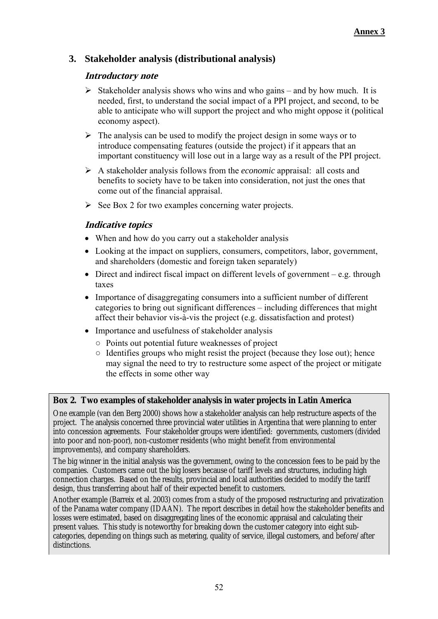# **3. Stakeholder analysis (distributional analysis)**

#### **Introductory note**

- $\triangleright$  Stakeholder analysis shows who wins and who gains and by how much. It is needed, first, to understand the social impact of a PPI project, and second, to be able to anticipate who will support the project and who might oppose it (political economy aspect).
- $\triangleright$  The analysis can be used to modify the project design in some ways or to introduce compensating features (outside the project) if it appears that an important constituency will lose out in a large way as a result of the PPI project.
- A stakeholder analysis follows from the *economic* appraisal: all costs and benefits to society have to be taken into consideration, not just the ones that come out of the financial appraisal.
- $\triangleright$  See Box 2 for two examples concerning water projects.

#### **Indicative topics**

- When and how do you carry out a stakeholder analysis
- Looking at the impact on suppliers, consumers, competitors, labor, government, and shareholders (domestic and foreign taken separately)
- $\bullet$  Direct and indirect fiscal impact on different levels of government e.g. through taxes
- Importance of disaggregating consumers into a sufficient number of different categories to bring out significant differences – including differences that might affect their behavior vis-à-vis the project (e.g. dissatisfaction and protest)
- Importance and usefulness of stakeholder analysis
	- Points out potential future weaknesses of project
	- $\circ$  Identifies groups who might resist the project (because they lose out); hence may signal the need to try to restructure some aspect of the project or mitigate the effects in some other way

#### **Box 2. Two examples of stakeholder analysis in water projects in Latin America**

One example (van den Berg 2000) shows how a stakeholder analysis can help restructure aspects of the project. The analysis concerned three provincial water utilities in Argentina that were planning to enter into concession agreements. Four stakeholder groups were identified: governments, customers (divided into poor and non-poor), non-customer residents (who might benefit from environmental improvements), and company shareholders.

The big winner in the initial analysis was the government, owing to the concession fees to be paid by the companies. Customers came out the big losers because of tariff levels and structures, including high connection charges. Based on the results, provincial and local authorities decided to modify the tariff design, thus transferring about half of their expected benefit to customers.

Another example (Barreix et al. 2003) comes from a study of the proposed restructuring and privatization of the Panama water company (IDAAN). The report describes in detail how the stakeholder benefits and losses were estimated, based on disaggregating lines of the economic appraisal and calculating their present values. This study is noteworthy for breaking down the customer category into eight subcategories, depending on things such as metering, quality of service, illegal customers, and before/after distinctions.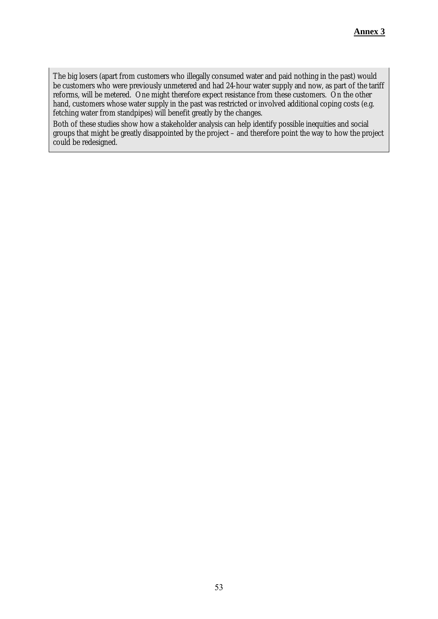The big losers (apart from customers who illegally consumed water and paid nothing in the past) would be customers who were previously unmetered and had 24-hour water supply and now, as part of the tariff reforms, will be metered. One might therefore expect resistance from these customers. On the other hand, customers whose water supply in the past was restricted or involved additional coping costs (e.g. fetching water from standpipes) will benefit greatly by the changes.

Both of these studies show how a stakeholder analysis can help identify possible inequities and social groups that might be greatly disappointed by the project – and therefore point the way to how the project could be redesigned.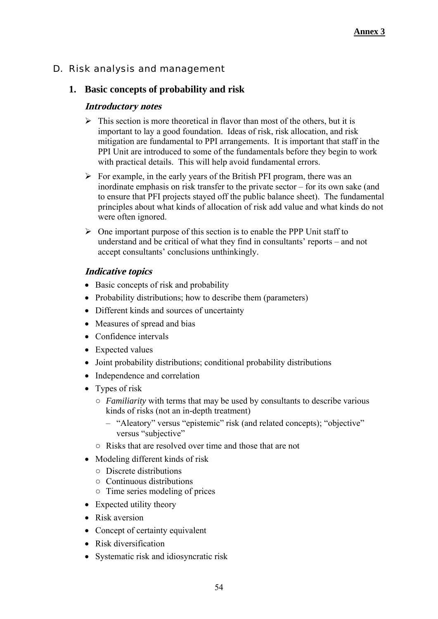# D. Risk analysis and management

## **1. Basic concepts of probability and risk**

#### **Introductory notes**

- $\triangleright$  This section is more theoretical in flavor than most of the others, but it is important to lay a good foundation. Ideas of risk, risk allocation, and risk mitigation are fundamental to PPI arrangements. It is important that staff in the PPI Unit are introduced to some of the fundamentals before they begin to work with practical details. This will help avoid fundamental errors.
- $\triangleright$  For example, in the early years of the British PFI program, there was an inordinate emphasis on risk transfer to the private sector – for its own sake (and to ensure that PFI projects stayed off the public balance sheet). The fundamental principles about what kinds of allocation of risk add value and what kinds do not were often ignored.
- $\triangleright$  One important purpose of this section is to enable the PPP Unit staff to understand and be critical of what they find in consultants' reports – and not accept consultants' conclusions unthinkingly.

- Basic concepts of risk and probability
- Probability distributions; how to describe them (parameters)
- Different kinds and sources of uncertainty
- Measures of spread and bias
- Confidence intervals
- Expected values
- Joint probability distributions; conditional probability distributions
- Independence and correlation
- Types of risk
	- *Familiarity* with terms that may be used by consultants to describe various kinds of risks (not an in-depth treatment)
		- "Aleatory" versus "epistemic" risk (and related concepts); "objective" versus "subjective"
	- Risks that are resolved over time and those that are not
- Modeling different kinds of risk
	- Discrete distributions
	- Continuous distributions
	- Time series modeling of prices
- Expected utility theory
- Risk aversion
- Concept of certainty equivalent
- Risk diversification
- Systematic risk and idiosyncratic risk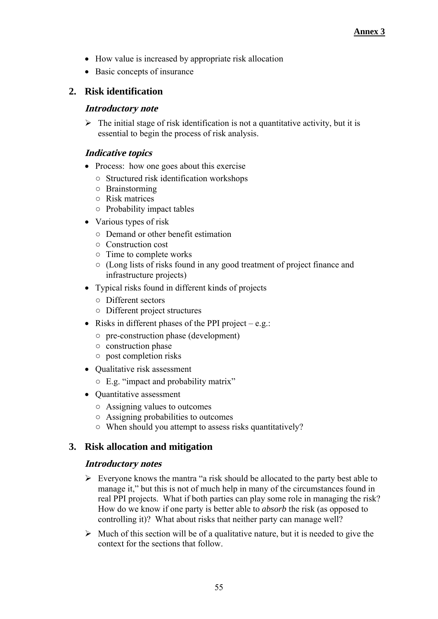- How value is increased by appropriate risk allocation
- Basic concepts of insurance

# **2. Risk identification**

#### **Introductory note**

 $\triangleright$  The initial stage of risk identification is not a quantitative activity, but it is essential to begin the process of risk analysis.

## **Indicative topics**

- Process: how one goes about this exercise
	- Structured risk identification workshops
	- Brainstorming
	- Risk matrices
	- Probability impact tables
- Various types of risk
	- Demand or other benefit estimation
	- Construction cost
	- Time to complete works
	- (Long lists of risks found in any good treatment of project finance and infrastructure projects)
- Typical risks found in different kinds of projects
	- Different sectors
	- Different project structures
- Risks in different phases of the PPI project e.g.:
	- pre-construction phase (development)
	- construction phase
	- post completion risks
- Oualitative risk assessment
	- E.g. "impact and probability matrix"
- Quantitative assessment
	- Assigning values to outcomes
	- Assigning probabilities to outcomes
	- When should you attempt to assess risks quantitatively?

# **3. Risk allocation and mitigation**

#### **Introductory notes**

- $\triangleright$  Everyone knows the mantra "a risk should be allocated to the party best able to manage it," but this is not of much help in many of the circumstances found in real PPI projects. What if both parties can play some role in managing the risk? How do we know if one party is better able to *absorb* the risk (as opposed to controlling it)? What about risks that neither party can manage well?
- $\triangleright$  Much of this section will be of a qualitative nature, but it is needed to give the context for the sections that follow.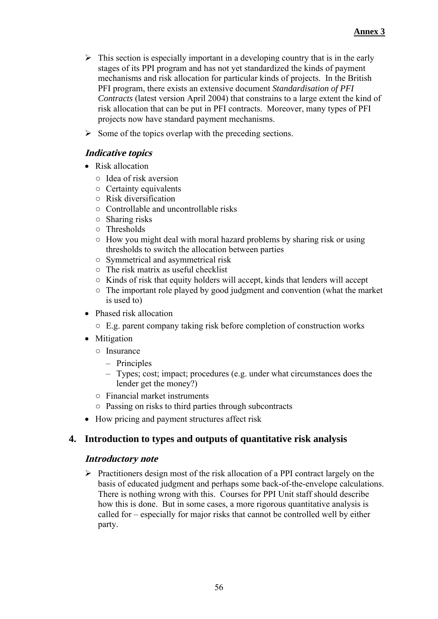- $\triangleright$  This section is especially important in a developing country that is in the early stages of its PPI program and has not yet standardized the kinds of payment mechanisms and risk allocation for particular kinds of projects. In the British PFI program, there exists an extensive document *Standardisation of PFI Contracts* (latest version April 2004) that constrains to a large extent the kind of risk allocation that can be put in PFI contracts. Moreover, many types of PFI projects now have standard payment mechanisms.
- $\triangleright$  Some of the topics overlap with the preceding sections.

# **Indicative topics**

- Risk allocation
	- Idea of risk aversion
	- Certainty equivalents
	- Risk diversification
	- Controllable and uncontrollable risks
	- Sharing risks
	- Thresholds
	- How you might deal with moral hazard problems by sharing risk or using thresholds to switch the allocation between parties
	- Symmetrical and asymmetrical risk
	- $\circ$  The risk matrix as useful checklist
	- Kinds of risk that equity holders will accept, kinds that lenders will accept
	- The important role played by good judgment and convention (what the market is used to)
- Phased risk allocation
	- E.g. parent company taking risk before completion of construction works
- Mitigation
	- Insurance
		- Principles
		- Types; cost; impact; procedures (e.g. under what circumstances does the lender get the money?)
	- Financial market instruments
	- Passing on risks to third parties through subcontracts
- How pricing and payment structures affect risk

#### **4. Introduction to types and outputs of quantitative risk analysis**

#### **Introductory note**

 $\triangleright$  Practitioners design most of the risk allocation of a PPI contract largely on the basis of educated judgment and perhaps some back-of-the-envelope calculations. There is nothing wrong with this. Courses for PPI Unit staff should describe how this is done. But in some cases, a more rigorous quantitative analysis is called for – especially for major risks that cannot be controlled well by either party.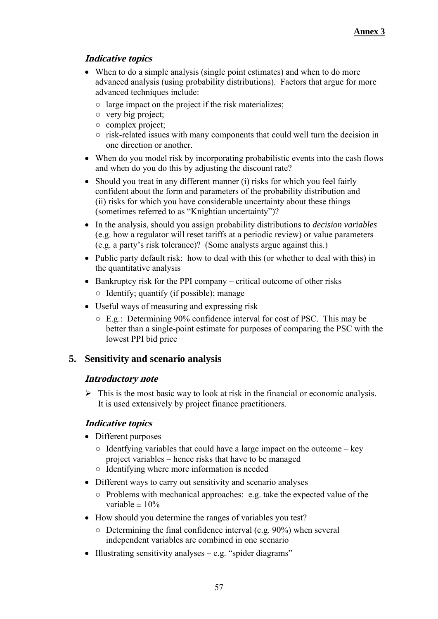# **Indicative topics**

- When to do a simple analysis (single point estimates) and when to do more advanced analysis (using probability distributions). Factors that argue for more advanced techniques include:
	- large impact on the project if the risk materializes;
	- very big project;
	- complex project;
	- risk-related issues with many components that could well turn the decision in one direction or another.
- When do you model risk by incorporating probabilistic events into the cash flows and when do you do this by adjusting the discount rate?
- Should you treat in any different manner (i) risks for which you feel fairly confident about the form and parameters of the probability distribution and (ii) risks for which you have considerable uncertainty about these things (sometimes referred to as "Knightian uncertainty")?
- In the analysis, should you assign probability distributions to *decision variables*  (e.g. how a regulator will reset tariffs at a periodic review) or value parameters (e.g. a party's risk tolerance)? (Some analysts argue against this.)
- Public party default risk: how to deal with this (or whether to deal with this) in the quantitative analysis
- $\bullet$  Bankruptcy risk for the PPI company critical outcome of other risks  $\circ$  Identify; quantify (if possible); manage
- Useful ways of measuring and expressing risk
	- E.g.: Determining 90% confidence interval for cost of PSC. This may be better than a single-point estimate for purposes of comparing the PSC with the lowest PPI bid price

#### **5. Sensitivity and scenario analysis**

#### **Introductory note**

 $\triangleright$  This is the most basic way to look at risk in the financial or economic analysis. It is used extensively by project finance practitioners.

- Different purposes
	- $\circ$  Identfying variables that could have a large impact on the outcome key project variables – hence risks that have to be managed
	- Identifying where more information is needed
- Different ways to carry out sensitivity and scenario analyses
	- Problems with mechanical approaches: e.g. take the expected value of the variable  $\pm 10\%$
- How should you determine the ranges of variables you test?
	- $\circ$  Determining the final confidence interval (e.g. 90%) when several independent variables are combined in one scenario
- Illustrating sensitivity analyses  $-e.g.$  "spider diagrams"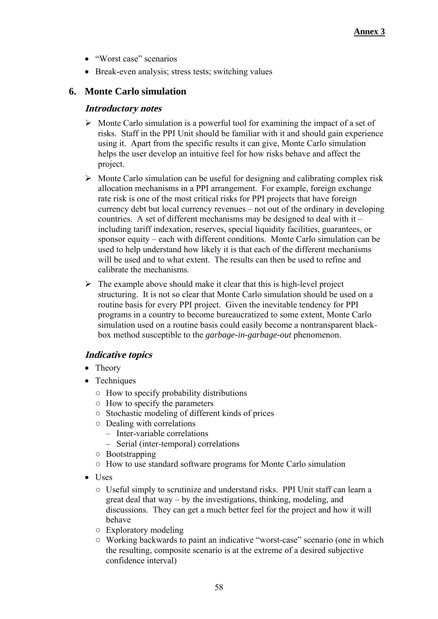- "Worst case" scenarios
- Break-even analysis; stress tests; switching values

# **6. Monte Carlo simulation**

#### **Introductory notes**

- $\triangleright$  Monte Carlo simulation is a powerful tool for examining the impact of a set of risks. Staff in the PPI Unit should be familiar with it and should gain experience using it. Apart from the specific results it can give, Monte Carlo simulation helps the user develop an intuitive feel for how risks behave and affect the project.
- $\triangleright$  Monte Carlo simulation can be useful for designing and calibrating complex risk allocation mechanisms in a PPI arrangement. For example, foreign exchange rate risk is one of the most critical risks for PPI projects that have foreign currency debt but local currency revenues – not out of the ordinary in developing countries. A set of different mechanisms may be designed to deal with it – including tariff indexation, reserves, special liquidity facilities, guarantees, or sponsor equity – each with different conditions. Monte Carlo simulation can be used to help understand how likely it is that each of the different mechanisms will be used and to what extent. The results can then be used to refine and calibrate the mechanisms.
- $\triangleright$  The example above should make it clear that this is high-level project structuring. It is not so clear that Monte Carlo simulation should be used on a routine basis for every PPI project. Given the inevitable tendency for PPI programs in a country to become bureaucratized to some extent, Monte Carlo simulation used on a routine basis could easily become a nontransparent blackbox method susceptible to the *garbage-in-garbage-out* phenomenon.

- Theory
- Techniques
	- $\circ$  How to specify probability distributions
	- How to specify the parameters
	- Stochastic modeling of different kinds of prices
	- Dealing with correlations
		- Inter-variable correlations
		- Serial (inter-temporal) correlations
	- Bootstrapping
	- How to use standard software programs for Monte Carlo simulation
- Uses
	- Useful simply to scrutinize and understand risks. PPI Unit staff can learn a great deal that way – by the investigations, thinking, modeling, and discussions. They can get a much better feel for the project and how it will behave
	- Exploratory modeling
	- Working backwards to paint an indicative "worst-case" scenario (one in which the resulting, composite scenario is at the extreme of a desired subjective confidence interval)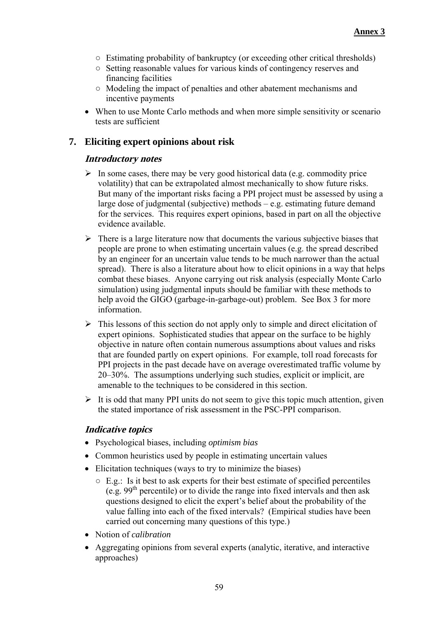- Estimating probability of bankruptcy (or exceeding other critical thresholds)
- Setting reasonable values for various kinds of contingency reserves and financing facilities
- Modeling the impact of penalties and other abatement mechanisms and incentive payments
- When to use Monte Carlo methods and when more simple sensitivity or scenario tests are sufficient

# **7. Eliciting expert opinions about risk**

#### **Introductory notes**

- $\triangleright$  In some cases, there may be very good historical data (e.g. commodity price volatility) that can be extrapolated almost mechanically to show future risks. But many of the important risks facing a PPI project must be assessed by using a large dose of judgmental (subjective) methods – e.g. estimating future demand for the services. This requires expert opinions, based in part on all the objective evidence available.
- $\triangleright$  There is a large literature now that documents the various subjective biases that people are prone to when estimating uncertain values (e.g. the spread described by an engineer for an uncertain value tends to be much narrower than the actual spread). There is also a literature about how to elicit opinions in a way that helps combat these biases. Anyone carrying out risk analysis (especially Monte Carlo simulation) using judgmental inputs should be familiar with these methods to help avoid the GIGO (garbage-in-garbage-out) problem. See Box 3 for more information.
- $\triangleright$  This lessons of this section do not apply only to simple and direct elicitation of expert opinions. Sophisticated studies that appear on the surface to be highly objective in nature often contain numerous assumptions about values and risks that are founded partly on expert opinions. For example, toll road forecasts for PPI projects in the past decade have on average overestimated traffic volume by 20–30%. The assumptions underlying such studies, explicit or implicit, are amenable to the techniques to be considered in this section.
- $\triangleright$  It is odd that many PPI units do not seem to give this topic much attention, given the stated importance of risk assessment in the PSC-PPI comparison.

- Psychological biases, including *optimism bias*
- Common heuristics used by people in estimating uncertain values
- Elicitation techniques (ways to try to minimize the biases)
	- E.g.: Is it best to ask experts for their best estimate of specified percentiles (e.g.  $99<sup>th</sup>$  percentile) or to divide the range into fixed intervals and then ask questions designed to elicit the expert's belief about the probability of the value falling into each of the fixed intervals? (Empirical studies have been carried out concerning many questions of this type.)
- Notion of *calibration*
- Aggregating opinions from several experts (analytic, iterative, and interactive approaches)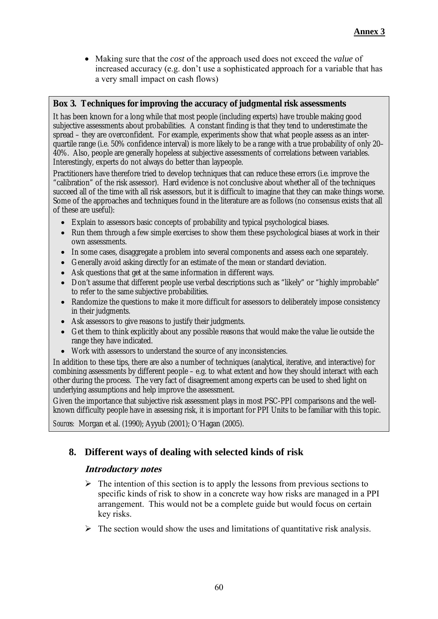Making sure that the *cost* of the approach used does not exceed the *value* of increased accuracy (e.g. don't use a sophisticated approach for a variable that has a very small impact on cash flows)

#### **Box 3. Techniques for improving the accuracy of judgmental risk assessments**

It has been known for a long while that most people (including experts) have trouble making good subjective assessments about probabilities. A constant finding is that they tend to underestimate the spread – they are overconfident. For example, experiments show that what people assess as an interquartile range (i.e. 50% confidence interval) is more likely to be a range with a true probability of only 20– 40%. Also, people are generally hopeless at subjective assessments of correlations between variables. Interestingly, experts do not always do better than laypeople.

Practitioners have therefore tried to develop techniques that can reduce these errors (i.e. improve the "calibration" of the risk assessor). Hard evidence is not conclusive about whether all of the techniques succeed all of the time with all risk assessors, but it is difficult to imagine that they can make things worse. Some of the approaches and techniques found in the literature are as follows (no consensus exists that all of these are useful):

- Explain to assessors basic concepts of probability and typical psychological biases.
- Run them through a few simple exercises to show them these psychological biases at work in their own assessments.
- In some cases, disaggregate a problem into several components and assess each one separately.
- Generally avoid asking directly for an estimate of the mean or standard deviation.
- Ask questions that get at the same information in different ways.
- Don't assume that different people use verbal descriptions such as "likely" or "highly improbable" to refer to the same subjective probabilities.
- Randomize the questions to make it more difficult for assessors to deliberately impose consistency in their judgments.
- Ask assessors to give reasons to justify their judgments.
- Get them to think explicitly about any possible reasons that would make the value lie outside the range they have indicated.
- Work with assessors to understand the source of any inconsistencies.

In addition to these tips, there are also a number of techniques (analytical, iterative, and interactive) for combining assessments by different people – e.g. to what extent and how they should interact with each other during the process. The very fact of disagreement among experts can be used to shed light on underlying assumptions and help improve the assessment.

Given the importance that subjective risk assessment plays in most PSC-PPI comparisons and the wellknown difficulty people have in assessing risk, it is important for PPI Units to be familiar with this topic.

*Sources:* Morgan et al. (1990); Ayyub (2001); O'Hagan (2005).

# **8. Different ways of dealing with selected kinds of risk**

#### **Introductory notes**

- $\triangleright$  The intention of this section is to apply the lessons from previous sections to specific kinds of risk to show in a concrete way how risks are managed in a PPI arrangement. This would not be a complete guide but would focus on certain key risks.
- $\triangleright$  The section would show the uses and limitations of quantitative risk analysis.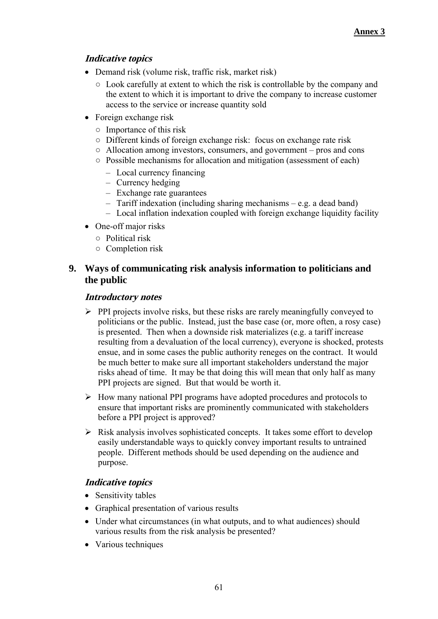# **Indicative topics**

- Demand risk (volume risk, traffic risk, market risk)
	- Look carefully at extent to which the risk is controllable by the company and the extent to which it is important to drive the company to increase customer access to the service or increase quantity sold
- Foreign exchange risk
	- Importance of this risk
	- Different kinds of foreign exchange risk: focus on exchange rate risk
	- Allocation among investors, consumers, and government pros and cons
	- Possible mechanisms for allocation and mitigation (assessment of each)
		- Local currency financing
		- Currency hedging
		- Exchange rate guarantees
		- Tariff indexation (including sharing mechanisms e.g. a dead band)
		- Local inflation indexation coupled with foreign exchange liquidity facility
- One-off major risks
	- Political risk
	- Completion risk

#### **9. Ways of communicating risk analysis information to politicians and the public**

#### **Introductory notes**

- $\triangleright$  PPI projects involve risks, but these risks are rarely meaningfully conveyed to politicians or the public. Instead, just the base case (or, more often, a rosy case) is presented. Then when a downside risk materializes (e.g. a tariff increase resulting from a devaluation of the local currency), everyone is shocked, protests ensue, and in some cases the public authority reneges on the contract. It would be much better to make sure all important stakeholders understand the major risks ahead of time. It may be that doing this will mean that only half as many PPI projects are signed. But that would be worth it.
- $\triangleright$  How many national PPI programs have adopted procedures and protocols to ensure that important risks are prominently communicated with stakeholders before a PPI project is approved?
- $\triangleright$  Risk analysis involves sophisticated concepts. It takes some effort to develop easily understandable ways to quickly convey important results to untrained people. Different methods should be used depending on the audience and purpose.

- Sensitivity tables
- Graphical presentation of various results
- Under what circumstances (in what outputs, and to what audiences) should various results from the risk analysis be presented?
- Various techniques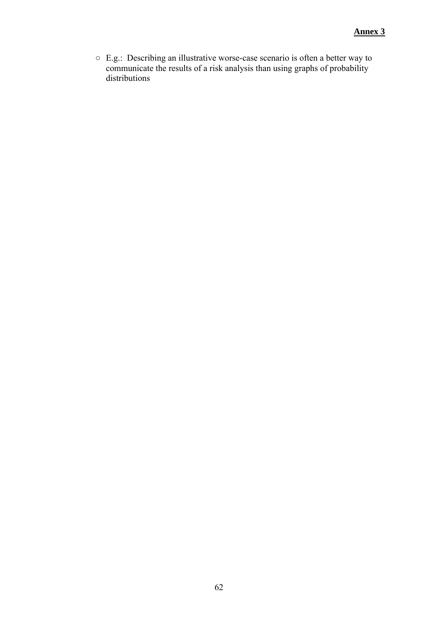○ E.g.: Describing an illustrative worse-case scenario is often a better way to communicate the results of a risk analysis than using graphs of probability distributions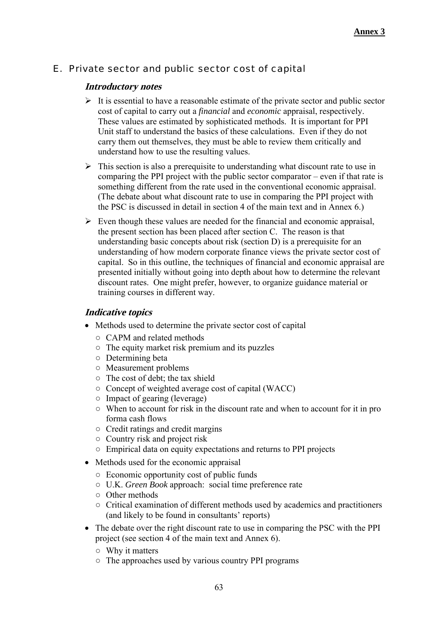# E. Private sector and public sector cost of capital

#### **Introductory notes**

- $\triangleright$  It is essential to have a reasonable estimate of the private sector and public sector cost of capital to carry out a *financial* and *economic* appraisal, respectively. These values are estimated by sophisticated methods. It is important for PPI Unit staff to understand the basics of these calculations. Even if they do not carry them out themselves, they must be able to review them critically and understand how to use the resulting values.
- $\triangleright$  This section is also a prerequisite to understanding what discount rate to use in comparing the PPI project with the public sector comparator – even if that rate is something different from the rate used in the conventional economic appraisal. (The debate about what discount rate to use in comparing the PPI project with the PSC is discussed in detail in section 4 of the main text and in Annex 6.)
- $\triangleright$  Even though these values are needed for the financial and economic appraisal, the present section has been placed after section C. The reason is that understanding basic concepts about risk (section D) is a prerequisite for an understanding of how modern corporate finance views the private sector cost of capital. So in this outline, the techniques of financial and economic appraisal are presented initially without going into depth about how to determine the relevant discount rates. One might prefer, however, to organize guidance material or training courses in different way.

- Methods used to determine the private sector cost of capital
	- CAPM and related methods
	- The equity market risk premium and its puzzles
	- Determining beta
	- Measurement problems
	- $\circ$  The cost of debt; the tax shield
	- Concept of weighted average cost of capital (WACC)
	- Impact of gearing (leverage)
	- When to account for risk in the discount rate and when to account for it in pro forma cash flows
	- Credit ratings and credit margins
	- Country risk and project risk
	- Empirical data on equity expectations and returns to PPI projects
- Methods used for the economic appraisal
	- Economic opportunity cost of public funds
	- U.K. *Green Book* approach: social time preference rate
	- Other methods
	- Critical examination of different methods used by academics and practitioners (and likely to be found in consultants' reports)
- The debate over the right discount rate to use in comparing the PSC with the PPI project (see section 4 of the main text and Annex 6).
	- Why it matters
	- The approaches used by various country PPI programs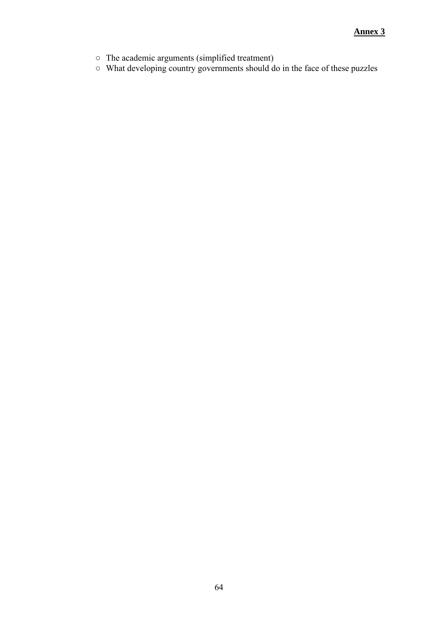- The academic arguments (simplified treatment)
- What developing country governments should do in the face of these puzzles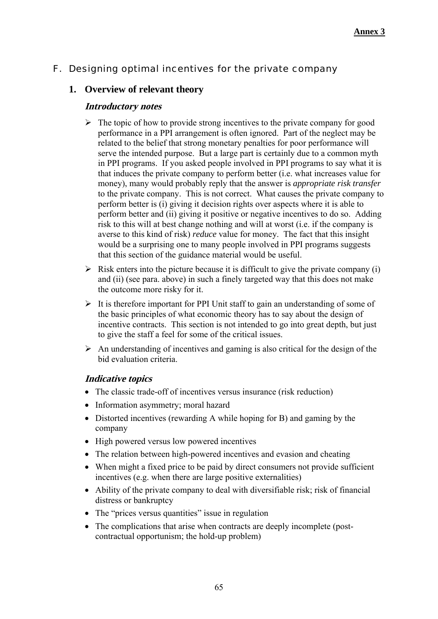# F. Designing optimal incentives for the private company

## **1. Overview of relevant theory**

#### **Introductory notes**

- $\triangleright$  The topic of how to provide strong incentives to the private company for good performance in a PPI arrangement is often ignored. Part of the neglect may be related to the belief that strong monetary penalties for poor performance will serve the intended purpose. But a large part is certainly due to a common myth in PPI programs. If you asked people involved in PPI programs to say what it is that induces the private company to perform better (i.e. what increases value for money), many would probably reply that the answer is *appropriate risk transfer*  to the private company. This is not correct. What causes the private company to perform better is (i) giving it decision rights over aspects where it is able to perform better and (ii) giving it positive or negative incentives to do so. Adding risk to this will at best change nothing and will at worst (i.e. if the company is averse to this kind of risk) *reduce* value for money. The fact that this insight would be a surprising one to many people involved in PPI programs suggests that this section of the guidance material would be useful.
- $\triangleright$  Risk enters into the picture because it is difficult to give the private company (i) and (ii) (see para. above) in such a finely targeted way that this does not make the outcome more risky for it.
- $\triangleright$  It is therefore important for PPI Unit staff to gain an understanding of some of the basic principles of what economic theory has to say about the design of incentive contracts. This section is not intended to go into great depth, but just to give the staff a feel for some of the critical issues.
- $\triangleright$  An understanding of incentives and gaming is also critical for the design of the bid evaluation criteria.

- The classic trade-off of incentives versus insurance (risk reduction)
- Information asymmetry; moral hazard
- Distorted incentives (rewarding A while hoping for B) and gaming by the company
- High powered versus low powered incentives
- The relation between high-powered incentives and evasion and cheating
- When might a fixed price to be paid by direct consumers not provide sufficient incentives (e.g. when there are large positive externalities)
- Ability of the private company to deal with diversifiable risk; risk of financial distress or bankruptcy
- The "prices versus quantities" issue in regulation
- The complications that arise when contracts are deeply incomplete (postcontractual opportunism; the hold-up problem)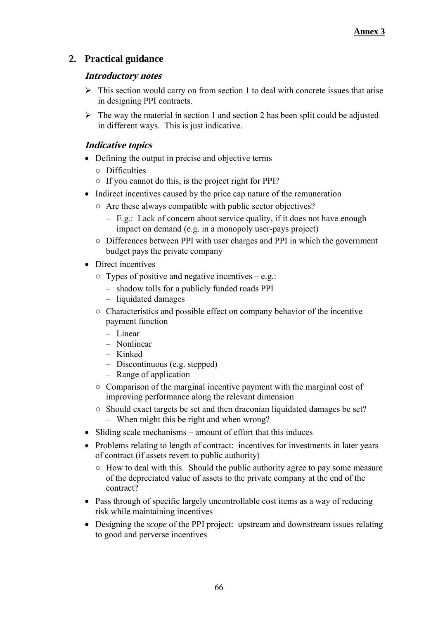# **2. Practical guidance**

#### **Introductory notes**

- $\triangleright$  This section would carry on from section 1 to deal with concrete issues that arise in designing PPI contracts.
- $\triangleright$  The way the material in section 1 and section 2 has been split could be adjusted in different ways. This is just indicative.

- Defining the output in precise and objective terms
	- Difficulties
	- If you cannot do this, is the project right for PPI?
- Indirect incentives caused by the price cap nature of the remuneration
	- Are these always compatible with public sector objectives?
		- E.g.: Lack of concern about service quality, if it does not have enough impact on demand (e.g. in a monopoly user-pays project)
	- Differences between PPI with user charges and PPI in which the government budget pays the private company
- Direct incentives
	- $\circ$  Types of positive and negative incentives e.g.:
		- shadow tolls for a publicly funded roads PPI
		- liquidated damages
	- $\circ$  Characteristics and possible effect on company behavior of the incentive payment function
		- Linear
		- Nonlinear
		- Kinked
		- Discontinuous (e.g. stepped)
		- Range of application
	- Comparison of the marginal incentive payment with the marginal cost of improving performance along the relevant dimension
	- Should exact targets be set and then draconian liquidated damages be set? – When might this be right and when wrong?
- Sliding scale mechanisms amount of effort that this induces
- Problems relating to length of contract: incentives for investments in later years of contract (if assets revert to public authority)
	- How to deal with this. Should the public authority agree to pay some measure of the depreciated value of assets to the private company at the end of the contract?
- Pass through of specific largely uncontrollable cost items as a way of reducing risk while maintaining incentives
- Designing the *scope* of the PPI project: upstream and downstream issues relating to good and perverse incentives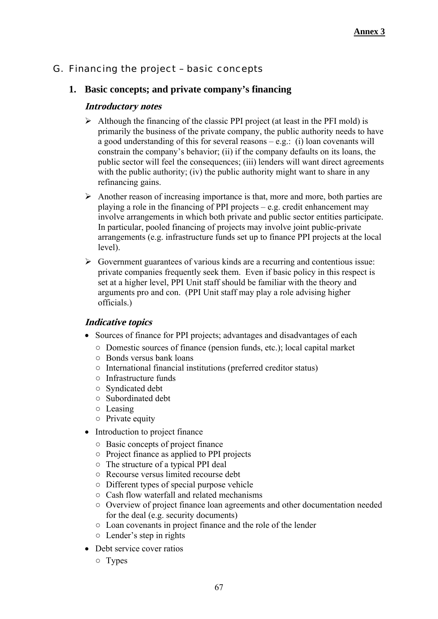# G. Financing the project – basic concepts

#### **1. Basic concepts; and private company's financing**

#### **Introductory notes**

- $\triangleright$  Although the financing of the classic PPI project (at least in the PFI mold) is primarily the business of the private company, the public authority needs to have a good understanding of this for several reasons – e.g.: (i) loan covenants will constrain the company's behavior; (ii) if the company defaults on its loans, the public sector will feel the consequences; (iii) lenders will want direct agreements with the public authority; (iv) the public authority might want to share in any refinancing gains.
- $\triangleright$  Another reason of increasing importance is that, more and more, both parties are playing a role in the financing of PPI projects – e.g. credit enhancement may involve arrangements in which both private and public sector entities participate. In particular, pooled financing of projects may involve joint public-private arrangements (e.g. infrastructure funds set up to finance PPI projects at the local level).
- $\triangleright$  Government guarantees of various kinds are a recurring and contentious issue: private companies frequently seek them. Even if basic policy in this respect is set at a higher level, PPI Unit staff should be familiar with the theory and arguments pro and con. (PPI Unit staff may play a role advising higher officials.)

- Sources of finance for PPI projects; advantages and disadvantages of each
	- Domestic sources of finance (pension funds, etc.); local capital market
	- Bonds versus bank loans
	- International financial institutions (preferred creditor status)
	- Infrastructure funds
	- Syndicated debt
	- Subordinated debt
	- Leasing
	- Private equity
- Introduction to project finance
	- Basic concepts of project finance
	- Project finance as applied to PPI projects
	- The structure of a typical PPI deal
	- Recourse versus limited recourse debt
	- Different types of special purpose vehicle
	- Cash flow waterfall and related mechanisms
	- Overview of project finance loan agreements and other documentation needed for the deal (e.g. security documents)
	- Loan covenants in project finance and the role of the lender
	- Lender's step in rights
- Debt service cover ratios
	- Types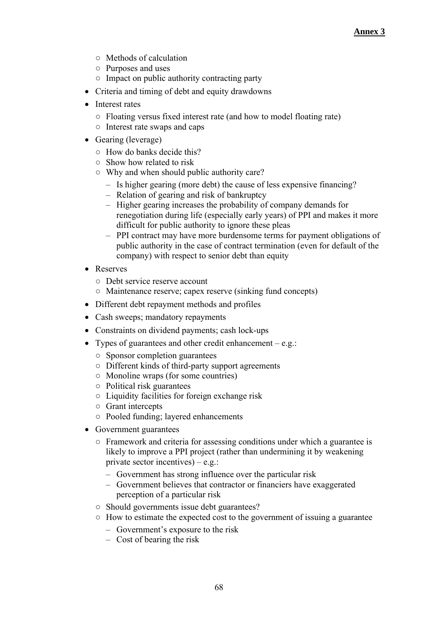- Methods of calculation
- Purposes and uses
- Impact on public authority contracting party
- Criteria and timing of debt and equity drawdowns
- Interest rates
	- Floating versus fixed interest rate (and how to model floating rate)
	- Interest rate swaps and caps
- Gearing (leverage)
	- How do banks decide this?
	- Show how related to risk
	- Why and when should public authority care?
		- Is higher gearing (more debt) the cause of less expensive financing?
		- Relation of gearing and risk of bankruptcy
		- Higher gearing increases the probability of company demands for renegotiation during life (especially early years) of PPI and makes it more difficult for public authority to ignore these pleas
		- PPI contract may have more burdensome terms for payment obligations of public authority in the case of contract termination (even for default of the company) with respect to senior debt than equity
- Reserves
	- Debt service reserve account
	- Maintenance reserve; capex reserve (sinking fund concepts)
- Different debt repayment methods and profiles
- Cash sweeps; mandatory repayments
- Constraints on dividend payments; cash lock-ups
- Types of guarantees and other credit enhancement  $-e.g.$ :
	- Sponsor completion guarantees
	- Different kinds of third-party support agreements
	- Monoline wraps (for some countries)
	- Political risk guarantees
	- Liquidity facilities for foreign exchange risk
	- Grant intercepts
	- Pooled funding; layered enhancements
- Government guarantees
	- Framework and criteria for assessing conditions under which a guarantee is likely to improve a PPI project (rather than undermining it by weakening private sector incentives) – e.g.:
		- Government has strong influence over the particular risk
		- Government believes that contractor or financiers have exaggerated perception of a particular risk
	- Should governments issue debt guarantees?
	- How to estimate the expected cost to the government of issuing a guarantee
		- Government's exposure to the risk
		- Cost of bearing the risk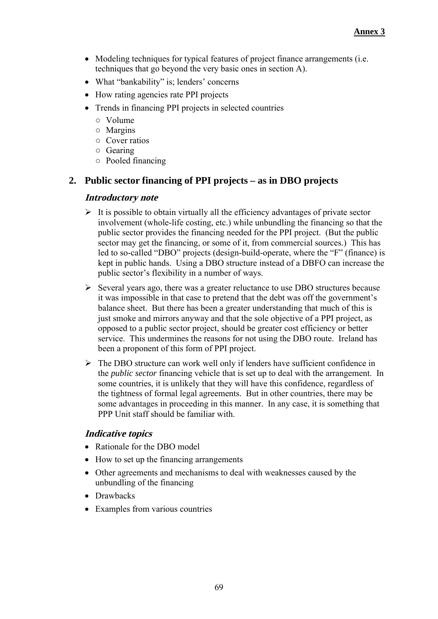- Modeling techniques for typical features of project finance arrangements (i.e. techniques that go beyond the very basic ones in section A).
- What "bankability" is; lenders' concerns
- How rating agencies rate PPI projects
- Trends in financing PPI projects in selected countries
	- Volume
	- Margins
	- Cover ratios
	- Gearing
	- Pooled financing

## **2. Public sector financing of PPI projects – as in DBO projects**

#### **Introductory note**

- $\triangleright$  It is possible to obtain virtually all the efficiency advantages of private sector involvement (whole-life costing, etc.) while unbundling the financing so that the public sector provides the financing needed for the PPI project. (But the public sector may get the financing, or some of it, from commercial sources.) This has led to so-called "DBO" projects (design-build-operate, where the "F" (finance) is kept in public hands. Using a DBO structure instead of a DBFO can increase the public sector's flexibility in a number of ways.
- $\triangleright$  Several years ago, there was a greater reluctance to use DBO structures because it was impossible in that case to pretend that the debt was off the government's balance sheet. But there has been a greater understanding that much of this is just smoke and mirrors anyway and that the sole objective of a PPI project, as opposed to a public sector project, should be greater cost efficiency or better service. This undermines the reasons for not using the DBO route. Ireland has been a proponent of this form of PPI project.
- $\triangleright$  The DBO structure can work well only if lenders have sufficient confidence in the *public sector* financing vehicle that is set up to deal with the arrangement. In some countries, it is unlikely that they will have this confidence, regardless of the tightness of formal legal agreements. But in other countries, there may be some advantages in proceeding in this manner. In any case, it is something that PPP Unit staff should be familiar with.

### **Indicative topics**

- Rationale for the DBO model
- How to set up the financing arrangements
- Other agreements and mechanisms to deal with weaknesses caused by the unbundling of the financing
- Drawbacks
- Examples from various countries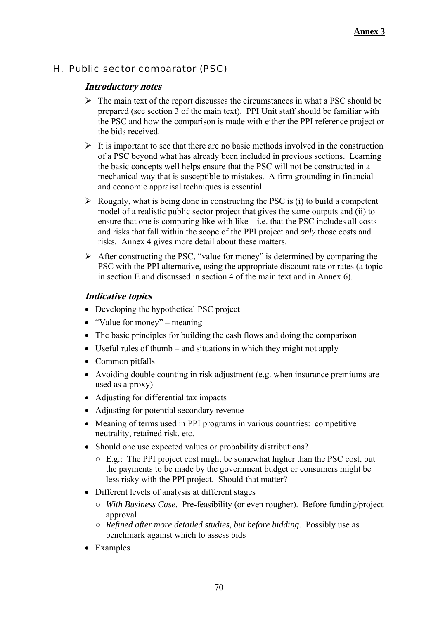# H. Public sector comparator (PSC)

## **Introductory notes**

- $\triangleright$  The main text of the report discusses the circumstances in what a PSC should be prepared (see section 3 of the main text). PPI Unit staff should be familiar with the PSC and how the comparison is made with either the PPI reference project or the bids received.
- $\triangleright$  It is important to see that there are no basic methods involved in the construction of a PSC beyond what has already been included in previous sections. Learning the basic concepts well helps ensure that the PSC will not be constructed in a mechanical way that is susceptible to mistakes. A firm grounding in financial and economic appraisal techniques is essential.
- $\triangleright$  Roughly, what is being done in constructing the PSC is (i) to build a competent model of a realistic public sector project that gives the same outputs and (ii) to ensure that one is comparing like with like  $-$  i.e. that the PSC includes all costs and risks that fall within the scope of the PPI project and *only* those costs and risks. Annex 4 gives more detail about these matters.
- $\triangleright$  After constructing the PSC, "value for money" is determined by comparing the PSC with the PPI alternative, using the appropriate discount rate or rates (a topic in section E and discussed in section 4 of the main text and in Annex 6).

## **Indicative topics**

- Developing the hypothetical PSC project
- "Value for money" meaning
- The basic principles for building the cash flows and doing the comparison
- Useful rules of thumb and situations in which they might not apply
- Common pitfalls
- Avoiding double counting in risk adjustment (e.g. when insurance premiums are used as a proxy)
- Adjusting for differential tax impacts
- Adjusting for potential secondary revenue
- Meaning of terms used in PPI programs in various countries: competitive neutrality, retained risk, etc.
- Should one use expected values or probability distributions?
	- $\circ$  E.g.: The PPI project cost might be somewhat higher than the PSC cost, but the payments to be made by the government budget or consumers might be less risky with the PPI project. Should that matter?
- Different levels of analysis at different stages
	- *With Business Case.* Pre-feasibility (or even rougher). Before funding/project approval
	- *Refined after more detailed studies, but before bidding.* Possibly use as benchmark against which to assess bids
- Examples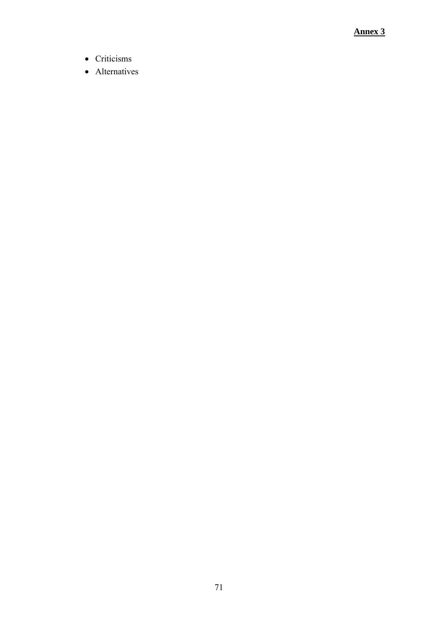### **Annex 3**

- Criticisms
- Alternatives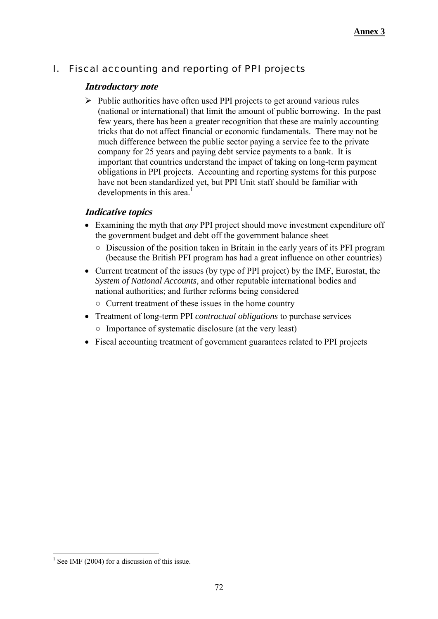# I. Fiscal accounting and reporting of PPI projects

### **Introductory note**

 $\triangleright$  Public authorities have often used PPI projects to get around various rules (national or international) that limit the amount of public borrowing. In the past few years, there has been a greater recognition that these are mainly accounting tricks that do not affect financial or economic fundamentals. There may not be much difference between the public sector paying a service fee to the private company for 25 years and paying debt service payments to a bank. It is important that countries understand the impact of taking on long-term payment obligations in PPI projects. Accounting and reporting systems for this purpose have not been standardized yet, but PPI Unit staff should be familiar with developments in this area.<sup>1</sup>

## **Indicative topics**

- Examining the myth that *any* PPI project should move investment expenditure off the government budget and debt off the government balance sheet
	- Discussion of the position taken in Britain in the early years of its PFI program (because the British PFI program has had a great influence on other countries)
- Current treatment of the issues (by type of PPI project) by the IMF, Eurostat, the *System of National Accounts*, and other reputable international bodies and national authorities; and further reforms being considered
	- Current treatment of these issues in the home country
- Treatment of long-term PPI *contractual obligations* to purchase services
	- Importance of systematic disclosure (at the very least)
- Fiscal accounting treatment of government guarantees related to PPI projects

1

 $1$  See IMF (2004) for a discussion of this issue.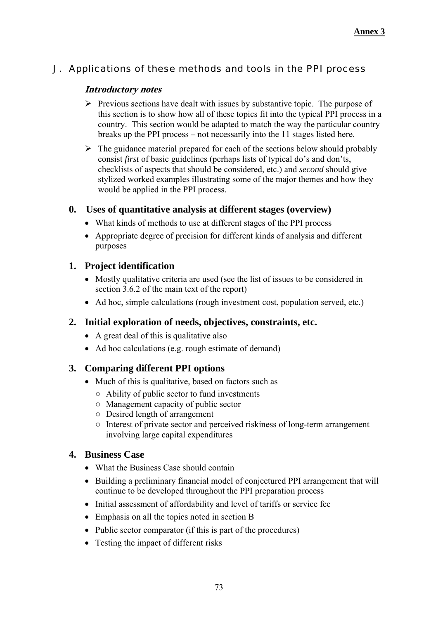# J. Applications of these methods and tools in the PPI process

## **Introductory notes**

- $\triangleright$  Previous sections have dealt with issues by substantive topic. The purpose of this section is to show how all of these topics fit into the typical PPI process in a country. This section would be adapted to match the way the particular country breaks up the PPI process – not necessarily into the 11 stages listed here.
- $\triangleright$  The guidance material prepared for each of the sections below should probably consist *first* of basic guidelines (perhaps lists of typical do's and don'ts, checklists of aspects that should be considered, etc.) and *second* should give stylized worked examples illustrating some of the major themes and how they would be applied in the PPI process.

# **0. Uses of quantitative analysis at different stages (overview)**

- What kinds of methods to use at different stages of the PPI process
- Appropriate degree of precision for different kinds of analysis and different purposes

# **1. Project identification**

- Mostly qualitative criteria are used (see the list of issues to be considered in section 3.6.2 of the main text of the report)
- Ad hoc, simple calculations (rough investment cost, population served, etc.)

# **2. Initial exploration of needs, objectives, constraints, etc.**

- A great deal of this is qualitative also
- Ad hoc calculations (e.g. rough estimate of demand)

# **3. Comparing different PPI options**

- Much of this is qualitative, based on factors such as
	- Ability of public sector to fund investments
	- Management capacity of public sector
	- Desired length of arrangement
	- Interest of private sector and perceived riskiness of long-term arrangement involving large capital expenditures

# **4. Business Case**

- What the Business Case should contain
- Building a preliminary financial model of conjectured PPI arrangement that will continue to be developed throughout the PPI preparation process
- Initial assessment of affordability and level of tariffs or service fee
- Emphasis on all the topics noted in section B
- Public sector comparator (if this is part of the procedures)
- Testing the impact of different risks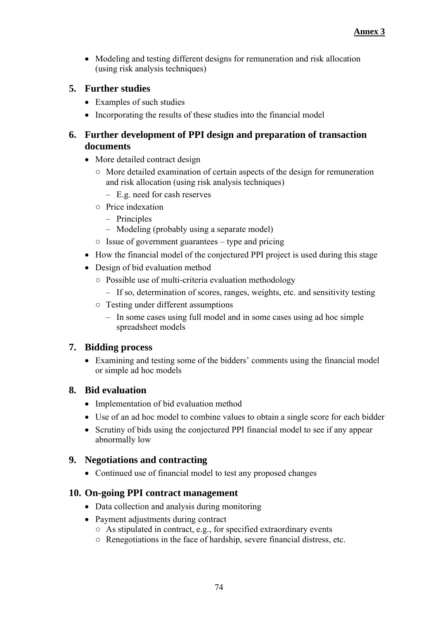Modeling and testing different designs for remuneration and risk allocation (using risk analysis techniques)

# **5. Further studies**

- Examples of such studies
- Incorporating the results of these studies into the financial model

# **6. Further development of PPI design and preparation of transaction documents**

- More detailed contract design
	- More detailed examination of certain aspects of the design for remuneration and risk allocation (using risk analysis techniques)
		- E.g. need for cash reserves
	- Price indexation
		- Principles
		- Modeling (probably using a separate model)
	- $\circ$  Issue of government guarantees type and pricing
- How the financial model of the conjectured PPI project is used during this stage
- Design of bid evaluation method
	- Possible use of multi-criteria evaluation methodology
		- If so, determination of scores, ranges, weights, etc. and sensitivity testing
	- Testing under different assumptions
		- In some cases using full model and in some cases using ad hoc simple spreadsheet models

# **7. Bidding process**

 Examining and testing some of the bidders' comments using the financial model or simple ad hoc models

# **8. Bid evaluation**

- Implementation of bid evaluation method
- Use of an ad hoc model to combine values to obtain a single score for each bidder
- Scrutiny of bids using the conjectured PPI financial model to see if any appear abnormally low

# **9. Negotiations and contracting**

Continued use of financial model to test any proposed changes

# **10. On-going PPI contract management**

- Data collection and analysis during monitoring
- Payment adjustments during contract
	- $\circ$  As stipulated in contract, e.g., for specified extraordinary events
	- Renegotiations in the face of hardship, severe financial distress, etc.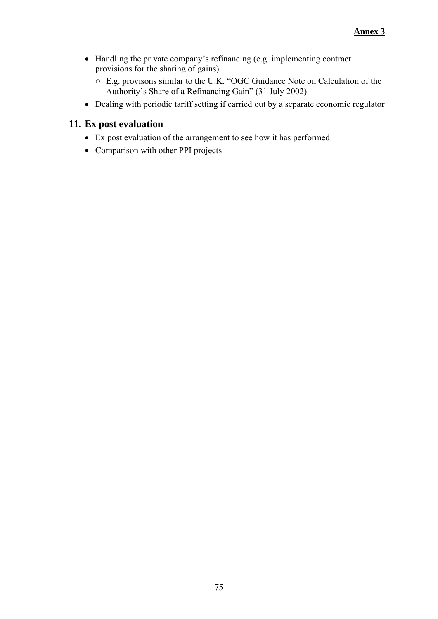- Handling the private company's refinancing (e.g. implementing contract provisions for the sharing of gains)
	- E.g. provisons similar to the U.K. "OGC Guidance Note on Calculation of the Authority's Share of a Refinancing Gain" (31 July 2002)
- Dealing with periodic tariff setting if carried out by a separate economic regulator

# **11. Ex post evaluation**

- Ex post evaluation of the arrangement to see how it has performed
- Comparison with other PPI projects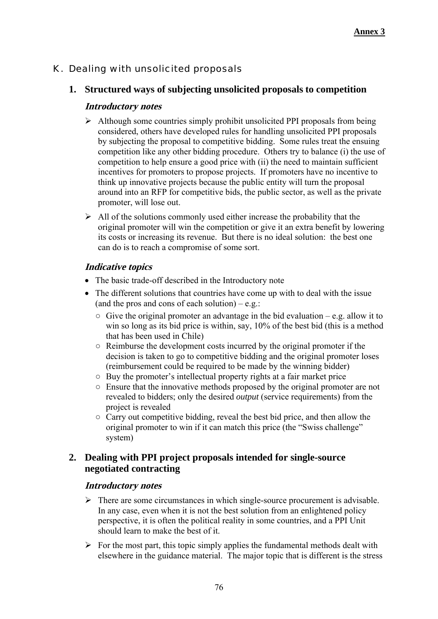# K. Dealing with unsolicited proposals

# **1. Structured ways of subjecting unsolicited proposals to competition**

### **Introductory notes**

- $\triangleright$  Although some countries simply prohibit unsolicited PPI proposals from being considered, others have developed rules for handling unsolicited PPI proposals by subjecting the proposal to competitive bidding. Some rules treat the ensuing competition like any other bidding procedure. Others try to balance (i) the use of competition to help ensure a good price with (ii) the need to maintain sufficient incentives for promoters to propose projects. If promoters have no incentive to think up innovative projects because the public entity will turn the proposal around into an RFP for competitive bids, the public sector, as well as the private promoter, will lose out.
- $\triangleright$  All of the solutions commonly used either increase the probability that the original promoter will win the competition or give it an extra benefit by lowering its costs or increasing its revenue. But there is no ideal solution: the best one can do is to reach a compromise of some sort.

### **Indicative topics**

- The basic trade-off described in the Introductory note
- The different solutions that countries have come up with to deal with the issue (and the pros and cons of each solution) – e.g.:
	- $\circ$  Give the original promoter an advantage in the bid evaluation e.g. allow it to win so long as its bid price is within, say, 10% of the best bid (this is a method that has been used in Chile)
	- Reimburse the development costs incurred by the original promoter if the decision is taken to go to competitive bidding and the original promoter loses (reimbursement could be required to be made by the winning bidder)
	- Buy the promoter's intellectual property rights at a fair market price
	- Ensure that the innovative methods proposed by the original promoter are not revealed to bidders; only the desired *output* (service requirements) from the project is revealed
	- Carry out competitive bidding, reveal the best bid price, and then allow the original promoter to win if it can match this price (the "Swiss challenge" system)

## **2. Dealing with PPI project proposals intended for single-source negotiated contracting**

### **Introductory notes**

- $\triangleright$  There are some circumstances in which single-source procurement is advisable. In any case, even when it is not the best solution from an enlightened policy perspective, it is often the political reality in some countries, and a PPI Unit should learn to make the best of it.
- $\triangleright$  For the most part, this topic simply applies the fundamental methods dealt with elsewhere in the guidance material. The major topic that is different is the stress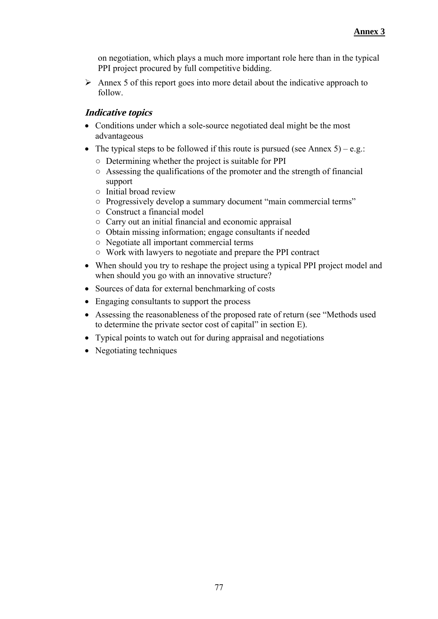on negotiation, which plays a much more important role here than in the typical PPI project procured by full competitive bidding.

 $\triangleright$  Annex 5 of this report goes into more detail about the indicative approach to follow.

## **Indicative topics**

- Conditions under which a sole-source negotiated deal might be the most advantageous
- The typical steps to be followed if this route is pursued (see Annex  $5$ ) e.g.:
	- Determining whether the project is suitable for PPI
	- Assessing the qualifications of the promoter and the strength of financial support
	- Initial broad review
	- Progressively develop a summary document "main commercial terms"
	- Construct a financial model
	- Carry out an initial financial and economic appraisal
	- Obtain missing information; engage consultants if needed
	- Negotiate all important commercial terms
	- Work with lawyers to negotiate and prepare the PPI contract
- When should you try to reshape the project using a typical PPI project model and when should you go with an innovative structure?
- Sources of data for external benchmarking of costs
- Engaging consultants to support the process
- Assessing the reasonableness of the proposed rate of return (see "Methods used to determine the private sector cost of capital" in section E).
- Typical points to watch out for during appraisal and negotiations
- Negotiating techniques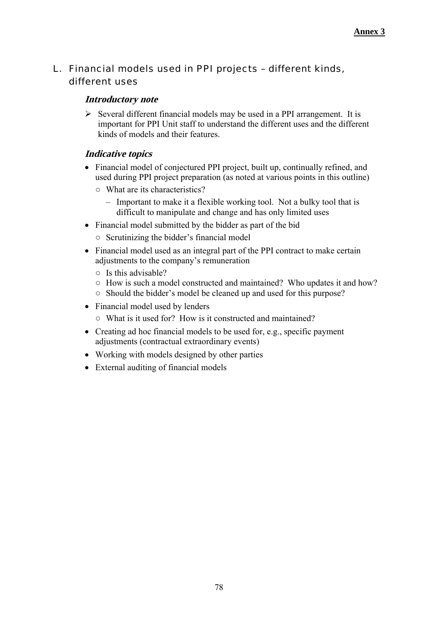L. Financial models used in PPI projects – different kinds, different uses

## **Introductory note**

 $\triangleright$  Several different financial models may be used in a PPI arrangement. It is important for PPI Unit staff to understand the different uses and the different kinds of models and their features.

# **Indicative topics**

- Financial model of conjectured PPI project, built up, continually refined, and used during PPI project preparation (as noted at various points in this outline)
	- What are its characteristics?
		- Important to make it a flexible working tool. Not a bulky tool that is difficult to manipulate and change and has only limited uses
- Financial model submitted by the bidder as part of the bid
	- Scrutinizing the bidder's financial model
- Financial model used as an integral part of the PPI contract to make certain adjustments to the company's remuneration
	- Is this advisable?
	- How is such a model constructed and maintained? Who updates it and how?
	- Should the bidder's model be cleaned up and used for this purpose?
- Financial model used by lenders
	- What is it used for? How is it constructed and maintained?
- Creating ad hoc financial models to be used for, e.g., specific payment adjustments (contractual extraordinary events)
- Working with models designed by other parties
- External auditing of financial models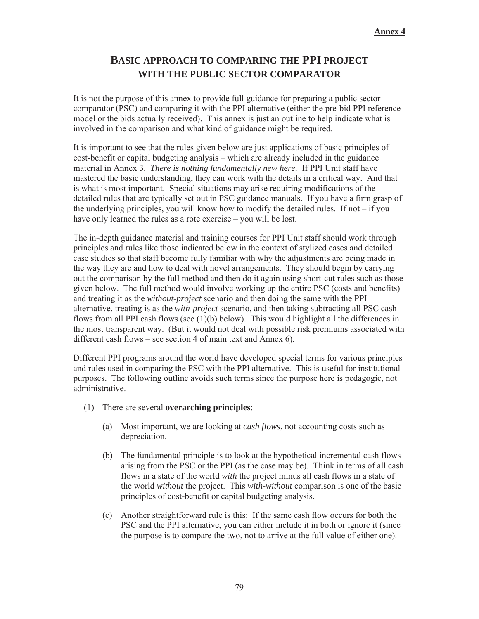# **BASIC APPROACH TO COMPARING THE PPI PROJECT WITH THE PUBLIC SECTOR COMPARATOR**

It is not the purpose of this annex to provide full guidance for preparing a public sector comparator (PSC) and comparing it with the PPI alternative (either the pre-bid PPI reference model or the bids actually received). This annex is just an outline to help indicate what is involved in the comparison and what kind of guidance might be required.

It is important to see that the rules given below are just applications of basic principles of cost-benefit or capital budgeting analysis – which are already included in the guidance material in Annex 3. *There is nothing fundamentally new here.* If PPI Unit staff have mastered the basic understanding, they can work with the details in a critical way. And that is what is most important. Special situations may arise requiring modifications of the detailed rules that are typically set out in PSC guidance manuals. If you have a firm grasp of the underlying principles, you will know how to modify the detailed rules. If not – if you have only learned the rules as a rote exercise – you will be lost.

The in-depth guidance material and training courses for PPI Unit staff should work through principles and rules like those indicated below in the context of stylized cases and detailed case studies so that staff become fully familiar with why the adjustments are being made in the way they are and how to deal with novel arrangements. They should begin by carrying out the comparison by the full method and then do it again using short-cut rules such as those given below. The full method would involve working up the entire PSC (costs and benefits) and treating it as the *without-project* scenario and then doing the same with the PPI alternative, treating is as the *with-project* scenario, and then taking subtracting all PSC cash flows from all PPI cash flows (see  $(1)(b)$  below). This would highlight all the differences in the most transparent way. (But it would not deal with possible risk premiums associated with different cash flows – see section 4 of main text and Annex 6).

Different PPI programs around the world have developed special terms for various principles and rules used in comparing the PSC with the PPI alternative. This is useful for institutional purposes. The following outline avoids such terms since the purpose here is pedagogic, not administrative.

- (1) There are several **overarching principles**:
	- (a) Most important, we are looking at *cash flows*, not accounting costs such as depreciation.
	- (b) The fundamental principle is to look at the hypothetical incremental cash flows arising from the PSC or the PPI (as the case may be). Think in terms of all cash flows in a state of the world *with* the project minus all cash flows in a state of the world *without* the project. This *with-without* comparison is one of the basic principles of cost-benefit or capital budgeting analysis.
	- (c) Another straightforward rule is this: If the same cash flow occurs for both the PSC and the PPI alternative, you can either include it in both or ignore it (since the purpose is to compare the two, not to arrive at the full value of either one).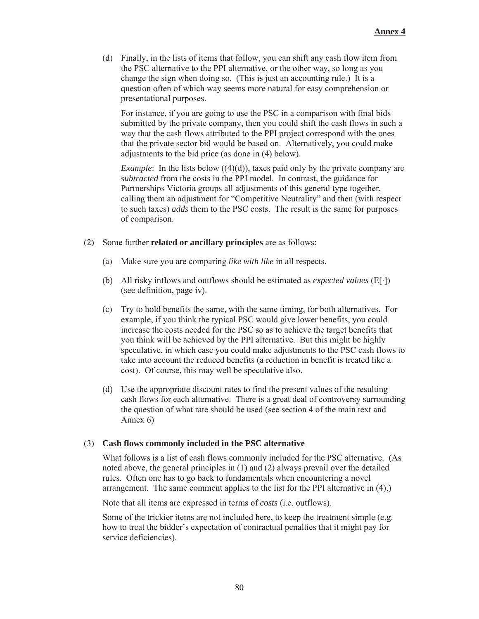(d) Finally, in the lists of items that follow, you can shift any cash flow item from the PSC alternative to the PPI alternative, or the other way, so long as you change the sign when doing so. (This is just an accounting rule.) It is a question often of which way seems more natural for easy comprehension or presentational purposes.

For instance, if you are going to use the PSC in a comparison with final bids submitted by the private company, then you could shift the cash flows in such a way that the cash flows attributed to the PPI project correspond with the ones that the private sector bid would be based on. Alternatively, you could make adjustments to the bid price (as done in (4) below).

*Example*: In the lists below  $((4)(d))$ , taxes paid only by the private company are *subtracted* from the costs in the PPI model. In contrast, the guidance for Partnerships Victoria groups all adjustments of this general type together, calling them an adjustment for "Competitive Neutrality" and then (with respect to such taxes) *adds* them to the PSC costs. The result is the same for purposes of comparison.

- (2) Some further **related or ancillary principles** are as follows:
	- (a) Make sure you are comparing *like with like* in all respects.
	- (b) All risky inflows and outflows should be estimated as *expected values* ( $E[\cdot]$ ) (see definition, page iv).
	- (c) Try to hold benefits the same, with the same timing, for both alternatives. For example, if you think the typical PSC would give lower benefits, you could increase the costs needed for the PSC so as to achieve the target benefits that you think will be achieved by the PPI alternative. But this might be highly speculative, in which case you could make adjustments to the PSC cash flows to take into account the reduced benefits (a reduction in benefit is treated like a cost). Of course, this may well be speculative also.
	- (d) Use the appropriate discount rates to find the present values of the resulting cash flows for each alternative. There is a great deal of controversy surrounding the question of what rate should be used (see section 4 of the main text and Annex 6)

#### (3) **Cash flows commonly included in the PSC alternative**

What follows is a list of cash flows commonly included for the PSC alternative. (As noted above, the general principles in (1) and (2) always prevail over the detailed rules. Often one has to go back to fundamentals when encountering a novel arrangement. The same comment applies to the list for the PPI alternative in (4).)

Note that all items are expressed in terms of *costs* (i.e. outflows).

Some of the trickier items are not included here, to keep the treatment simple (e.g. how to treat the bidder's expectation of contractual penalties that it might pay for service deficiencies).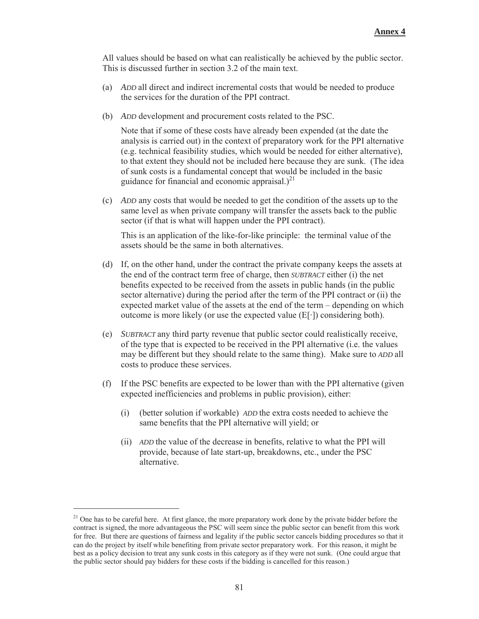All values should be based on what can realistically be achieved by the public sector. This is discussed further in section 3.2 of the main text.

- (a) *ADD* all direct and indirect incremental costs that would be needed to produce the services for the duration of the PPI contract.
- (b) *ADD* development and procurement costs related to the PSC.

Note that if some of these costs have already been expended (at the date the analysis is carried out) in the context of preparatory work for the PPI alternative (e.g. technical feasibility studies, which would be needed for either alternative), to that extent they should not be included here because they are sunk. (The idea of sunk costs is a fundamental concept that would be included in the basic guidance for financial and economic appraisal.) $^{21}$ 

(c) *ADD* any costs that would be needed to get the condition of the assets up to the same level as when private company will transfer the assets back to the public sector (if that is what will happen under the PPI contract).

This is an application of the like-for-like principle: the terminal value of the assets should be the same in both alternatives.

- (d) If, on the other hand, under the contract the private company keeps the assets at the end of the contract term free of charge, then *SUBTRACT* either (i) the net benefits expected to be received from the assets in public hands (in the public sector alternative) during the period after the term of the PPI contract or (ii) the expected market value of the assets at the end of the term – depending on which outcome is more likely (or use the expected value  $(E[\cdot])$  considering both).
- (e) *SUBTRACT* any third party revenue that public sector could realistically receive, of the type that is expected to be received in the PPI alternative (i.e. the values may be different but they should relate to the same thing). Make sure to *ADD* all costs to produce these services.
- (f) If the PSC benefits are expected to be lower than with the PPI alternative (given expected inefficiencies and problems in public provision), either:
	- (i) (better solution if workable) *ADD* the extra costs needed to achieve the same benefits that the PPI alternative will yield; or
	- (ii) *ADD* the value of the decrease in benefits, relative to what the PPI will provide, because of late start-up, breakdowns, etc., under the PSC alternative.

<sup>&</sup>lt;sup>21</sup> One has to be careful here. At first glance, the more preparatory work done by the private bidder before the contract is signed, the more advantageous the PSC will seem since the public sector can benefit from this work for free. But there are questions of fairness and legality if the public sector cancels bidding procedures so that it can do the project by itself while benefiting from private sector preparatory work. For this reason, it might be best as a policy decision to treat any sunk costs in this category as if they were not sunk. (One could argue that the public sector should pay bidders for these costs if the bidding is cancelled for this reason.)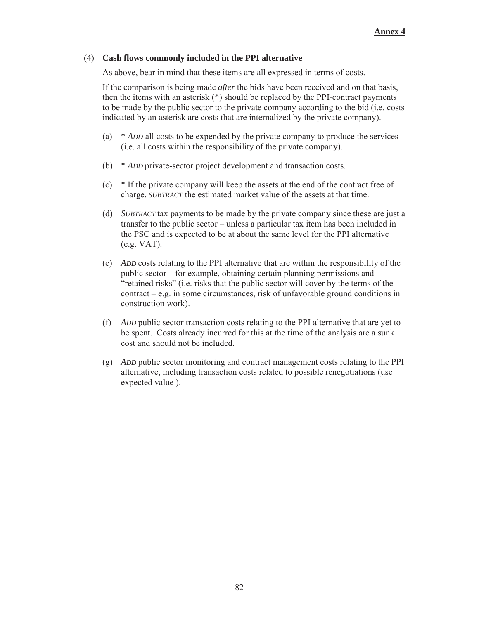#### (4) **Cash flows commonly included in the PPI alternative**

As above, bear in mind that these items are all expressed in terms of costs.

If the comparison is being made *after* the bids have been received and on that basis, then the items with an asterisk (\*) should be replaced by the PPI-contract payments to be made by the public sector to the private company according to the bid (i.e. costs indicated by an asterisk are costs that are internalized by the private company).

- (a) \* *ADD* all costs to be expended by the private company to produce the services (i.e. all costs within the responsibility of the private company).
- (b) \* *ADD* private-sector project development and transaction costs.
- (c) \* If the private company will keep the assets at the end of the contract free of charge, *SUBTRACT* the estimated market value of the assets at that time.
- (d) *SUBTRACT* tax payments to be made by the private company since these are just a transfer to the public sector – unless a particular tax item has been included in the PSC and is expected to be at about the same level for the PPI alternative (e.g. VAT).
- (e) *ADD* costs relating to the PPI alternative that are within the responsibility of the public sector – for example, obtaining certain planning permissions and "retained risks" (i.e. risks that the public sector will cover by the terms of the contract – e.g. in some circumstances, risk of unfavorable ground conditions in construction work).
- (f) *ADD* public sector transaction costs relating to the PPI alternative that are yet to be spent. Costs already incurred for this at the time of the analysis are a sunk cost and should not be included.
- (g) *ADD* public sector monitoring and contract management costs relating to the PPI alternative, including transaction costs related to possible renegotiations (use expected value ).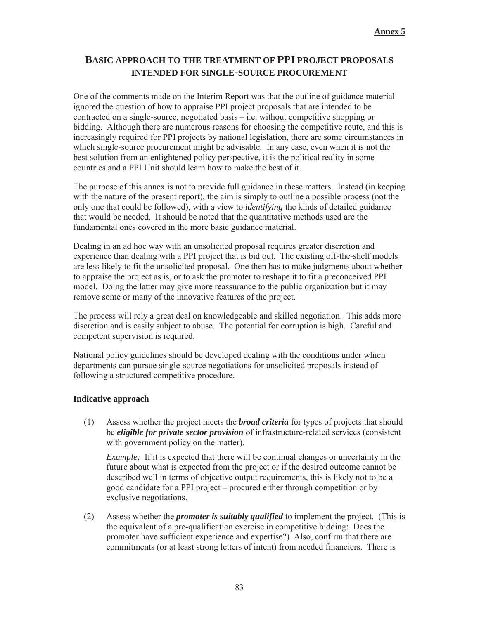## **BASIC APPROACH TO THE TREATMENT OF PPI PROJECT PROPOSALS INTENDED FOR SINGLE-SOURCE PROCUREMENT**

One of the comments made on the Interim Report was that the outline of guidance material ignored the question of how to appraise PPI project proposals that are intended to be contracted on a single-source, negotiated basis – i.e. without competitive shopping or bidding. Although there are numerous reasons for choosing the competitive route, and this is increasingly required for PPI projects by national legislation, there are some circumstances in which single-source procurement might be advisable. In any case, even when it is not the best solution from an enlightened policy perspective, it is the political reality in some countries and a PPI Unit should learn how to make the best of it.

The purpose of this annex is not to provide full guidance in these matters. Instead (in keeping with the nature of the present report), the aim is simply to outline a possible process (not the only one that could be followed), with a view to *identifying* the kinds of detailed guidance that would be needed. It should be noted that the quantitative methods used are the fundamental ones covered in the more basic guidance material.

Dealing in an ad hoc way with an unsolicited proposal requires greater discretion and experience than dealing with a PPI project that is bid out. The existing off-the-shelf models are less likely to fit the unsolicited proposal. One then has to make judgments about whether to appraise the project as is, or to ask the promoter to reshape it to fit a preconceived PPI model. Doing the latter may give more reassurance to the public organization but it may remove some or many of the innovative features of the project.

The process will rely a great deal on knowledgeable and skilled negotiation. This adds more discretion and is easily subject to abuse. The potential for corruption is high. Careful and competent supervision is required.

National policy guidelines should be developed dealing with the conditions under which departments can pursue single-source negotiations for unsolicited proposals instead of following a structured competitive procedure.

#### **Indicative approach**

(1) Assess whether the project meets the *broad criteria* for types of projects that should be *eligible for private sector provision* of infrastructure-related services (consistent with government policy on the matter).

*Example:* If it is expected that there will be continual changes or uncertainty in the future about what is expected from the project or if the desired outcome cannot be described well in terms of objective output requirements, this is likely not to be a good candidate for a PPI project – procured either through competition or by exclusive negotiations.

(2) Assess whether the *promoter is suitably qualified* to implement the project. (This is the equivalent of a pre-qualification exercise in competitive bidding: Does the promoter have sufficient experience and expertise?) Also, confirm that there are commitments (or at least strong letters of intent) from needed financiers. There is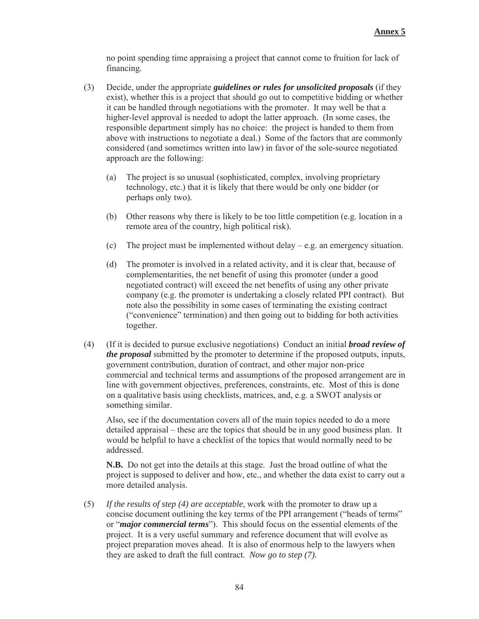no point spending time appraising a project that cannot come to fruition for lack of financing.

- (3) Decide, under the appropriate *guidelines or rules for unsolicited proposals* (if they exist), whether this is a project that should go out to competitive bidding or whether it can be handled through negotiations with the promoter. It may well be that a higher-level approval is needed to adopt the latter approach. (In some cases, the responsible department simply has no choice: the project is handed to them from above with instructions to negotiate a deal.) Some of the factors that are commonly considered (and sometimes written into law) in favor of the sole-source negotiated approach are the following:
	- (a) The project is so unusual (sophisticated, complex, involving proprietary technology, etc.) that it is likely that there would be only one bidder (or perhaps only two).
	- (b) Other reasons why there is likely to be too little competition (e.g. location in a remote area of the country, high political risk).
	- (c) The project must be implemented without delay  $-e.g.$  an emergency situation.
	- (d) The promoter is involved in a related activity, and it is clear that, because of complementarities, the net benefit of using this promoter (under a good negotiated contract) will exceed the net benefits of using any other private company (e.g. the promoter is undertaking a closely related PPI contract). But note also the possibility in some cases of terminating the existing contract ("convenience" termination) and then going out to bidding for both activities together.
- (4) (If it is decided to pursue exclusive negotiations) Conduct an initial *broad review of the proposal* submitted by the promoter to determine if the proposed outputs, inputs, government contribution, duration of contract, and other major non-price commercial and technical terms and assumptions of the proposed arrangement are in line with government objectives, preferences, constraints, etc. Most of this is done on a qualitative basis using checklists, matrices, and, e.g. a SWOT analysis or something similar.

Also, see if the documentation covers all of the main topics needed to do a more detailed appraisal – these are the topics that should be in any good business plan. It would be helpful to have a checklist of the topics that would normally need to be addressed.

**N.B.** Do not get into the details at this stage. Just the broad outline of what the project is supposed to deliver and how, etc., and whether the data exist to carry out a more detailed analysis.

(5) *If the results of step (4) are acceptable,* work with the promoter to draw up a concise document outlining the key terms of the PPI arrangement ("heads of terms" or "*major commercial terms*"). This should focus on the essential elements of the project. It is a very useful summary and reference document that will evolve as project preparation moves ahead. It is also of enormous help to the lawyers when they are asked to draft the full contract. *Now go to step (7).*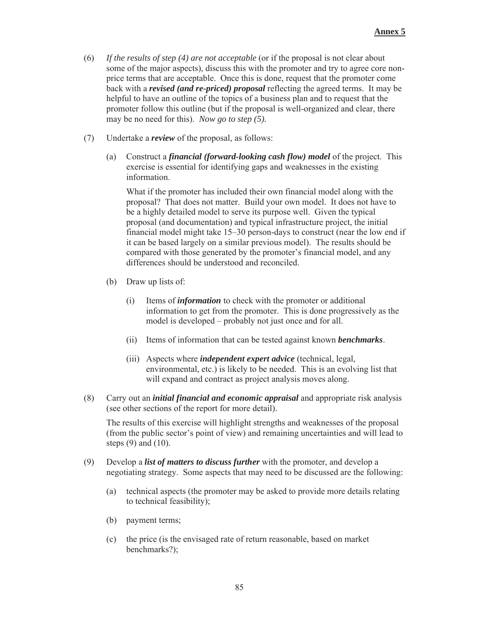- (6) *If the results of step (4) are not acceptable* (or if the proposal is not clear about some of the major aspects), discuss this with the promoter and try to agree core nonprice terms that are acceptable. Once this is done, request that the promoter come back with a *revised (and re-priced) proposal* reflecting the agreed terms. It may be helpful to have an outline of the topics of a business plan and to request that the promoter follow this outline (but if the proposal is well-organized and clear, there may be no need for this). *Now go to step (5).*
- (7) Undertake a *review* of the proposal, as follows:
	- (a) Construct a *financial (forward-looking cash flow) model* of the project. This exercise is essential for identifying gaps and weaknesses in the existing information.

What if the promoter has included their own financial model along with the proposal? That does not matter. Build your own model. It does not have to be a highly detailed model to serve its purpose well. Given the typical proposal (and documentation) and typical infrastructure project, the initial financial model might take 15–30 person-days to construct (near the low end if it can be based largely on a similar previous model). The results should be compared with those generated by the promoter's financial model, and any differences should be understood and reconciled.

- (b) Draw up lists of:
	- (i) Items of *information* to check with the promoter or additional information to get from the promoter. This is done progressively as the model is developed – probably not just once and for all.
	- (ii) Items of information that can be tested against known *benchmarks*.
	- (iii) Aspects where *independent expert advice* (technical, legal, environmental, etc.) is likely to be needed. This is an evolving list that will expand and contract as project analysis moves along.
- (8) Carry out an *initial financial and economic appraisal* and appropriate risk analysis (see other sections of the report for more detail).

The results of this exercise will highlight strengths and weaknesses of the proposal (from the public sector's point of view) and remaining uncertainties and will lead to steps  $(9)$  and  $(10)$ .

- (9) Develop a *list of matters to discuss further* with the promoter, and develop a negotiating strategy. Some aspects that may need to be discussed are the following:
	- (a) technical aspects (the promoter may be asked to provide more details relating to technical feasibility);
	- (b) payment terms;
	- (c) the price (is the envisaged rate of return reasonable, based on market benchmarks?);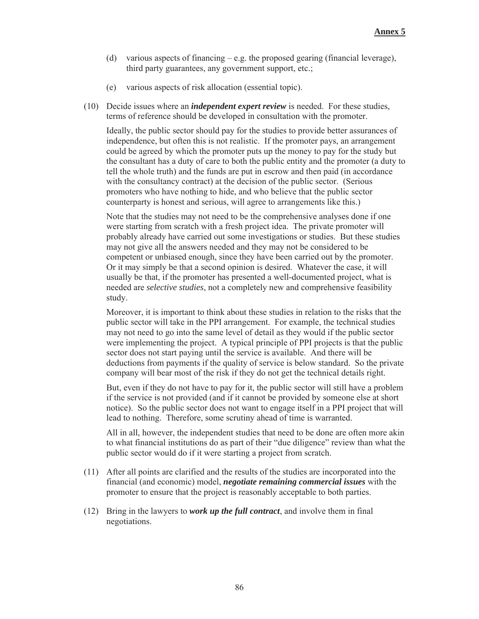- (d) various aspects of financing e.g. the proposed gearing (financial leverage), third party guarantees, any government support, etc.;
- (e) various aspects of risk allocation (essential topic).
- (10) Decide issues where an *independent expert review* is needed. For these studies, terms of reference should be developed in consultation with the promoter.

Ideally, the public sector should pay for the studies to provide better assurances of independence, but often this is not realistic. If the promoter pays, an arrangement could be agreed by which the promoter puts up the money to pay for the study but the consultant has a duty of care to both the public entity and the promoter (a duty to tell the whole truth) and the funds are put in escrow and then paid (in accordance with the consultancy contract) at the decision of the public sector. (Serious promoters who have nothing to hide, and who believe that the public sector counterparty is honest and serious, will agree to arrangements like this.)

Note that the studies may not need to be the comprehensive analyses done if one were starting from scratch with a fresh project idea. The private promoter will probably already have carried out some investigations or studies. But these studies may not give all the answers needed and they may not be considered to be competent or unbiased enough, since they have been carried out by the promoter. Or it may simply be that a second opinion is desired. Whatever the case, it will usually be that, if the promoter has presented a well-documented project, what is needed are *selective studies*, not a completely new and comprehensive feasibility study.

Moreover, it is important to think about these studies in relation to the risks that the public sector will take in the PPI arrangement. For example, the technical studies may not need to go into the same level of detail as they would if the public sector were implementing the project. A typical principle of PPI projects is that the public sector does not start paying until the service is available. And there will be deductions from payments if the quality of service is below standard. So the private company will bear most of the risk if they do not get the technical details right.

But, even if they do not have to pay for it, the public sector will still have a problem if the service is not provided (and if it cannot be provided by someone else at short notice). So the public sector does not want to engage itself in a PPI project that will lead to nothing. Therefore, some scrutiny ahead of time is warranted.

All in all, however, the independent studies that need to be done are often more akin to what financial institutions do as part of their "due diligence" review than what the public sector would do if it were starting a project from scratch.

- (11) After all points are clarified and the results of the studies are incorporated into the financial (and economic) model, *negotiate remaining commercial issues* with the promoter to ensure that the project is reasonably acceptable to both parties.
- (12) Bring in the lawyers to *work up the full contract*, and involve them in final negotiations.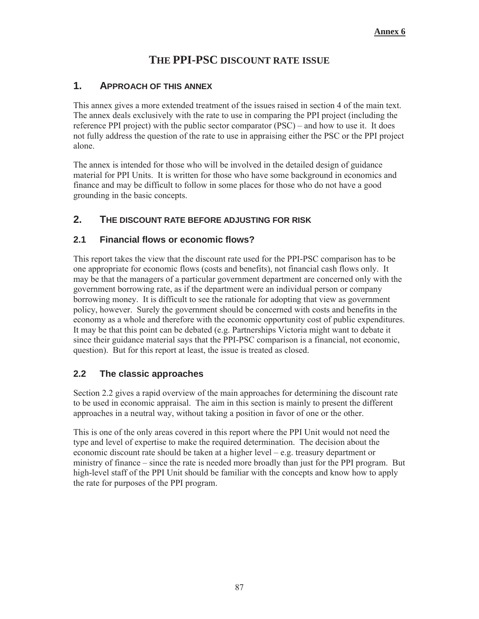# **THE PPI-PSC DISCOUNT RATE ISSUE**

### **1. APPROACH OF THIS ANNEX**

This annex gives a more extended treatment of the issues raised in section 4 of the main text. The annex deals exclusively with the rate to use in comparing the PPI project (including the reference PPI project) with the public sector comparator (PSC) – and how to use it. It does not fully address the question of the rate to use in appraising either the PSC or the PPI project alone.

The annex is intended for those who will be involved in the detailed design of guidance material for PPI Units. It is written for those who have some background in economics and finance and may be difficult to follow in some places for those who do not have a good grounding in the basic concepts.

### **2. THE DISCOUNT RATE BEFORE ADJUSTING FOR RISK**

#### **2.1 Financial flows or economic flows?**

This report takes the view that the discount rate used for the PPI-PSC comparison has to be one appropriate for economic flows (costs and benefits), not financial cash flows only. It may be that the managers of a particular government department are concerned only with the government borrowing rate, as if the department were an individual person or company borrowing money. It is difficult to see the rationale for adopting that view as government policy, however. Surely the government should be concerned with costs and benefits in the economy as a whole and therefore with the economic opportunity cost of public expenditures. It may be that this point can be debated (e.g. Partnerships Victoria might want to debate it since their guidance material says that the PPI-PSC comparison is a financial, not economic, question). But for this report at least, the issue is treated as closed.

#### **2.2 The classic approaches**

Section 2.2 gives a rapid overview of the main approaches for determining the discount rate to be used in economic appraisal. The aim in this section is mainly to present the different approaches in a neutral way, without taking a position in favor of one or the other.

This is one of the only areas covered in this report where the PPI Unit would not need the type and level of expertise to make the required determination. The decision about the economic discount rate should be taken at a higher level – e.g. treasury department or ministry of finance – since the rate is needed more broadly than just for the PPI program. But high-level staff of the PPI Unit should be familiar with the concepts and know how to apply the rate for purposes of the PPI program.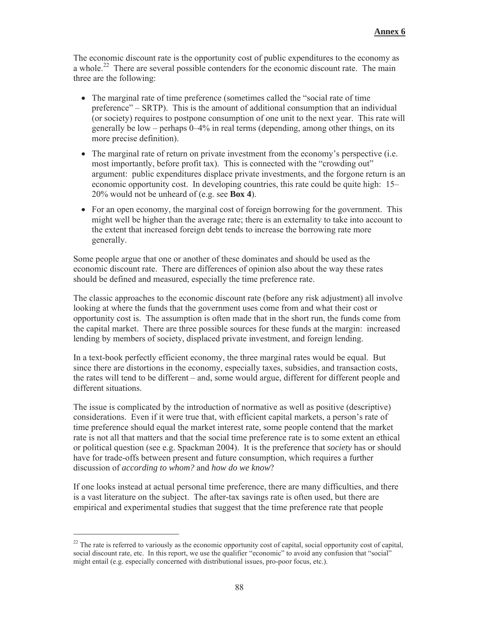The economic discount rate is the opportunity cost of public expenditures to the economy as a whole.<sup>22</sup> There are several possible contenders for the economic discount rate. The main three are the following:

- The marginal rate of time preference (sometimes called the "social rate of time preference" – SRTP). This is the amount of additional consumption that an individual (or society) requires to postpone consumption of one unit to the next year. This rate will generally be low – perhaps 0–4% in real terms (depending, among other things, on its more precise definition).
- $\bullet$  The marginal rate of return on private investment from the economy's perspective (i.e. most importantly, before profit tax). This is connected with the "crowding out" argument: public expenditures displace private investments, and the forgone return is an economic opportunity cost. In developing countries, this rate could be quite high: 15– 20% would not be unheard of (e.g. see **Box 4**).
- $\bullet$  For an open economy, the marginal cost of foreign borrowing for the government. This might well be higher than the average rate; there is an externality to take into account to the extent that increased foreign debt tends to increase the borrowing rate more generally.

Some people argue that one or another of these dominates and should be used as the economic discount rate. There are differences of opinion also about the way these rates should be defined and measured, especially the time preference rate.

The classic approaches to the economic discount rate (before any risk adjustment) all involve looking at where the funds that the government uses come from and what their cost or opportunity cost is. The assumption is often made that in the short run, the funds come from the capital market. There are three possible sources for these funds at the margin: increased lending by members of society, displaced private investment, and foreign lending.

In a text-book perfectly efficient economy, the three marginal rates would be equal. But since there are distortions in the economy, especially taxes, subsidies, and transaction costs, the rates will tend to be different – and, some would argue, different for different people and different situations.

The issue is complicated by the introduction of normative as well as positive (descriptive) considerations. Even if it were true that, with efficient capital markets, a person's rate of time preference should equal the market interest rate, some people contend that the market rate is not all that matters and that the social time preference rate is to some extent an ethical or political question (see e.g. Spackman 2004). It is the preference that *society* has or should have for trade-offs between present and future consumption, which requires a further discussion of *according to whom?* and *how do we know*?

If one looks instead at actual personal time preference, there are many difficulties, and there is a vast literature on the subject. The after-tax savings rate is often used, but there are empirical and experimental studies that suggest that the time preference rate that people

<sup>&</sup>lt;sup>22</sup> The rate is referred to variously as the economic opportunity cost of capital, social opportunity cost of capital, social discount rate, etc. In this report, we use the qualifier "economic" to avoid any confusion that "social" might entail (e.g. especially concerned with distributional issues, pro-poor focus, etc.).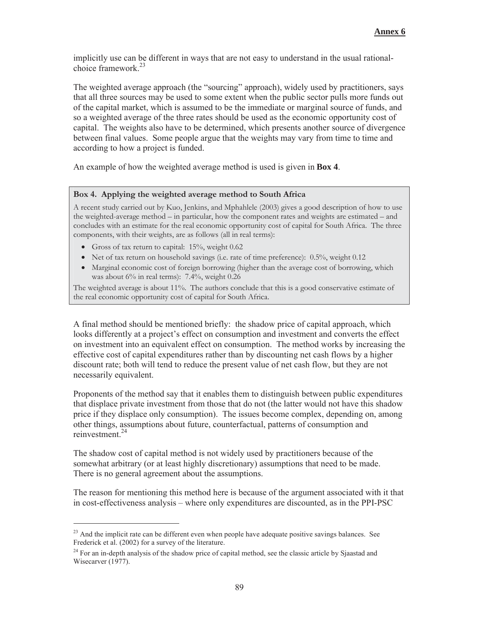implicitly use can be different in ways that are not easy to understand in the usual rationalchoice framework  $^{23}$ 

The weighted average approach (the "sourcing" approach), widely used by practitioners, says that all three sources may be used to some extent when the public sector pulls more funds out of the capital market, which is assumed to be the immediate or marginal source of funds, and so a weighted average of the three rates should be used as the economic opportunity cost of capital. The weights also have to be determined, which presents another source of divergence between final values. Some people argue that the weights may vary from time to time and according to how a project is funded.

An example of how the weighted average method is used is given in **Box 4**.

#### **Box 4. Applying the weighted average method to South Africa**

A recent study carried out by Kuo, Jenkins, and Mphahlele (2003) gives a good description of how to use the weighted-average method – in particular, how the component rates and weights are estimated – and concludes with an estimate for the real economic opportunity cost of capital for South Africa. The three components, with their weights, are as follows (all in real terms):

• Gross of tax return to capital:  $15\%$ , weight 0.62

-

- Net of tax return on household savings (i.e. rate of time preference): 0.5%, weight 0.12
- Marginal economic cost of foreign borrowing (higher than the average cost of borrowing, which was about 6% in real terms): 7.4%, weight 0.26

The weighted average is about 11%. The authors conclude that this is a good conservative estimate of the real economic opportunity cost of capital for South Africa.

A final method should be mentioned briefly: the shadow price of capital approach, which looks differently at a project's effect on consumption and investment and converts the effect on investment into an equivalent effect on consumption. The method works by increasing the effective cost of capital expenditures rather than by discounting net cash flows by a higher discount rate; both will tend to reduce the present value of net cash flow, but they are not necessarily equivalent.

Proponents of the method say that it enables them to distinguish between public expenditures that displace private investment from those that do not (the latter would not have this shadow price if they displace only consumption). The issues become complex, depending on, among other things, assumptions about future, counterfactual, patterns of consumption and reinvestment<sup>24</sup>

The shadow cost of capital method is not widely used by practitioners because of the somewhat arbitrary (or at least highly discretionary) assumptions that need to be made. There is no general agreement about the assumptions.

The reason for mentioning this method here is because of the argument associated with it that in cost-effectiveness analysis – where only expenditures are discounted, as in the PPI-PSC

<sup>&</sup>lt;sup>23</sup> And the implicit rate can be different even when people have adequate positive savings balances. See Frederick et al. (2002) for a survey of the literature.

<sup>&</sup>lt;sup>24</sup> For an in-depth analysis of the shadow price of capital method, see the classic article by Sjaastad and Wisecarver (1977).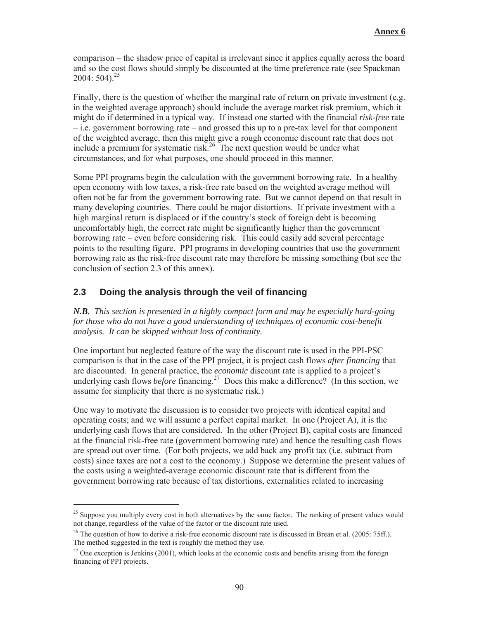comparison – the shadow price of capital is irrelevant since it applies equally across the board and so the cost flows should simply be discounted at the time preference rate (see Spackman 2004:  $504$ <sup>25</sup>

Finally, there is the question of whether the marginal rate of return on private investment (e.g. in the weighted average approach) should include the average market risk premium, which it might do if determined in a typical way. If instead one started with the financial *risk-free* rate – i.e. government borrowing rate – and grossed this up to a pre-tax level for that component of the weighted average, then this might give a rough economic discount rate that does not include a premium for systematic risk.<sup>26</sup> The next question would be under what circumstances, and for what purposes, one should proceed in this manner.

Some PPI programs begin the calculation with the government borrowing rate. In a healthy open economy with low taxes, a risk-free rate based on the weighted average method will often not be far from the government borrowing rate. But we cannot depend on that result in many developing countries. There could be major distortions. If private investment with a high marginal return is displaced or if the country's stock of foreign debt is becoming uncomfortably high, the correct rate might be significantly higher than the government borrowing rate – even before considering risk. This could easily add several percentage points to the resulting figure. PPI programs in developing countries that use the government borrowing rate as the risk-free discount rate may therefore be missing something (but see the conclusion of section 2.3 of this annex).

### **2.3 Doing the analysis through the veil of financing**

-

*N.B. This section is presented in a highly compact form and may be especially hard-going for those who do not have a good understanding of techniques of economic cost-benefit analysis. It can be skipped without loss of continuity.*

One important but neglected feature of the way the discount rate is used in the PPI-PSC comparison is that in the case of the PPI project, it is project cash flows *after financing* that are discounted. In general practice, the *economic* discount rate is applied to a project's underlying cash flows *before* financing.<sup>27</sup> Does this make a difference? (In this section, we assume for simplicity that there is no systematic risk.)

One way to motivate the discussion is to consider two projects with identical capital and operating costs; and we will assume a perfect capital market. In one (Project A), it is the underlying cash flows that are considered. In the other (Project B), capital costs are financed at the financial risk-free rate (government borrowing rate) and hence the resulting cash flows are spread out over time. (For both projects, we add back any profit tax (i.e. subtract from costs) since taxes are not a cost to the economy.) Suppose we determine the present values of the costs using a weighted-average economic discount rate that is different from the government borrowing rate because of tax distortions, externalities related to increasing

<sup>&</sup>lt;sup>25</sup> Suppose you multiply every cost in both alternatives by the same factor. The ranking of present values would not change, regardless of the value of the factor or the discount rate used.

<sup>&</sup>lt;sup>26</sup> The question of how to derive a risk-free economic discount rate is discussed in Brean et al. (2005: 75ff.). The method suggested in the text is roughly the method they use.

 $27$  One exception is Jenkins (2001), which looks at the economic costs and benefits arising from the foreign financing of PPI projects.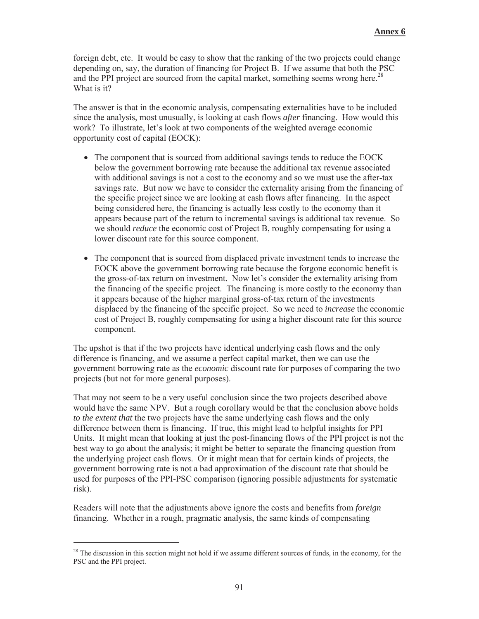foreign debt, etc. It would be easy to show that the ranking of the two projects could change depending on, say, the duration of financing for Project B. If we assume that both the PSC and the PPI project are sourced from the capital market, something seems wrong here.<sup>28</sup> What is it?

The answer is that in the economic analysis, compensating externalities have to be included since the analysis, most unusually, is looking at cash flows *after* financing. How would this work? To illustrate, let's look at two components of the weighted average economic opportunity cost of capital (EOCK):

- The component that is sourced from additional savings tends to reduce the EOCK below the government borrowing rate because the additional tax revenue associated with additional savings is not a cost to the economy and so we must use the after-tax savings rate. But now we have to consider the externality arising from the financing of the specific project since we are looking at cash flows after financing. In the aspect being considered here, the financing is actually less costly to the economy than it appears because part of the return to incremental savings is additional tax revenue. So we should *reduce* the economic cost of Project B, roughly compensating for using a lower discount rate for this source component.
- The component that is sourced from displaced private investment tends to increase the EOCK above the government borrowing rate because the forgone economic benefit is the gross-of-tax return on investment. Now let's consider the externality arising from the financing of the specific project. The financing is more costly to the economy than it appears because of the higher marginal gross-of-tax return of the investments displaced by the financing of the specific project. So we need to *increase* the economic cost of Project B, roughly compensating for using a higher discount rate for this source component.

The upshot is that if the two projects have identical underlying cash flows and the only difference is financing, and we assume a perfect capital market, then we can use the government borrowing rate as the *economic* discount rate for purposes of comparing the two projects (but not for more general purposes).

That may not seem to be a very useful conclusion since the two projects described above would have the same NPV. But a rough corollary would be that the conclusion above holds *to the extent that* the two projects have the same underlying cash flows and the only difference between them is financing. If true, this might lead to helpful insights for PPI Units. It might mean that looking at just the post-financing flows of the PPI project is not the best way to go about the analysis; it might be better to separate the financing question from the underlying project cash flows. Or it might mean that for certain kinds of projects, the government borrowing rate is not a bad approximation of the discount rate that should be used for purposes of the PPI-PSC comparison (ignoring possible adjustments for systematic risk).

Readers will note that the adjustments above ignore the costs and benefits from *foreign* financing. Whether in a rough, pragmatic analysis, the same kinds of compensating

 $28$  The discussion in this section might not hold if we assume different sources of funds, in the economy, for the PSC and the PPI project.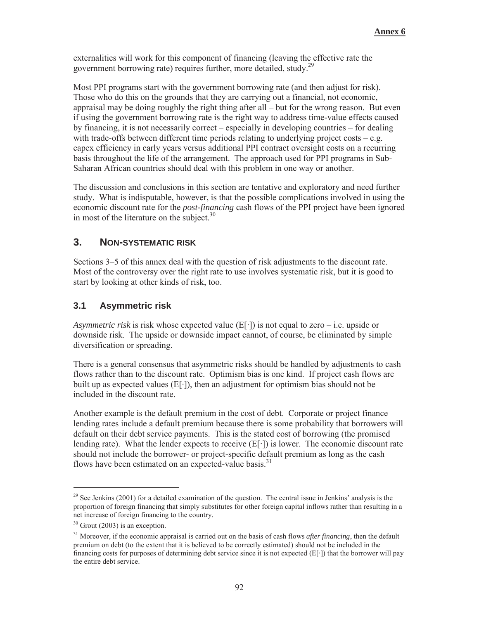externalities will work for this component of financing (leaving the effective rate the government borrowing rate) requires further, more detailed, study.<sup>29</sup>

Most PPI programs start with the government borrowing rate (and then adjust for risk). Those who do this on the grounds that they are carrying out a financial, not economic, appraisal may be doing roughly the right thing after all – but for the wrong reason. But even if using the government borrowing rate is the right way to address time-value effects caused by financing, it is not necessarily correct – especially in developing countries – for dealing with trade-offs between different time periods relating to underlying project costs – e.g. capex efficiency in early years versus additional PPI contract oversight costs on a recurring basis throughout the life of the arrangement. The approach used for PPI programs in Sub-Saharan African countries should deal with this problem in one way or another.

The discussion and conclusions in this section are tentative and exploratory and need further study. What is indisputable, however, is that the possible complications involved in using the economic discount rate for the *post-financing* cash flows of the PPI project have been ignored in most of the literature on the subject. $30$ 

## **3. NON-SYSTEMATIC RISK**

Sections 3–5 of this annex deal with the question of risk adjustments to the discount rate. Most of the controversy over the right rate to use involves systematic risk, but it is good to start by looking at other kinds of risk, too.

### **3.1 Asymmetric risk**

*Asymmetric risk* is risk whose expected value  $(E[\cdot])$  is not equal to zero – i.e. upside or downside risk. The upside or downside impact cannot, of course, be eliminated by simple diversification or spreading.

There is a general consensus that asymmetric risks should be handled by adjustments to cash flows rather than to the discount rate. Optimism bias is one kind. If project cash flows are built up as expected values  $(E[\cdot])$ , then an adjustment for optimism bias should not be included in the discount rate.

Another example is the default premium in the cost of debt. Corporate or project finance lending rates include a default premium because there is some probability that borrowers will default on their debt service payments. This is the stated cost of borrowing (the promised lending rate). What the lender expects to receive  $(E[\cdot])$  is lower. The economic discount rate should not include the borrower- or project-specific default premium as long as the cash flows have been estimated on an expected-value basis. $31$ 

<sup>&</sup>lt;sup>29</sup> See Jenkins (2001) for a detailed examination of the question. The central issue in Jenkins' analysis is the proportion of foreign financing that simply substitutes for other foreign capital inflows rather than resulting in a net increase of foreign financing to the country.

 $30$  Grout (2003) is an exception.

<sup>31</sup> Moreover, if the economic appraisal is carried out on the basis of cash flows *after financing*, then the default premium on debt (to the extent that it is believed to be correctly estimated) should not be included in the financing costs for purposes of determining debt service since it is not expected  $(E[\cdot])$  that the borrower will pay the entire debt service.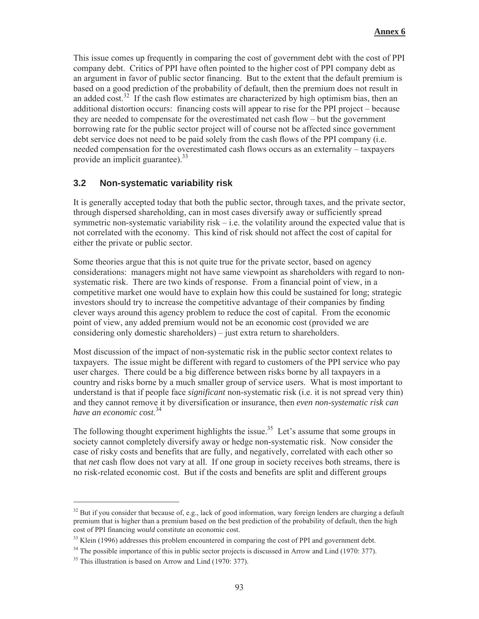This issue comes up frequently in comparing the cost of government debt with the cost of PPI company debt. Critics of PPI have often pointed to the higher cost of PPI company debt as an argument in favor of public sector financing. But to the extent that the default premium is based on a good prediction of the probability of default, then the premium does not result in an added cost.<sup>32</sup> If the cash flow estimates are characterized by high optimism bias, then an additional distortion occurs: financing costs will appear to rise for the PPI project – because they are needed to compensate for the overestimated net cash flow – but the government borrowing rate for the public sector project will of course not be affected since government debt service does not need to be paid solely from the cash flows of the PPI company (i.e. needed compensation for the overestimated cash flows occurs as an externality – taxpayers provide an implicit guarantee).<sup>33</sup>

#### **3.2 Non-systematic variability risk**

It is generally accepted today that both the public sector, through taxes, and the private sector, through dispersed shareholding, can in most cases diversify away or sufficiently spread symmetric non-systematic variability risk – i.e. the volatility around the expected value that is not correlated with the economy. This kind of risk should not affect the cost of capital for either the private or public sector.

Some theories argue that this is not quite true for the private sector, based on agency considerations: managers might not have same viewpoint as shareholders with regard to nonsystematic risk. There are two kinds of response. From a financial point of view, in a competitive market one would have to explain how this could be sustained for long; strategic investors should try to increase the competitive advantage of their companies by finding clever ways around this agency problem to reduce the cost of capital. From the economic point of view, any added premium would not be an economic cost (provided we are considering only domestic shareholders) – just extra return to shareholders.

Most discussion of the impact of non-systematic risk in the public sector context relates to taxpayers. The issue might be different with regard to customers of the PPI service who pay user charges. There could be a big difference between risks borne by all taxpayers in a country and risks borne by a much smaller group of service users. What is most important to understand is that if people face *significant* non-systematic risk (i.e. it is not spread very thin) and they cannot remove it by diversification or insurance, then *even non-systematic risk can have an economic cost*. 34

The following thought experiment highlights the issue.<sup>35</sup> Let's assume that some groups in society cannot completely diversify away or hedge non-systematic risk. Now consider the case of risky costs and benefits that are fully, and negatively, correlated with each other so that *net* cash flow does not vary at all. If one group in society receives both streams, there is no risk-related economic cost. But if the costs and benefits are split and different groups

 $32$  But if you consider that because of, e.g., lack of good information, wary foreign lenders are charging a default premium that is higher than a premium based on the best prediction of the probability of default, then the high cost of PPI financing *would* constitute an economic cost.

 $33$  Klein (1996) addresses this problem encountered in comparing the cost of PPI and government debt.

<sup>&</sup>lt;sup>34</sup> The possible importance of this in public sector projects is discussed in Arrow and Lind (1970: 377).

 $35$  This illustration is based on Arrow and Lind (1970: 377).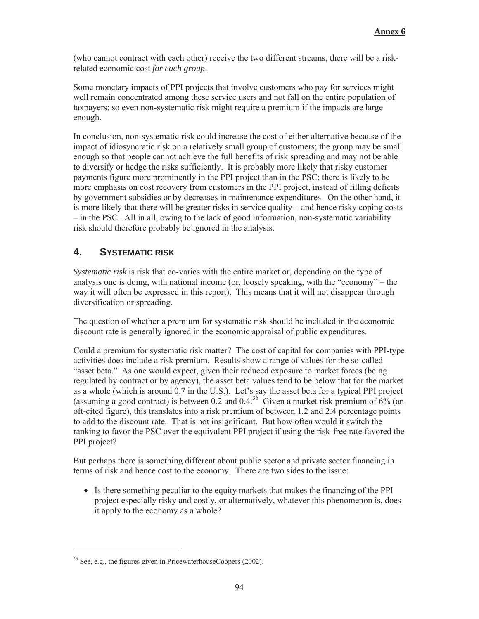(who cannot contract with each other) receive the two different streams, there will be a riskrelated economic cost *for each group*.

Some monetary impacts of PPI projects that involve customers who pay for services might well remain concentrated among these service users and not fall on the entire population of taxpayers; so even non-systematic risk might require a premium if the impacts are large enough.

In conclusion, non-systematic risk could increase the cost of either alternative because of the impact of idiosyncratic risk on a relatively small group of customers; the group may be small enough so that people cannot achieve the full benefits of risk spreading and may not be able to diversify or hedge the risks sufficiently. It is probably more likely that risky customer payments figure more prominently in the PPI project than in the PSC; there is likely to be more emphasis on cost recovery from customers in the PPI project, instead of filling deficits by government subsidies or by decreases in maintenance expenditures. On the other hand, it is more likely that there will be greater risks in service quality – and hence risky coping costs – in the PSC. All in all, owing to the lack of good information, non-systematic variability risk should therefore probably be ignored in the analysis.

### **4. SYSTEMATIC RISK**

*Systematic risk* is risk that co-varies with the entire market or, depending on the type of analysis one is doing, with national income (or, loosely speaking, with the "economy" – the way it will often be expressed in this report). This means that it will not disappear through diversification or spreading.

The question of whether a premium for systematic risk should be included in the economic discount rate is generally ignored in the economic appraisal of public expenditures.

Could a premium for systematic risk matter? The cost of capital for companies with PPI-type activities does include a risk premium. Results show a range of values for the so-called "asset beta." As one would expect, given their reduced exposure to market forces (being regulated by contract or by agency), the asset beta values tend to be below that for the market as a whole (which is around 0.7 in the U.S.). Let's say the asset beta for a typical PPI project (assuming a good contract) is between 0.2 and 0.4.<sup>36</sup> Given a market risk premium of  $6\%$  (an oft-cited figure), this translates into a risk premium of between 1.2 and 2.4 percentage points to add to the discount rate. That is not insignificant. But how often would it switch the ranking to favor the PSC over the equivalent PPI project if using the risk-free rate favored the PPI project?

But perhaps there is something different about public sector and private sector financing in terms of risk and hence cost to the economy. There are two sides to the issue:

• Is there something peculiar to the equity markets that makes the financing of the PPI project especially risky and costly, or alternatively, whatever this phenomenon is, does it apply to the economy as a whole?

 $36$  See, e.g., the figures given in PricewaterhouseCoopers (2002).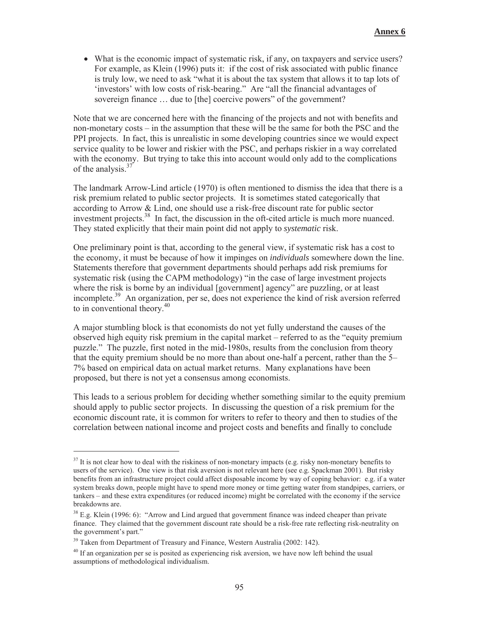$\bullet$  What is the economic impact of systematic risk, if any, on taxpayers and service users? For example, as Klein (1996) puts it: if the cost of risk associated with public finance is truly low, we need to ask "what it is about the tax system that allows it to tap lots of 'investors' with low costs of risk-bearing." Are "all the financial advantages of sovereign finance ... due to [the] coercive powers" of the government?

Note that we are concerned here with the financing of the projects and not with benefits and non-monetary costs – in the assumption that these will be the same for both the PSC and the PPI projects. In fact, this is unrealistic in some developing countries since we would expect service quality to be lower and riskier with the PSC, and perhaps riskier in a way correlated with the economy. But trying to take this into account would only add to the complications of the analysis.<sup>37</sup>

The landmark Arrow-Lind article (1970) is often mentioned to dismiss the idea that there is a risk premium related to public sector projects. It is sometimes stated categorically that according to Arrow & Lind, one should use a risk-free discount rate for public sector investment projects.<sup>38</sup> In fact, the discussion in the oft-cited article is much more nuanced. They stated explicitly that their main point did not apply to *systematic* risk.

One preliminary point is that, according to the general view, if systematic risk has a cost to the economy, it must be because of how it impinges on *individuals* somewhere down the line. Statements therefore that government departments should perhaps add risk premiums for systematic risk (using the CAPM methodology) "in the case of large investment projects where the risk is borne by an individual [government] agency" are puzzling, or at least incomplete.<sup>39</sup> An organization, per se, does not experience the kind of risk aversion referred to in conventional theory.<sup>40</sup>

A major stumbling block is that economists do not yet fully understand the causes of the observed high equity risk premium in the capital market – referred to as the "equity premium puzzle." The puzzle, first noted in the mid-1980s, results from the conclusion from theory that the equity premium should be no more than about one-half a percent, rather than the 5– 7% based on empirical data on actual market returns. Many explanations have been proposed, but there is not yet a consensus among economists.

This leads to a serious problem for deciding whether something similar to the equity premium should apply to public sector projects. In discussing the question of a risk premium for the economic discount rate, it is common for writers to refer to theory and then to studies of the correlation between national income and project costs and benefits and finally to conclude

 $37$  It is not clear how to deal with the riskiness of non-monetary impacts (e.g. risky non-monetary benefits to users of the service). One view is that risk aversion is not relevant here (see e.g. Spackman 2001). But risky benefits from an infrastructure project could affect disposable income by way of coping behavior: e.g. if a water system breaks down, people might have to spend more money or time getting water from standpipes, carriers, or tankers – and these extra expenditures (or reduced income) might be correlated with the economy if the service breakdowns are.

<sup>&</sup>lt;sup>38</sup> E.g. Klein (1996: 6): "Arrow and Lind argued that government finance was indeed cheaper than private finance. They claimed that the government discount rate should be a risk-free rate reflecting risk-neutrality on the government's part."

<sup>&</sup>lt;sup>39</sup> Taken from Department of Treasury and Finance, Western Australia (2002: 142).

 $40$  If an organization per se is posited as experiencing risk aversion, we have now left behind the usual assumptions of methodological individualism.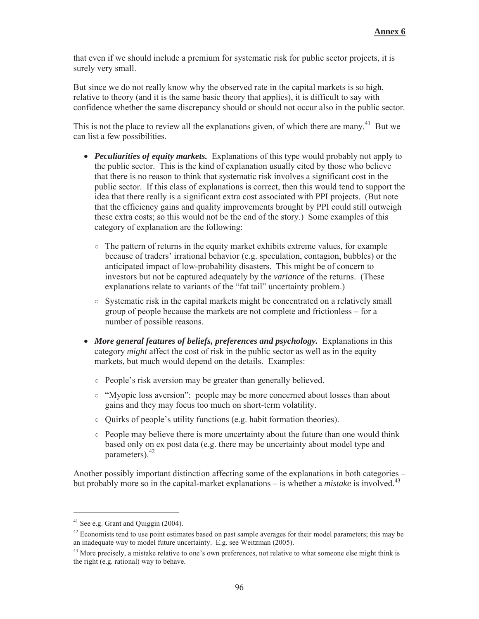that even if we should include a premium for systematic risk for public sector projects, it is surely very small.

But since we do not really know why the observed rate in the capital markets is so high, relative to theory (and it is the same basic theory that applies), it is difficult to say with confidence whether the same discrepancy should or should not occur also in the public sector.

This is not the place to review all the explanations given, of which there are many.<sup>41</sup> But we can list a few possibilities.

- *Peculiarities of equity markets.* Explanations of this type would probably not apply to the public sector. This is the kind of explanation usually cited by those who believe that there is no reason to think that systematic risk involves a significant cost in the public sector. If this class of explanations is correct, then this would tend to support the idea that there really is a significant extra cost associated with PPI projects. (But note that the efficiency gains and quality improvements brought by PPI could still outweigh these extra costs; so this would not be the end of the story.) Some examples of this category of explanation are the following:
	- $\circ$  The pattern of returns in the equity market exhibits extreme values, for example because of traders' irrational behavior (e.g. speculation, contagion, bubbles) or the anticipated impact of low-probability disasters. This might be of concern to investors but not be captured adequately by the *variance* of the returns. (These explanations relate to variants of the "fat tail" uncertainty problem.)
	- $\circ$  Systematic risk in the capital markets might be concentrated on a relatively small group of people because the markets are not complete and frictionless – for a number of possible reasons.
- *More general features of beliefs, preferences and psychology.* Explanations in this category *might* affect the cost of risk in the public sector as well as in the equity markets, but much would depend on the details. Examples:
	- ż People's risk aversion may be greater than generally believed.
	- ż "Myopic loss aversion": people may be more concerned about losses than about gains and they may focus too much on short-term volatility.
	- $\circ$  Quirks of people's utility functions (e.g. habit formation theories).
	- $\circ$  People may believe there is more uncertainty about the future than one would think based only on ex post data (e.g. there may be uncertainty about model type and parameters).42

Another possibly important distinction affecting some of the explanations in both categories – but probably more so in the capital-market explanations – is whether a *mistake* is involved.<sup>43</sup>

<sup>41</sup> See e.g. Grant and Quiggin (2004).

 $42$  Economists tend to use point estimates based on past sample averages for their model parameters; this may be an inadequate way to model future uncertainty. E.g. see Weitzman (2005).

<sup>&</sup>lt;sup>43</sup> More precisely, a mistake relative to one's own preferences, not relative to what someone else might think is the right (e.g. rational) way to behave.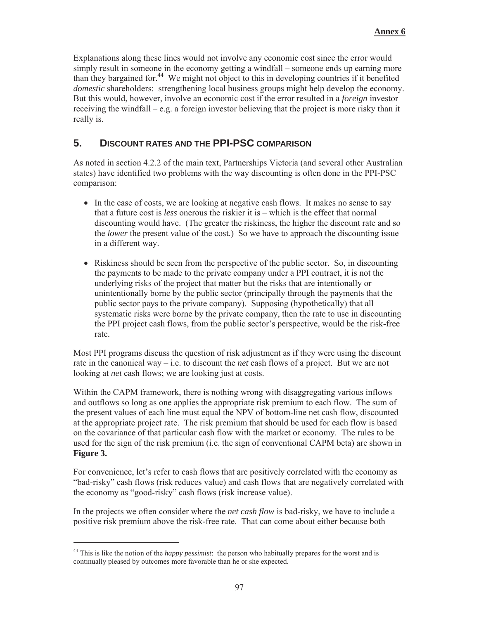Explanations along these lines would not involve any economic cost since the error would simply result in someone in the economy getting a windfall – someone ends up earning more than they bargained for.<sup>44</sup> We might not object to this in developing countries if it benefited *domestic* shareholders: strengthening local business groups might help develop the economy. But this would, however, involve an economic cost if the error resulted in a *foreign* investor receiving the windfall – e.g. a foreign investor believing that the project is more risky than it really is.

# **5. DISCOUNT RATES AND THE PPI-PSC COMPARISON**

As noted in section 4.2.2 of the main text, Partnerships Victoria (and several other Australian states) have identified two problems with the way discounting is often done in the PPI-PSC comparison:

- In the case of costs, we are looking at negative cash flows. It makes no sense to say that a future cost is *less* onerous the riskier it is – which is the effect that normal discounting would have. (The greater the riskiness, the higher the discount rate and so the *lower* the present value of the cost.) So we have to approach the discounting issue in a different way.
- Riskiness should be seen from the perspective of the public sector. So, in discounting the payments to be made to the private company under a PPI contract, it is not the underlying risks of the project that matter but the risks that are intentionally or unintentionally borne by the public sector (principally through the payments that the public sector pays to the private company). Supposing (hypothetically) that all systematic risks were borne by the private company, then the rate to use in discounting the PPI project cash flows, from the public sector's perspective, would be the risk-free rate.

Most PPI programs discuss the question of risk adjustment as if they were using the discount rate in the canonical way – i.e. to discount the *net* cash flows of a project. But we are not looking at *net* cash flows; we are looking just at costs.

Within the CAPM framework, there is nothing wrong with disaggregating various inflows and outflows so long as one applies the appropriate risk premium to each flow. The sum of the present values of each line must equal the NPV of bottom-line net cash flow, discounted at the appropriate project rate. The risk premium that should be used for each flow is based on the covariance of that particular cash flow with the market or economy. The rules to be used for the sign of the risk premium (i.e. the sign of conventional CAPM beta) are shown in **Figure 3.**

For convenience, let's refer to cash flows that are positively correlated with the economy as "bad-risky" cash flows (risk reduces value) and cash flows that are negatively correlated with the economy as "good-risky" cash flows (risk increase value).

In the projects we often consider where the *net cash flow* is bad-risky, we have to include a positive risk premium above the risk-free rate. That can come about either because both

<sup>44</sup> This is like the notion of the *happy pessimist*: the person who habitually prepares for the worst and is continually pleased by outcomes more favorable than he or she expected.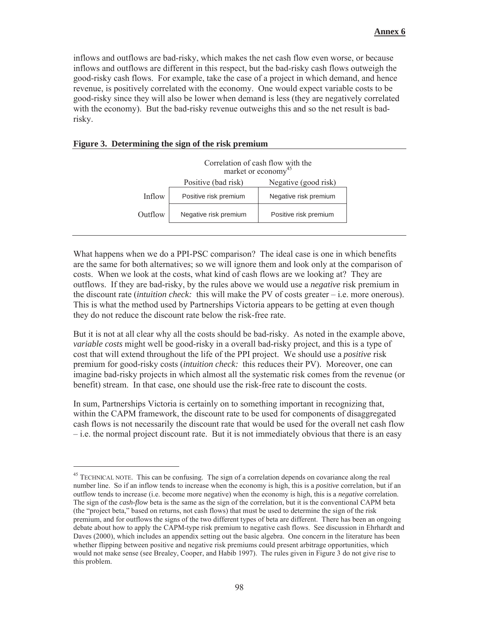inflows and outflows are bad-risky, which makes the net cash flow even worse, or because inflows and outflows are different in this respect, but the bad-risky cash flows outweigh the good-risky cash flows. For example, take the case of a project in which demand, and hence revenue, is positively correlated with the economy. One would expect variable costs to be good-risky since they will also be lower when demand is less (they are negatively correlated with the economy). But the bad-risky revenue outweighs this and so the net result is badrisky.

#### **Figure 3. Determining the sign of the risk premium**

-



What happens when we do a PPI-PSC comparison? The ideal case is one in which benefits are the same for both alternatives; so we will ignore them and look only at the comparison of costs. When we look at the costs, what kind of cash flows are we looking at? They are outflows. If they are bad-risky, by the rules above we would use a *negative* risk premium in the discount rate (*intuition check:* this will make the PV of costs greater – i.e. more onerous). This is what the method used by Partnerships Victoria appears to be getting at even though they do not reduce the discount rate below the risk-free rate.

But it is not at all clear why all the costs should be bad-risky. As noted in the example above, *variable costs* might well be good-risky in a overall bad-risky project, and this is a type of cost that will extend throughout the life of the PPI project. We should use a *positive* risk premium for good-risky costs (*intuition check:* this reduces their PV). Moreover, one can imagine bad-risky projects in which almost all the systematic risk comes from the revenue (or benefit) stream. In that case, one should use the risk-free rate to discount the costs.

In sum, Partnerships Victoria is certainly on to something important in recognizing that, within the CAPM framework, the discount rate to be used for components of disaggregated cash flows is not necessarily the discount rate that would be used for the overall net cash flow – i.e. the normal project discount rate. But it is not immediately obvious that there is an easy

<sup>&</sup>lt;sup>45</sup> TECHNICAL NOTE. This can be confusing. The sign of a correlation depends on covariance along the real number line. So if an inflow tends to increase when the economy is high, this is a *positive* correlation, but if an outflow tends to increase (i.e. become more negative) when the economy is high, this is a *negative* correlation. The sign of the *cash-flow* beta is the same as the sign of the correlation, but it is the conventional CAPM beta (the "project beta," based on returns, not cash flows) that must be used to determine the sign of the risk premium, and for outflows the signs of the two different types of beta are different. There has been an ongoing debate about how to apply the CAPM-type risk premium to negative cash flows. See discussion in Ehrhardt and Daves (2000), which includes an appendix setting out the basic algebra. One concern in the literature has been whether flipping between positive and negative risk premiums could present arbitrage opportunities, which would not make sense (see Brealey, Cooper, and Habib 1997). The rules given in Figure 3 do not give rise to this problem.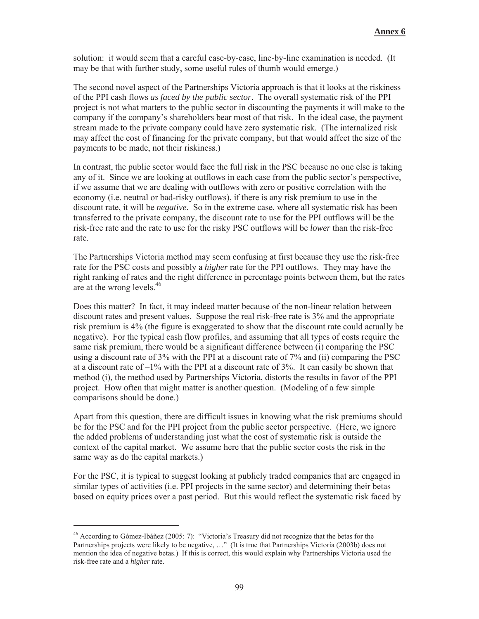solution: it would seem that a careful case-by-case, line-by-line examination is needed. (It may be that with further study, some useful rules of thumb would emerge.)

The second novel aspect of the Partnerships Victoria approach is that it looks at the riskiness of the PPI cash flows *as faced by the public sector*. The overall systematic risk of the PPI project is not what matters to the public sector in discounting the payments it will make to the company if the company's shareholders bear most of that risk. In the ideal case, the payment stream made to the private company could have zero systematic risk. (The internalized risk may affect the cost of financing for the private company, but that would affect the size of the payments to be made, not their riskiness.)

In contrast, the public sector would face the full risk in the PSC because no one else is taking any of it. Since we are looking at outflows in each case from the public sector's perspective, if we assume that we are dealing with outflows with zero or positive correlation with the economy (i.e. neutral or bad-risky outflows), if there is any risk premium to use in the discount rate, it will be *negative*. So in the extreme case, where all systematic risk has been transferred to the private company, the discount rate to use for the PPI outflows will be the risk-free rate and the rate to use for the risky PSC outflows will be *lower* than the risk-free rate.

The Partnerships Victoria method may seem confusing at first because they use the risk-free rate for the PSC costs and possibly a *higher* rate for the PPI outflows. They may have the right ranking of rates and the right difference in percentage points between them, but the rates are at the wrong levels.<sup>46</sup>

Does this matter? In fact, it may indeed matter because of the non-linear relation between discount rates and present values. Suppose the real risk-free rate is 3% and the appropriate risk premium is 4% (the figure is exaggerated to show that the discount rate could actually be negative). For the typical cash flow profiles, and assuming that all types of costs require the same risk premium, there would be a significant difference between (i) comparing the PSC using a discount rate of 3% with the PPI at a discount rate of 7% and (ii) comparing the PSC at a discount rate of  $-1\%$  with the PPI at a discount rate of 3%. It can easily be shown that method (i), the method used by Partnerships Victoria, distorts the results in favor of the PPI project. How often that might matter is another question. (Modeling of a few simple comparisons should be done.)

Apart from this question, there are difficult issues in knowing what the risk premiums should be for the PSC and for the PPI project from the public sector perspective. (Here, we ignore the added problems of understanding just what the cost of systematic risk is outside the context of the capital market. We assume here that the public sector costs the risk in the same way as do the capital markets.)

For the PSC, it is typical to suggest looking at publicly traded companies that are engaged in similar types of activities (i.e. PPI projects in the same sector) and determining their betas based on equity prices over a past period. But this would reflect the systematic risk faced by

<sup>46</sup> According to Gómez-Ibáñez (2005: 7): "Victoria's Treasury did not recognize that the betas for the Partnerships projects were likely to be negative, …" (It is true that Partnerships Victoria (2003b) does not mention the idea of negative betas.) If this is correct, this would explain why Partnerships Victoria used the risk-free rate and a *higher* rate.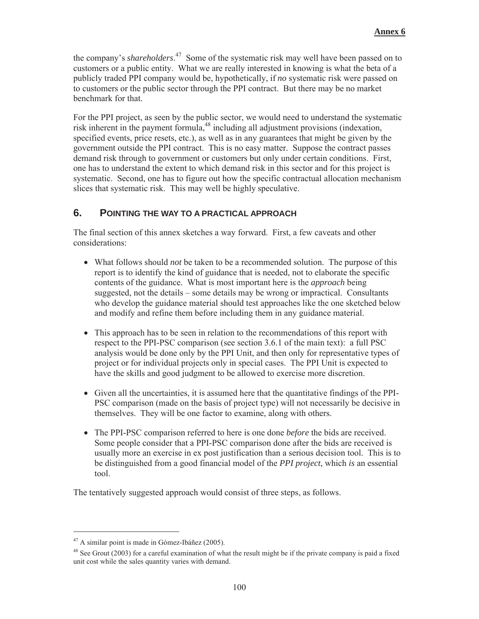the company's *shareholders*. 47 Some of the systematic risk may well have been passed on to customers or a public entity. What we are really interested in knowing is what the beta of a publicly traded PPI company would be, hypothetically, if *no* systematic risk were passed on to customers or the public sector through the PPI contract. But there may be no market benchmark for that.

For the PPI project, as seen by the public sector, we would need to understand the systematic risk inherent in the payment formula,<sup>48</sup> including all adjustment provisions (indexation, specified events, price resets, etc.), as well as in any guarantees that might be given by the government outside the PPI contract. This is no easy matter. Suppose the contract passes demand risk through to government or customers but only under certain conditions. First, one has to understand the extent to which demand risk in this sector and for this project is systematic. Second, one has to figure out how the specific contractual allocation mechanism slices that systematic risk. This may well be highly speculative.

### **6. POINTING THE WAY TO A PRACTICAL APPROACH**

The final section of this annex sketches a way forward. First, a few caveats and other considerations:

- What follows should *not* be taken to be a recommended solution. The purpose of this report is to identify the kind of guidance that is needed, not to elaborate the specific contents of the guidance. What is most important here is the *approach* being suggested, not the details – some details may be wrong or impractical. Consultants who develop the guidance material should test approaches like the one sketched below and modify and refine them before including them in any guidance material.
- This approach has to be seen in relation to the recommendations of this report with respect to the PPI-PSC comparison (see section 3.6.1 of the main text): a full PSC analysis would be done only by the PPI Unit, and then only for representative types of project or for individual projects only in special cases. The PPI Unit is expected to have the skills and good judgment to be allowed to exercise more discretion.
- x Given all the uncertainties, it is assumed here that the quantitative findings of the PPI-PSC comparison (made on the basis of project type) will not necessarily be decisive in themselves. They will be one factor to examine, along with others.
- The PPI-PSC comparison referred to here is one done *before* the bids are received. Some people consider that a PPI-PSC comparison done after the bids are received is usually more an exercise in ex post justification than a serious decision tool. This is to be distinguished from a good financial model of the *PPI project*, which *is* an essential tool.

The tentatively suggested approach would consist of three steps, as follows.

 $47$  A similar point is made in Gómez-Ibáñez (2005).

 $48$  See Grout (2003) for a careful examination of what the result might be if the private company is paid a fixed unit cost while the sales quantity varies with demand.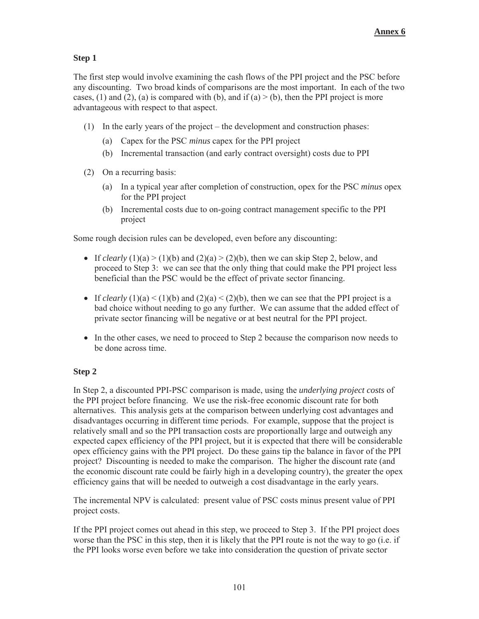#### **Step 1**

The first step would involve examining the cash flows of the PPI project and the PSC before any discounting. Two broad kinds of comparisons are the most important. In each of the two cases, (1) and (2), (a) is compared with (b), and if (a)  $>$  (b), then the PPI project is more advantageous with respect to that aspect.

- (1) In the early years of the project the development and construction phases:
	- (a) Capex for the PSC *minus* capex for the PPI project
	- (b) Incremental transaction (and early contract oversight) costs due to PPI
- (2) On a recurring basis:
	- (a) In a typical year after completion of construction, opex for the PSC *minus* opex for the PPI project
	- (b) Incremental costs due to on-going contract management specific to the PPI project

Some rough decision rules can be developed, even before any discounting:

- If *clearly* (1)(a) > (1)(b) and (2)(a) > (2)(b), then we can skip Step 2, below, and proceed to Step 3: we can see that the only thing that could make the PPI project less beneficial than the PSC would be the effect of private sector financing.
- If *clearly* (1)(a) < (1)(b) and (2)(a) < (2)(b), then we can see that the PPI project is a bad choice without needing to go any further. We can assume that the added effect of private sector financing will be negative or at best neutral for the PPI project.
- In the other cases, we need to proceed to Step 2 because the comparison now needs to be done across time.

#### **Step 2**

In Step 2, a discounted PPI-PSC comparison is made, using the *underlying project costs* of the PPI project before financing. We use the risk-free economic discount rate for both alternatives. This analysis gets at the comparison between underlying cost advantages and disadvantages occurring in different time periods. For example, suppose that the project is relatively small and so the PPI transaction costs are proportionally large and outweigh any expected capex efficiency of the PPI project, but it is expected that there will be considerable opex efficiency gains with the PPI project. Do these gains tip the balance in favor of the PPI project? Discounting is needed to make the comparison. The higher the discount rate (and the economic discount rate could be fairly high in a developing country), the greater the opex efficiency gains that will be needed to outweigh a cost disadvantage in the early years.

The incremental NPV is calculated: present value of PSC costs minus present value of PPI project costs.

If the PPI project comes out ahead in this step, we proceed to Step 3. If the PPI project does worse than the PSC in this step, then it is likely that the PPI route is not the way to go (i.e. if the PPI looks worse even before we take into consideration the question of private sector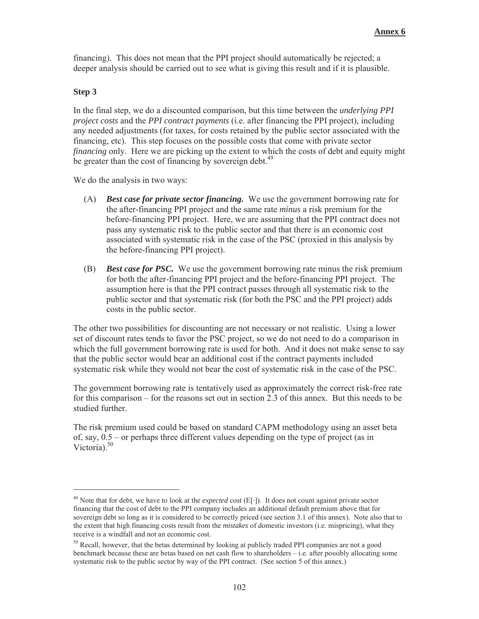financing). This does not mean that the PPI project should automatically be rejected; a deeper analysis should be carried out to see what is giving this result and if it is plausible.

#### **Step 3**

-

In the final step, we do a discounted comparison, but this time between the *underlying PPI project costs* and the *PPI contract payments* (i.e. after financing the PPI project), including any needed adjustments (for taxes, for costs retained by the public sector associated with the financing, etc). This step focuses on the possible costs that come with private sector *financing* only. Here we are picking up the extent to which the costs of debt and equity might be greater than the cost of financing by sovereign debt.<sup>49</sup>

We do the analysis in two ways:

- (A) *Best case for private sector financing.* We use the government borrowing rate for the after-financing PPI project and the same rate *minus* a risk premium for the before-financing PPI project. Here, we are assuming that the PPI contract does not pass any systematic risk to the public sector and that there is an economic cost associated with systematic risk in the case of the PSC (proxied in this analysis by the before-financing PPI project).
- (B) *Best case for PSC.* We use the government borrowing rate minus the risk premium for both the after-financing PPI project and the before-financing PPI project. The assumption here is that the PPI contract passes through all systematic risk to the public sector and that systematic risk (for both the PSC and the PPI project) adds costs in the public sector.

The other two possibilities for discounting are not necessary or not realistic. Using a lower set of discount rates tends to favor the PSC project, so we do not need to do a comparison in which the full government borrowing rate is used for both. And it does not make sense to say that the public sector would bear an additional cost if the contract payments included systematic risk while they would not bear the cost of systematic risk in the case of the PSC.

The government borrowing rate is tentatively used as approximately the correct risk-free rate for this comparison – for the reasons set out in section 2.3 of this annex. But this needs to be studied further.

The risk premium used could be based on standard CAPM methodology using an asset beta of, say, 0.5 – or perhaps three different values depending on the type of project (as in Victoria). $50$ 

<sup>&</sup>lt;sup>49</sup> Note that for debt, we have to look at the *expected* cost  $(E[\cdot])$ . It does not count against private sector financing that the cost of debt to the PPI company includes an additional default premium above that for sovereign debt so long as it is considered to be correctly priced (see section 3.1 of this annex). Note also that to the extent that high financing costs result from the *mistakes* of domestic investors (i.e. mispricing), what they receive is a windfall and not an economic cost.

<sup>&</sup>lt;sup>50</sup> Recall, however, that the betas determined by looking at publicly traded PPI companies are not a good benchmark because these are betas based on net cash flow to shareholders – i.e. after possibly allocating some systematic risk to the public sector by way of the PPI contract. (See section 5 of this annex.)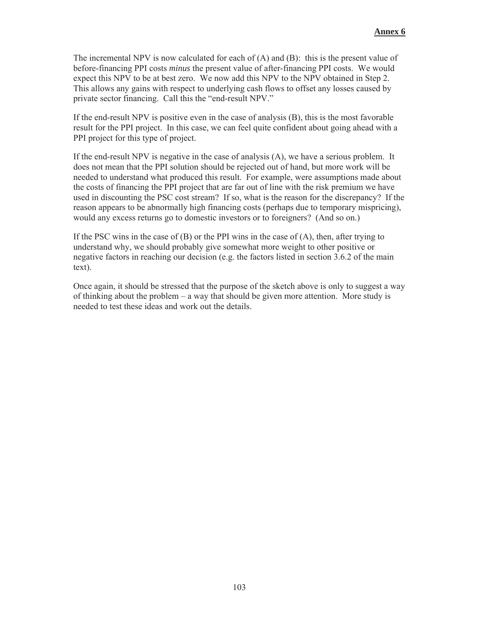The incremental NPV is now calculated for each of  $(A)$  and  $(B)$ : this is the present value of before-financing PPI costs *minus* the present value of after-financing PPI costs. We would expect this NPV to be at best zero. We now add this NPV to the NPV obtained in Step 2. This allows any gains with respect to underlying cash flows to offset any losses caused by private sector financing. Call this the "end-result NPV."

If the end-result NPV is positive even in the case of analysis (B), this is the most favorable result for the PPI project. In this case, we can feel quite confident about going ahead with a PPI project for this type of project.

If the end-result NPV is negative in the case of analysis (A), we have a serious problem. It does not mean that the PPI solution should be rejected out of hand, but more work will be needed to understand what produced this result. For example, were assumptions made about the costs of financing the PPI project that are far out of line with the risk premium we have used in discounting the PSC cost stream? If so, what is the reason for the discrepancy? If the reason appears to be abnormally high financing costs (perhaps due to temporary mispricing), would any excess returns go to domestic investors or to foreigners? (And so on.)

If the PSC wins in the case of  $(B)$  or the PPI wins in the case of  $(A)$ , then, after trying to understand why, we should probably give somewhat more weight to other positive or negative factors in reaching our decision (e.g. the factors listed in section 3.6.2 of the main text).

Once again, it should be stressed that the purpose of the sketch above is only to suggest a way of thinking about the problem – a way that should be given more attention. More study is needed to test these ideas and work out the details.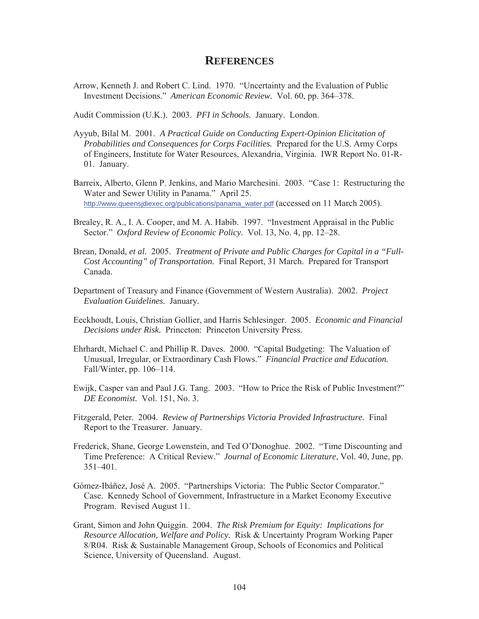## **REFERENCES**

Arrow, Kenneth J. and Robert C. Lind. 1970. "Uncertainty and the Evaluation of Public Investment Decisions." *American Economic Review.* Vol. 60, pp. 364–378.

Audit Commission (U.K.). 2003. *PFI in Schools.* January. London.

- Ayyub, Bilal M. 2001. *A Practical Guide on Conducting Expert-Opinion Elicitation of Probabilities and Consequences for Corps Facilities.* Prepared for the U.S. Army Corps of Engineers, Institute for Water Resources, Alexandria, Virginia. IWR Report No. 01-R-01. January.
- Barreix, Alberto, Glenn P. Jenkins, and Mario Marchesini. 2003. "Case 1: Restructuring the Water and Sewer Utility in Panama." April 25. http://www.queensjdiexec.org/publications/panama\_water.pdf (accessed on 11 March 2005).
- Brealey, R. A., I. A. Cooper, and M. A. Habib. 1997. "Investment Appraisal in the Public Sector." *Oxford Review of Economic Policy.* Vol. 13, No. 4, pp. 12–28.
- Brean, Donald, *et al.* 2005. *Treatment of Private and Public Charges for Capital in a "Full-Cost Accounting" of Transportation.* Final Report, 31 March. Prepared for Transport Canada.
- Department of Treasury and Finance (Government of Western Australia). 2002. *Project Evaluation Guidelines.* January.
- Eeckhoudt, Louis, Christian Gollier, and Harris Schlesinger. 2005. *Economic and Financial Decisions under Risk.* Princeton: Princeton University Press.
- Ehrhardt, Michael C. and Phillip R. Daves. 2000. "Capital Budgeting: The Valuation of Unusual, Irregular, or Extraordinary Cash Flows." *Financial Practice and Education.*  Fall/Winter, pp. 106–114.
- Ewijk, Casper van and Paul J.G. Tang. 2003. "How to Price the Risk of Public Investment?" *DE Economist.* Vol. 151, No. 3.
- Fitzgerald, Peter. 2004. *Review of Partnerships Victoria Provided Infrastructure.* Final Report to the Treasurer. January.
- Frederick, Shane, George Lowenstein, and Ted O'Donoghue. 2002. "Time Discounting and Time Preference: A Critical Review." *Journal of Economic Literature*, Vol. 40, June, pp. 351–401.
- Gómez-Ibáñez, José A. 2005. "Partnerships Victoria: The Public Sector Comparator." Case. Kennedy School of Government, Infrastructure in a Market Economy Executive Program. Revised August 11.
- Grant, Simon and John Quiggin. 2004. *The Risk Premium for Equity: Implications for Resource Allocation, Welfare and Policy.* Risk & Uncertainty Program Working Paper 8/R04. Risk & Sustainable Management Group, Schools of Economics and Political Science, University of Queensland. August.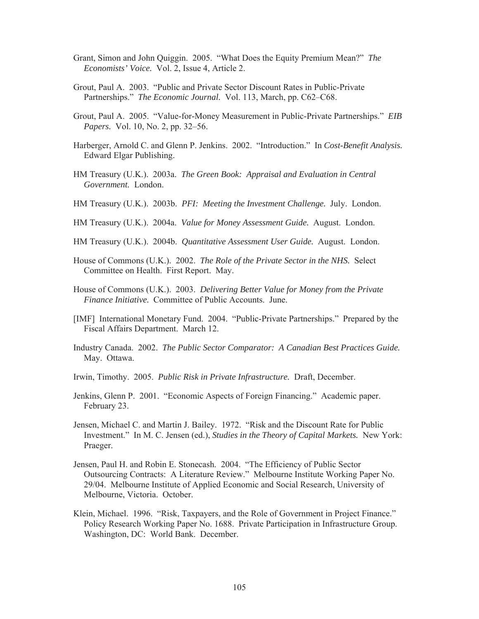- Grant, Simon and John Quiggin. 2005. "What Does the Equity Premium Mean?" *The Economists' Voice.* Vol. 2, Issue 4, Article 2.
- Grout, Paul A. 2003. "Public and Private Sector Discount Rates in Public-Private Partnerships." *The Economic Journal.* Vol. 113, March, pp. C62–C68.
- Grout, Paul A. 2005. "Value-for-Money Measurement in Public-Private Partnerships." *EIB Papers.* Vol. 10, No. 2, pp. 32–56.
- Harberger, Arnold C. and Glenn P. Jenkins. 2002. "Introduction." In *Cost-Benefit Analysis.* Edward Elgar Publishing.
- HM Treasury (U.K.). 2003a. *The Green Book: Appraisal and Evaluation in Central Government.* London.
- HM Treasury (U.K.). 2003b. *PFI: Meeting the Investment Challenge.* July. London.
- HM Treasury (U.K.). 2004a. *Value for Money Assessment Guide.* August. London.
- HM Treasury (U.K.). 2004b. *Quantitative Assessment User Guide.* August. London.
- House of Commons (U.K.). 2002. *The Role of the Private Sector in the NHS.* Select Committee on Health. First Report. May.
- House of Commons (U.K.). 2003. *Delivering Better Value for Money from the Private Finance Initiative.* Committee of Public Accounts. June.
- [IMF] International Monetary Fund. 2004. "Public-Private Partnerships." Prepared by the Fiscal Affairs Department. March 12.
- Industry Canada. 2002. *The Public Sector Comparator: A Canadian Best Practices Guide.* May. Ottawa.
- Irwin, Timothy. 2005. *Public Risk in Private Infrastructure.* Draft, December.
- Jenkins, Glenn P. 2001. "Economic Aspects of Foreign Financing." Academic paper. February 23.
- Jensen, Michael C. and Martin J. Bailey. 1972. "Risk and the Discount Rate for Public Investment." In M. C. Jensen (ed.), *Studies in the Theory of Capital Markets.* New York: Praeger.
- Jensen, Paul H. and Robin E. Stonecash. 2004. "The Efficiency of Public Sector Outsourcing Contracts: A Literature Review." Melbourne Institute Working Paper No. 29/04. Melbourne Institute of Applied Economic and Social Research, University of Melbourne, Victoria. October.
- Klein, Michael. 1996. "Risk, Taxpayers, and the Role of Government in Project Finance." Policy Research Working Paper No. 1688. Private Participation in Infrastructure Group. Washington, DC: World Bank. December.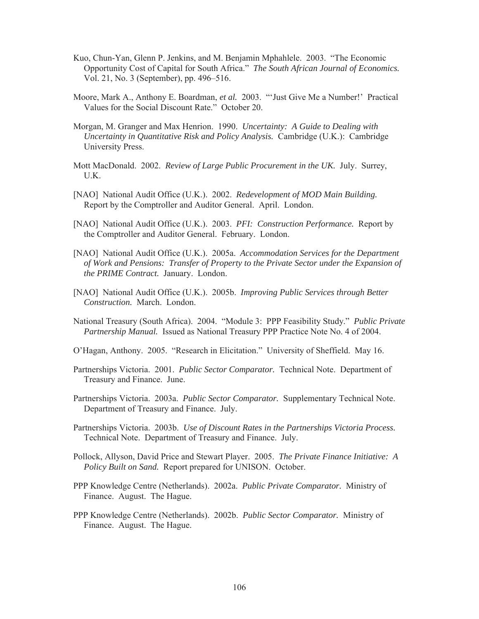- Kuo, Chun-Yan, Glenn P. Jenkins, and M. Benjamin Mphahlele. 2003. "The Economic Opportunity Cost of Capital for South Africa." *The South African Journal of Economics.* Vol. 21, No. 3 (September), pp. 496–516.
- Moore, Mark A., Anthony E. Boardman, *et al.* 2003. "'Just Give Me a Number!' Practical Values for the Social Discount Rate." October 20.
- Morgan, M. Granger and Max Henrion. 1990. *Uncertainty: A Guide to Dealing with Uncertainty in Quantitative Risk and Policy Analysis.* Cambridge (U.K.): Cambridge University Press.
- Mott MacDonald. 2002. *Review of Large Public Procurement in the UK.* July. Surrey, U.K.
- [NAO] National Audit Office (U.K.). 2002. *Redevelopment of MOD Main Building.* Report by the Comptroller and Auditor General. April. London.
- [NAO] National Audit Office (U.K.). 2003. *PFI: Construction Performance.* Report by the Comptroller and Auditor General. February. London.
- [NAO] National Audit Office (U.K.). 2005a. *Accommodation Services for the Department of Work and Pensions: Transfer of Property to the Private Sector under the Expansion of the PRIME Contract.* January. London.
- [NAO] National Audit Office (U.K.). 2005b. *Improving Public Services through Better Construction.* March. London.
- National Treasury (South Africa). 2004. "Module 3: PPP Feasibility Study." *Public Private Partnership Manual.* Issued as National Treasury PPP Practice Note No. 4 of 2004.
- O'Hagan, Anthony. 2005. "Research in Elicitation." University of Sheffield. May 16.
- Partnerships Victoria. 2001. *Public Sector Comparator.* Technical Note. Department of Treasury and Finance. June.
- Partnerships Victoria. 2003a. *Public Sector Comparator.* Supplementary Technical Note. Department of Treasury and Finance. July.
- Partnerships Victoria. 2003b. *Use of Discount Rates in the Partnerships Victoria Process.* Technical Note. Department of Treasury and Finance. July.
- Pollock, Allyson, David Price and Stewart Player. 2005. *The Private Finance Initiative: A Policy Built on Sand.* Report prepared for UNISON. October.
- PPP Knowledge Centre (Netherlands). 2002a. *Public Private Comparator.* Ministry of Finance. August. The Hague.
- PPP Knowledge Centre (Netherlands). 2002b. *Public Sector Comparator.* Ministry of Finance. August. The Hague.